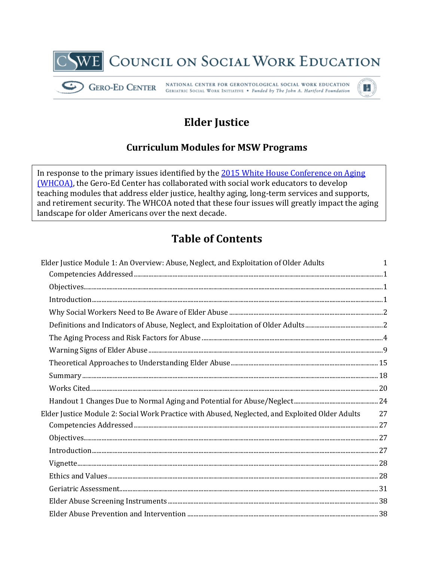

# **Elder Justice**

# **Curriculum Modules for MSW Programs**

In response to the primary issues identified by the 2015 White House Conference on Aging **(WHCOA)**, the Gero-Ed Center has collaborated with social work educators to develop teaching modules that address elder justice, healthy aging, long-term services and supports, and retirement security. The WHCOA noted that these four issues will greatly impact the aging landscape for older Americans over the next decade.

# **Table of Contents**

| Elder Justice Module 1: An Overview: Abuse, Neglect, and Exploitation of Older Adults                                                                                                                                                                                                                                                                                                                                                                                                                                           | 1  |
|---------------------------------------------------------------------------------------------------------------------------------------------------------------------------------------------------------------------------------------------------------------------------------------------------------------------------------------------------------------------------------------------------------------------------------------------------------------------------------------------------------------------------------|----|
|                                                                                                                                                                                                                                                                                                                                                                                                                                                                                                                                 |    |
| $\label{prop:1} \text{Objectives.}\footnotesize\text{}\footnotesize\begin{minipage}{0.5\textwidth} \begin{minipage}{0.5\textwidth} \centering \begin{minipage}{0.5\textwidth} \centering \textbf{0.0000} \end{minipage} \begin{minipage}{0.5\textwidth} \centering \begin{minipage}{0.5\textwidth} \centering \textbf{0.0000} \end{minipage} \end{minipage} \begin{minipage}{0.5\textwidth} \centering \begin{minipage}{0.5\textwidth} \centering \textbf{0.0000} \end{minipage} \end{minipage} \begin{minipage}{0.5\$          |    |
|                                                                                                                                                                                                                                                                                                                                                                                                                                                                                                                                 |    |
|                                                                                                                                                                                                                                                                                                                                                                                                                                                                                                                                 |    |
|                                                                                                                                                                                                                                                                                                                                                                                                                                                                                                                                 |    |
|                                                                                                                                                                                                                                                                                                                                                                                                                                                                                                                                 |    |
|                                                                                                                                                                                                                                                                                                                                                                                                                                                                                                                                 |    |
|                                                                                                                                                                                                                                                                                                                                                                                                                                                                                                                                 |    |
| $\begin{minipage}[c]{0.9\linewidth} \textbf{Summary} \textit{} \end{minipage}[18]{\footnotesize \begin{minipage}[c]{0.9\linewidth} \textbf{Summary} \textit{} \end{minipage}[18]{\footnotesize \begin{minipage}[c]{0.9\linewidth} \textbf{Summary} \textit{} \end{minipage}[18]{\footnotesize \begin{minipage}[c]{0.9\linewidth} \textbf{Summary} \textit{} \end{minipage}[18]{\footnotesize \begin{minipage}[c]{0.9\linewidth} \textbf{Summary} \textit{} \end{minipage}[18]{\footnotesize \begin{minipage}[c]{0.9\linewidth}$ |    |
|                                                                                                                                                                                                                                                                                                                                                                                                                                                                                                                                 |    |
|                                                                                                                                                                                                                                                                                                                                                                                                                                                                                                                                 |    |
| Elder Justice Module 2: Social Work Practice with Abused, Neglected, and Exploited Older Adults                                                                                                                                                                                                                                                                                                                                                                                                                                 | 27 |
|                                                                                                                                                                                                                                                                                                                                                                                                                                                                                                                                 |    |
|                                                                                                                                                                                                                                                                                                                                                                                                                                                                                                                                 |    |
| $In traditional \, 1000, 1010, 1010, 1010, 1010, 1010, 1010, 1010, 1010, 1010, 1010, 1010, 1010, 1010, 1010, 1010, 1010, 1010, 1010, 1010, 1010, 1010, 1010, 1010, 1010, 1010, 1010, 1010, 1010, 1010, 1010, 1010, 1010, 1010, 1010, 1010,$                                                                                                                                                                                                                                                                                     |    |
|                                                                                                                                                                                                                                                                                                                                                                                                                                                                                                                                 |    |
|                                                                                                                                                                                                                                                                                                                                                                                                                                                                                                                                 |    |
|                                                                                                                                                                                                                                                                                                                                                                                                                                                                                                                                 |    |
|                                                                                                                                                                                                                                                                                                                                                                                                                                                                                                                                 |    |
|                                                                                                                                                                                                                                                                                                                                                                                                                                                                                                                                 |    |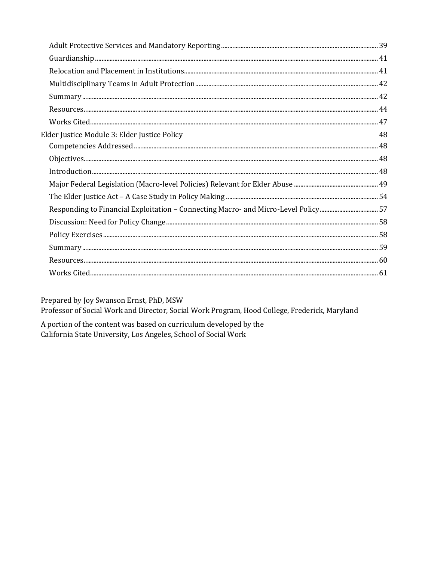| Elder Justice Module 3: Elder Justice Policy                                      | 48 |
|-----------------------------------------------------------------------------------|----|
|                                                                                   |    |
|                                                                                   |    |
| $In traditional union. 48$                                                        |    |
|                                                                                   |    |
|                                                                                   |    |
| Responding to Financial Exploitation - Connecting Macro- and Micro-Level Policy57 |    |
|                                                                                   |    |
|                                                                                   |    |
|                                                                                   |    |
|                                                                                   |    |
|                                                                                   |    |

Prepared by Joy Swanson Ernst, PhD, MSW

Professor of Social Work and Director, Social Work Program, Hood College, Frederick, Maryland

A portion of the content was based on curriculum developed by the California State University, Los Angeles, School of Social Work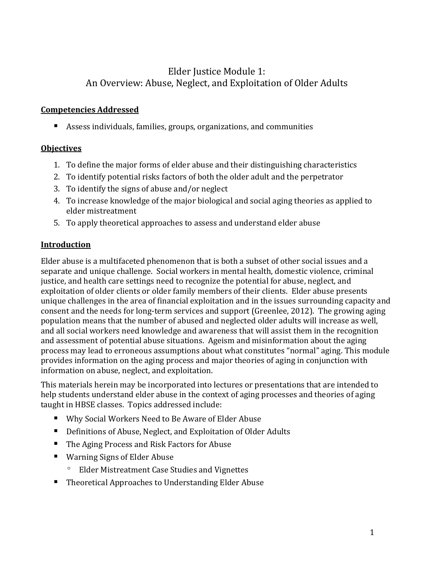# Elder Justice Module 1: An Overview: Abuse, Neglect, and Exploitation of Older Adults

#### <span id="page-2-1"></span><span id="page-2-0"></span>**Competencies Addressed**

Assess individuals, families, groups, organizations, and communities

#### <span id="page-2-2"></span>**Objectives**

- 1. To define the major forms of elder abuse and their distinguishing characteristics
- 2. To identify potential risks factors of both the older adult and the perpetrator
- 3. To identify the signs of abuse and/or neglect
- 4. To increase knowledge of the major biological and social aging theories as applied to elder mistreatment
- 5. To apply theoretical approaches to assess and understand elder abuse

#### <span id="page-2-3"></span>**Introduction**

Elder abuse is a multifaceted phenomenon that is both a subset of other social issues and a separate and unique challenge. Social workers in mental health, domestic violence, criminal justice, and health care settings need to recognize the potential for abuse, neglect, and exploitation of older clients or older family members of their clients. Elder abuse presents unique challenges in the area of financial exploitation and in the issues surrounding capacity and consent and the needs for long-term services and support (Greenlee, 2012). The growing aging population means that the number of abused and neglected older adults will increase as well, and all social workers need knowledge and awareness that will assist them in the recognition and assessment of potential abuse situations. Ageism and misinformation about the aging process may lead to erroneous assumptions about what constitutes "normal" aging. This module provides information on the aging process and major theories of aging in conjunction with information on abuse, neglect, and exploitation.

This materials herein may be incorporated into lectures or presentations that are intended to help students understand elder abuse in the context of aging processes and theories of aging taught in HBSE classes. Topics addressed include:

- Why Social Workers Need to Be Aware of Elder Abuse
- Definitions of Abuse, Neglect, and Exploitation of Older Adults
- The Aging Process and Risk Factors for Abuse
- Warning Signs of Elder Abuse
	- º Elder Mistreatment Case Studies and Vignettes
- Theoretical Approaches to Understanding Elder Abuse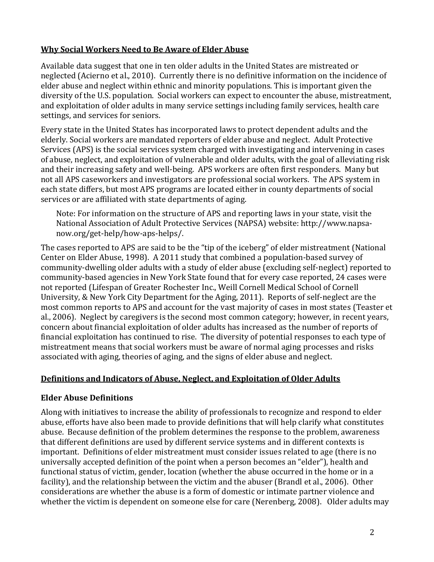#### <span id="page-3-0"></span>**Why Social Workers Need to Be Aware of Elder Abuse**

Available data suggest that one in ten older adults in the United States are mistreated or neglected (Acierno et al., 2010). Currently there is no definitive information on the incidence of elder abuse and neglect within ethnic and minority populations. This is important given the diversity of the U.S. population. Social workers can expect to encounter the abuse, mistreatment, and exploitation of older adults in many service settings including family services, health care settings, and services for seniors.

Every state in the United States has incorporated laws to protect dependent adults and the elderly. Social workers are mandated reporters of elder abuse and neglect. Adult Protective Services (APS) is the social services system charged with investigating and intervening in cases of abuse, neglect, and exploitation of vulnerable and older adults, with the goal of alleviating risk and their increasing safety and well-being. APS workers are often first responders. Many but not all APS caseworkers and investigators are professional social workers. The APS system in each state differs, but most APS programs are located either in county departments of social services or are affiliated with state departments of aging.

Note: For information on the structure of APS and reporting laws in your state, visit the National Association of Adult Protective Services (NAPSA) website[: http://www.napsa](http://www.napsa-now.org/get-help/how-aps-helps/)[now.org/get-help/how-aps-helps/.](http://www.napsa-now.org/get-help/how-aps-helps/)

The cases reported to APS are said to be the "tip of the iceberg" of elder mistreatment (National Center on Elder Abuse, 1998). A 2011 study that combined a population-based survey of community-dwelling older adults with a study of elder abuse (excluding self-neglect) reported to community-based agencies in New York State found that for every case reported, 24 cases were not reported (Lifespan of Greater Rochester Inc., Weill Cornell Medical School of Cornell University, & New York City Department for the Aging, 2011). Reports of self-neglect are the most common reports to APS and account for the vast majority of cases in most states (Teaster et al., 2006). Neglect by caregivers is the second most common category; however, in recent years, concern about financial exploitation of older adults has increased as the number of reports of financial exploitation has continued to rise. The diversity of potential responses to each type of mistreatment means that social workers must be aware of normal aging processes and risks associated with aging, theories of aging, and the signs of elder abuse and neglect.

#### <span id="page-3-1"></span>**Definitions and Indicators of Abuse, Neglect, and Exploitation of Older Adults**

#### **Elder Abuse Definitions**

Along with initiatives to increase the ability of professionals to recognize and respond to elder abuse, efforts have also been made to provide definitions that will help clarify what constitutes abuse. Because definition of the problem determines the response to the problem, awareness that different definitions are used by different service systems and in different contexts is important. Definitions of elder mistreatment must consider issues related to age (there is no universally accepted definition of the point when a person becomes an "elder"), health and functional status of victim, gender, location (whether the abuse occurred in the home or in a facility), and the relationship between the victim and the abuser (Brandl et al., 2006). Other considerations are whether the abuse is a form of domestic or intimate partner violence and whether the victim is dependent on someone else for care (Nerenberg, 2008). Older adults may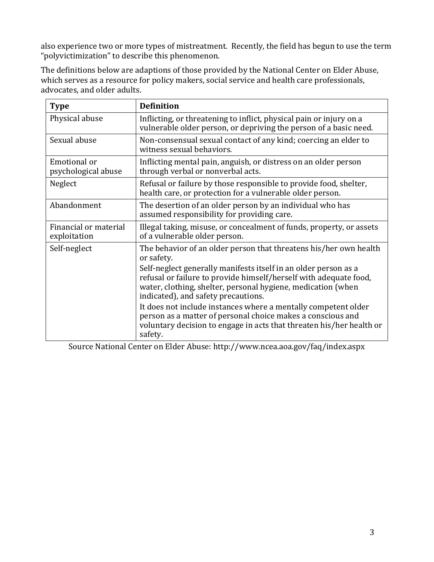also experience two or more types of mistreatment. Recently, the field has begun to use the term "polyvictimization" to describe this phenomenon.

The definitions below are adaptions of those provided by the National Center on Elder Abuse, which serves as a resource for policy makers, social service and health care professionals, advocates, and older adults.

| <b>Type</b>                           | <b>Definition</b>                                                                                                                                                                                                                                                                                                                                                                                                                                                                                                                                  |
|---------------------------------------|----------------------------------------------------------------------------------------------------------------------------------------------------------------------------------------------------------------------------------------------------------------------------------------------------------------------------------------------------------------------------------------------------------------------------------------------------------------------------------------------------------------------------------------------------|
| Physical abuse                        | Inflicting, or threatening to inflict, physical pain or injury on a<br>vulnerable older person, or depriving the person of a basic need.                                                                                                                                                                                                                                                                                                                                                                                                           |
| Sexual abuse                          | Non-consensual sexual contact of any kind; coercing an elder to<br>witness sexual behaviors.                                                                                                                                                                                                                                                                                                                                                                                                                                                       |
| Emotional or<br>psychological abuse   | Inflicting mental pain, anguish, or distress on an older person<br>through verbal or nonverbal acts.                                                                                                                                                                                                                                                                                                                                                                                                                                               |
| Neglect                               | Refusal or failure by those responsible to provide food, shelter,<br>health care, or protection for a vulnerable older person.                                                                                                                                                                                                                                                                                                                                                                                                                     |
| Abandonment                           | The desertion of an older person by an individual who has<br>assumed responsibility for providing care.                                                                                                                                                                                                                                                                                                                                                                                                                                            |
| Financial or material<br>exploitation | Illegal taking, misuse, or concealment of funds, property, or assets<br>of a vulnerable older person.                                                                                                                                                                                                                                                                                                                                                                                                                                              |
| Self-neglect                          | The behavior of an older person that threatens his/her own health<br>or safety.<br>Self-neglect generally manifests itself in an older person as a<br>refusal or failure to provide himself/herself with adequate food,<br>water, clothing, shelter, personal hygiene, medication (when<br>indicated), and safety precautions.<br>It does not include instances where a mentally competent older<br>person as a matter of personal choice makes a conscious and<br>voluntary decision to engage in acts that threaten his/her health or<br>safety. |

Source National Center on Elder Abuse:<http://www.ncea.aoa.gov/faq/index.aspx>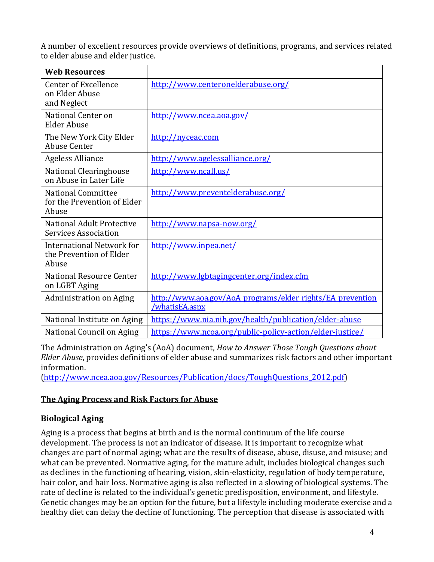A number of excellent resources provide overviews of definitions, programs, and services related to elder abuse and elder justice.

| <b>Web Resources</b>                                              |                                                                              |
|-------------------------------------------------------------------|------------------------------------------------------------------------------|
| Center of Excellence<br>on Elder Abuse<br>and Neglect             | http://www.centeronelderabuse.org/                                           |
| National Center on<br><b>Elder Abuse</b>                          | http://www.ncea.aoa.gov/                                                     |
| The New York City Elder<br>Abuse Center                           | http://nyceac.com                                                            |
| <b>Ageless Alliance</b>                                           | http://www.agelessalliance.org/                                              |
| National Clearinghouse<br>on Abuse in Later Life                  | http://www.ncall.us/                                                         |
| <b>National Committee</b><br>for the Prevention of Elder<br>Abuse | http://www.preventelderabuse.org/                                            |
| National Adult Protective<br><b>Services Association</b>          | http://www.napsa-now.org/                                                    |
| International Network for<br>the Prevention of Elder<br>Abuse     | http://www.inpea.net/                                                        |
| National Resource Center<br>on LGBT Aging                         | http://www.lgbtagingcenter.org/index.cfm                                     |
| <b>Administration on Aging</b>                                    | http://www.aoa.gov/AoA programs/elder rights/EA prevention<br>/whatisEA.aspx |
| National Institute on Aging                                       | https://www.nia.nih.gov/health/publication/elder-abuse                       |
| National Council on Aging                                         | https://www.ncoa.org/public-policy-action/elder-justice/                     |

The Administration on Aging's (AoA) document, *How to Answer Those Tough Questions about Elder Abuse*, provides definitions of elder abuse and summarizes risk factors and other important information.

[\(http://www.ncea.aoa.gov/Resources/Publication/docs/ToughQuestions\\_2012.pdf\)](http://www.ncea.aoa.gov/Resources/Publication/docs/ToughQuestions_2012.pdf)

## <span id="page-5-0"></span>**The Aging Process and Risk Factors for Abuse**

#### **Biological Aging**

Aging is a process that begins at birth and is the normal continuum of the life course development. The process is not an indicator of disease. It is important to recognize what changes are part of normal aging; what are the results of disease, abuse, disuse, and misuse; and what can be prevented. Normative aging, for the mature adult, includes biological changes such as declines in the functioning of hearing, vision, skin-elasticity, regulation of body temperature, hair color, and hair loss. Normative aging is also reflected in a slowing of biological systems. The rate of decline is related to the individual's genetic predisposition, environment, and lifestyle. Genetic changes may be an option for the future, but a lifestyle including moderate exercise and a healthy diet can delay the decline of functioning. The perception that disease is associated with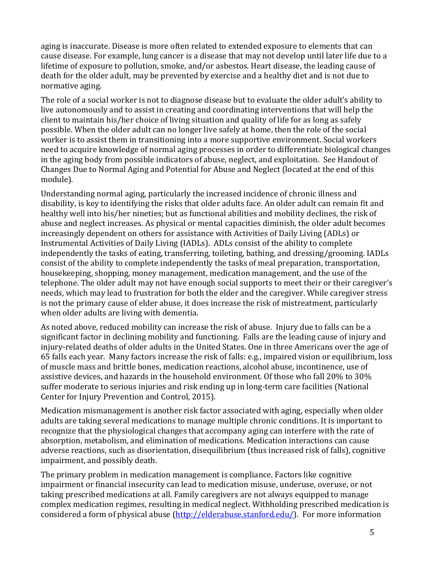aging is inaccurate. Disease is more often related to extended exposure to elements that can cause disease. For example, lung cancer is a disease that may not develop until later life due to a lifetime of exposure to pollution, smoke, and/or asbestos. Heart disease, the leading cause of death for the older adult, may be prevented by exercise and a healthy diet and is not due to normative aging.

The role of a social worker is not to diagnose disease but to evaluate the older adult's ability to live autonomously and to assist in creating and coordinating interventions that will help the client to maintain his/her choice of living situation and quality of life for as long as safely possible. When the older adult can no longer live safely at home, then the role of the social worker is to assist them in transitioning into a more supportive environment. Social workers need to acquire knowledge of normal aging processes in order to differentiate biological changes in the aging body from possible indicators of abuse, neglect, and exploitation. See Handout of Changes Due to Normal Aging and Potential for Abuse and Neglect (located at the end of this module).

Understanding normal aging, particularly the increased incidence of chronic illness and disability, is key to identifying the risks that older adults face. An older adult can remain fit and healthy well into his/her nineties; but as functional abilities and mobility declines, the risk of abuse and neglect increases. As physical or mental capacities diminish, the older adult becomes increasingly dependent on others for assistance with Activities of Daily Living (ADLs) or Instrumental Activities of Daily Living (IADLs). ADLs consist of the ability to complete independently the tasks of eating, transferring, toileting, bathing, and dressing/grooming. IADLs consist of the ability to complete independently the tasks of meal preparation, transportation, housekeeping, shopping, money management, medication management, and the use of the telephone. The older adult may not have enough social supports to meet their or their caregiver's needs, which may lead to frustration for both the elder and the caregiver. While caregiver stress is not the primary cause of elder abuse, it does increase the risk of mistreatment, particularly when older adults are living with dementia.

As noted above, reduced mobility can increase the risk of abuse. Injury due to falls can be a significant factor in declining mobility and functioning. Falls are the leading cause of injury and injury-related deaths of older adults in the United States. One in three Americans over the age of 65 falls each year. Many factors increase the risk of falls: e.g., impaired vision or equilibrium, loss of muscle mass and brittle bones, medication reactions, alcohol abuse, incontinence, use of assistive devices, and hazards in the household environment. Of those who fall 20% to 30% suffer moderate to serious injuries and risk ending up in long-term care facilities (National Center for Injury Prevention and Control, 2015).

Medication mismanagement is another risk factor associated with aging, especially when older adults are taking several medications to manage multiple chronic conditions. It is important to recognize that the physiological changes that accompany aging can interfere with the rate of absorption, metabolism, and elimination of medications. Medication interactions can cause adverse reactions, such as disorientation, disequilibrium (thus increased risk of falls), cognitive impairment, and possibly death.

The primary problem in medication management is compliance. Factors like cognitive impairment or financial insecurity can lead to medication misuse, underuse, overuse, or not taking prescribed medications at all. Family caregivers are not always equipped to manage complex medication regimes, resulting in medical neglect. Withholding prescribed medication is considered a form of physical abuse [\(http://elderabuse.stanford.edu/\)](http://elderabuse.stanford.edu/). For more information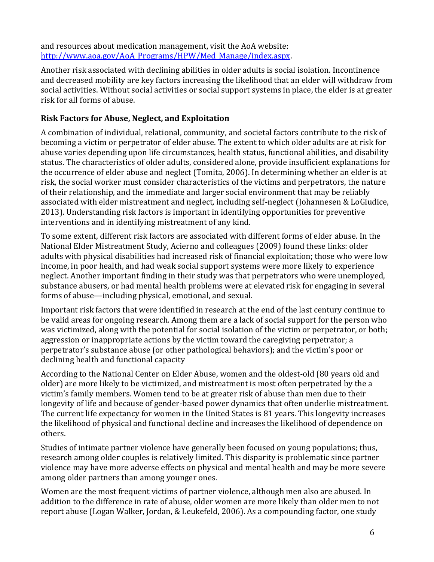and resources about medication management, visit the AoA website: [http://www.aoa.gov/AoA\\_Programs/HPW/Med\\_Manage/index.aspx.](http://www.aoa.gov/AoA_Programs/HPW/Med_Manage/index.aspx)

Another risk associated with declining abilities in older adults is social isolation. Incontinence and decreased mobility are key factors increasing the likelihood that an elder will withdraw from social activities. Without social activities or social support systems in place, the elder is at greater risk for all forms of abuse.

## **Risk Factors for Abuse, Neglect, and Exploitation**

A combination of individual, relational, community, and societal factors contribute to the risk of becoming a victim or perpetrator of elder abuse. The extent to which older adults are at risk for abuse varies depending upon life circumstances, health status, functional abilities, and disability status. The characteristics of older adults, considered alone, provide insufficient explanations for the occurrence of elder abuse and neglect (Tomita, 2006). In determining whether an elder is at risk, the social worker must consider characteristics of the victims and perpetrators, the nature of their relationship, and the immediate and larger social environment that may be reliably associated with elder mistreatment and neglect, including self-neglect (Johannesen & LoGiudice, 2013). Understanding risk factors is important in identifying opportunities for preventive interventions and in identifying mistreatment of any kind.

To some extent, different risk factors are associated with different forms of elder abuse. In the National Elder Mistreatment Study, Acierno and colleagues (2009) found these links: older adults with physical disabilities had increased risk of financial exploitation; those who were low income, in poor health, and had weak social support systems were more likely to experience neglect. Another important finding in their study was that perpetrators who were unemployed, substance abusers, or had mental health problems were at elevated risk for engaging in several forms of abuse—including physical, emotional, and sexual.

Important risk factors that were identified in research at the end of the last century continue to be valid areas for ongoing research. Among them are a lack of social support for the person who was victimized, along with the potential for social isolation of the victim or perpetrator, or both; aggression or inappropriate actions by the victim toward the caregiving perpetrator; a perpetrator's substance abuse (or other pathological behaviors); and the victim's poor or declining health and functional capacity

According to the National Center on Elder Abuse, women and the oldest-old (80 years old and older) are more likely to be victimized, and mistreatment is most often perpetrated by the a victim's family members. Women tend to be at greater risk of abuse than men due to their longevity of life and because of gender-based power dynamics that often underlie mistreatment. The current life expectancy for women in the United States is 81 years. This longevity increases the likelihood of physical and functional decline and increases the likelihood of dependence on others.

Studies of intimate partner violence have generally been focused on young populations; thus, research among older couples is relatively limited. This disparity is problematic since partner violence may have more adverse effects on physical and mental health and may be more severe among older partners than among younger ones.

Women are the most frequent victims of partner violence, although men also are abused. In addition to the difference in rate of abuse, older women are more likely than older men to not report abuse (Logan Walker, Jordan, & Leukefeld, 2006). As a compounding factor, one study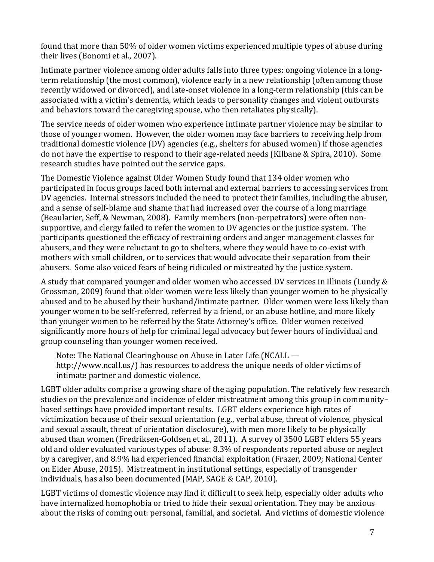found that more than 50% of older women victims experienced multiple types of abuse during their lives (Bonomi et al., 2007).

Intimate partner violence among older adults falls into three types: ongoing violence in a longterm relationship (the most common), violence early in a new relationship (often among those recently widowed or divorced), and late-onset violence in a long-term relationship (this can be associated with a victim's dementia, which leads to personality changes and violent outbursts and behaviors toward the caregiving spouse, who then retaliates physically).

The service needs of older women who experience intimate partner violence may be similar to those of younger women. However, the older women may face barriers to receiving help from traditional domestic violence (DV) agencies (e.g., shelters for abused women) if those agencies do not have the expertise to respond to their age-related needs (Kilbane & Spira, 2010). Some research studies have pointed out the service gaps.

The Domestic Violence against Older Women Study found that 134 older women who participated in focus groups faced both internal and external barriers to accessing services from DV agencies. Internal stressors included the need to protect their families, including the abuser, and a sense of self-blame and shame that had increased over the course of a long marriage (Beaularier, Seff, & Newman, 2008). Family members (non-perpetrators) were often nonsupportive, and clergy failed to refer the women to DV agencies or the justice system. The participants questioned the efficacy of restraining orders and anger management classes for abusers, and they were reluctant to go to shelters, where they would have to co-exist with mothers with small children, or to services that would advocate their separation from their abusers. Some also voiced fears of being ridiculed or mistreated by the justice system.

A study that compared younger and older women who accessed DV services in Illinois (Lundy & Grossman, 2009) found that older women were less likely than younger women to be physically abused and to be abused by their husband/intimate partner. Older women were less likely than younger women to be self-referred, referred by a friend, or an abuse hotline, and more likely than younger women to be referred by the State Attorney's office. Older women received significantly more hours of help for criminal legal advocacy but fewer hours of individual and group counseling than younger women received.

Note: The National Clearinghouse on Abuse in Later Life (NCALL [http://www.ncall.us/\)](http://www.ncall.us/) has resources to address the unique needs of older victims of intimate partner and domestic violence.

LGBT older adults comprise a growing share of the aging population. The relatively few research studies on the prevalence and incidence of elder mistreatment among this group in community– based settings have provided important results. LGBT elders experience high rates of victimization because of their sexual orientation (e.g., verbal abuse, threat of violence, physical and sexual assault, threat of orientation disclosure), with men more likely to be physically abused than women (Fredriksen-Goldsen et al., 2011). A survey of 3500 LGBT elders 55 years old and older evaluated various types of abuse: 8.3% of respondents reported abuse or neglect by a caregiver, and 8.9% had experienced financial exploitation (Frazer, 2009; National Center on Elder Abuse, 2015). Mistreatment in institutional settings, especially of transgender individuals, has also been documented (MAP, SAGE & CAP, 2010).

LGBT victims of domestic violence may find it difficult to seek help, especially older adults who have internalized homophobia or tried to hide their sexual orientation. They may be anxious about the risks of coming out: personal, familial, and societal. And victims of domestic violence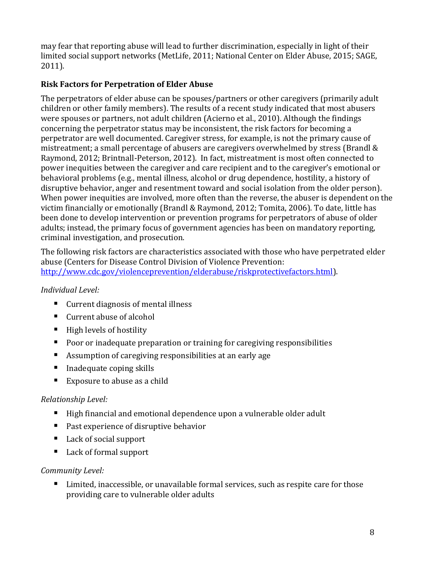may fear that reporting abuse will lead to further discrimination, especially in light of their limited social support networks (MetLife, 2011; National Center on Elder Abuse, 2015; SAGE, 2011).

## **Risk Factors for Perpetration of Elder Abuse**

The perpetrators of elder abuse can be spouses/partners or other caregivers (primarily adult children or other family members). The results of a recent study indicated that most abusers were spouses or partners, not adult children (Acierno et al., 2010). Although the findings concerning the perpetrator status may be inconsistent, the risk factors for becoming a perpetrator are well documented. Caregiver stress, for example, is not the primary cause of mistreatment; a small percentage of abusers are caregivers overwhelmed by stress (Brandl & Raymond, 2012; Brintnall-Peterson, 2012). In fact, mistreatment is most often connected to power inequities between the caregiver and care recipient and to the caregiver's emotional or behavioral problems (e.g., mental illness, alcohol or drug dependence, hostility, a history of disruptive behavior, anger and resentment toward and social isolation from the older person). When power inequities are involved, more often than the reverse, the abuser is dependent on the victim financially or emotionally (Brandl & Raymond, 2012; Tomita, 2006). To date, little has been done to develop intervention or prevention programs for perpetrators of abuse of older adults; instead, the primary focus of government agencies has been on mandatory reporting, criminal investigation, and prosecution.

The following risk factors are characteristics associated with those who have perpetrated elder abuse (Centers for Disease Control Division of Violence Prevention: [http://www.cdc.gov/violenceprevention/elderabuse/riskprotectivefactors.html\)](http://www.cdc.gov/violenceprevention/elderabuse/riskprotectivefactors.html).

## *Individual Level:*

- Current diagnosis of mental illness
- Current abuse of alcohol
- $\blacksquare$  High levels of hostility
- **Poor or inadequate preparation or training for caregiving responsibilities**
- Assumption of caregiving responsibilities at an early age
- $\blacksquare$  Inadequate coping skills
- Exposure to abuse as a child

## *Relationship Level:*

- High financial and emotional dependence upon a vulnerable older adult
- **Past experience of disruptive behavior**
- Lack of social support
- Lack of formal support

## *Community Level:*

■ Limited, inaccessible, or unavailable formal services, such as respite care for those providing care to vulnerable older adults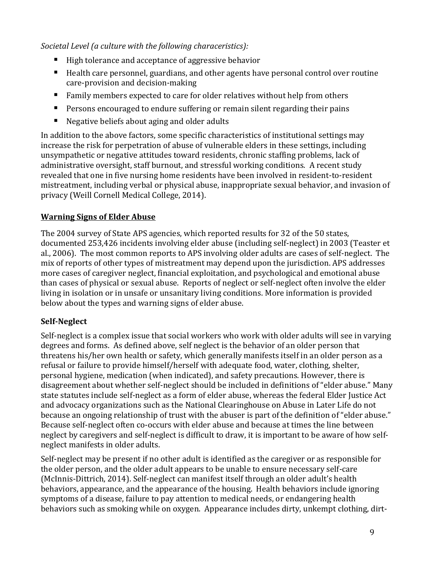*Societal Level (a culture with the following characeristics):*

- High tolerance and acceptance of aggressive behavior
- Health care personnel, guardians, and other agents have personal control over routine care-provision and decision-making
- Family members expected to care for older relatives without help from others
- **Persons encouraged to endure suffering or remain silent regarding their pains**
- Negative beliefs about aging and older adults

In addition to the above factors, some specific characteristics of institutional settings may increase the risk for perpetration of abuse of vulnerable elders in these settings, including unsympathetic or negative attitudes toward residents, chronic staffing problems, lack of administrative oversight, staff burnout, and stressful working conditions. A recent study revealed that one in five nursing home residents have been involved in resident-to-resident mistreatment, including verbal or physical abuse, inappropriate sexual behavior, and invasion of privacy (Weill Cornell Medical College, 2014).

## <span id="page-10-0"></span>**Warning Signs of Elder Abuse**

The 2004 survey of State APS agencies, which reported results for 32 of the 50 states, documented 253,426 incidents involving elder abuse (including self-neglect) in 2003 (Teaster et al., 2006). The most common reports to APS involving older adults are cases of self-neglect. The mix of reports of other types of mistreatment may depend upon the jurisdiction. APS addresses more cases of caregiver neglect, financial exploitation, and psychological and emotional abuse than cases of physical or sexual abuse. Reports of neglect or self-neglect often involve the elder living in isolation or in unsafe or unsanitary living conditions. More information is provided below about the types and warning signs of elder abuse.

# **Self-Neglect**

Self-neglect is a complex issue that social workers who work with older adults will see in varying degrees and forms. As defined above, self neglect is the behavior of an older person that threatens his/her own health or safety, which generally manifests itself in an older person as a refusal or failure to provide himself/herself with adequate food, water, clothing, shelter, personal hygiene, medication (when indicated), and safety precautions. However, there is disagreement about whether self-neglect should be included in definitions of "elder abuse." Many state statutes include self-neglect as a form of elder abuse, whereas the federal Elder Justice Act and advocacy organizations such as the National Clearinghouse on Abuse in Later Life do not because an ongoing relationship of trust with the abuser is part of the definition of "elder abuse." Because self-neglect often co-occurs with elder abuse and because at times the line between neglect by caregivers and self-neglect is difficult to draw, it is important to be aware of how selfneglect manifests in older adults.

Self-neglect may be present if no other adult is identified as the caregiver or as responsible for the older person, and the older adult appears to be unable to ensure necessary self-care (McInnis-Dittrich, 2014). Self-neglect can manifest itself through an older adult's health behaviors, appearance, and the appearance of the housing. Health behaviors include ignoring symptoms of a disease, failure to pay attention to medical needs, or endangering health behaviors such as smoking while on oxygen. Appearance includes dirty, unkempt clothing, dirt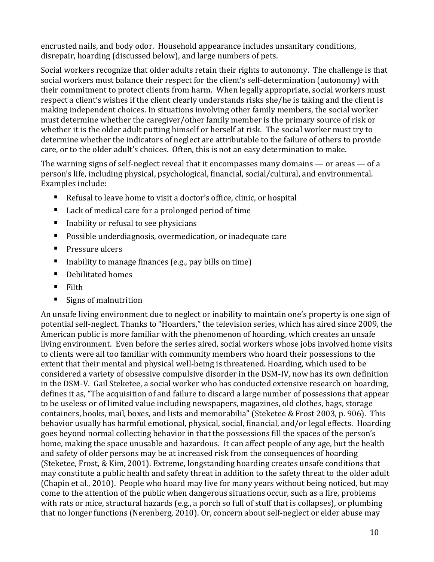encrusted nails, and body odor. Household appearance includes unsanitary conditions, disrepair, hoarding (discussed below), and large numbers of pets.

Social workers recognize that older adults retain their rights to autonomy. The challenge is that social workers must balance their respect for the client's self-determination (autonomy) with their commitment to protect clients from harm. When legally appropriate, social workers must respect a client's wishes if the client clearly understands risks she/he is taking and the client is making independent choices. In situations involving other family members, the social worker must determine whether the caregiver/other family member is the primary source of risk or whether it is the older adult putting himself or herself at risk. The social worker must try to determine whether the indicators of neglect are attributable to the failure of others to provide care, or to the older adult's choices. Often, this is not an easy determination to make.

The warning signs of self-neglect reveal that it encompasses many domains — or areas — of a person's life, including physical, psychological, financial, social/cultural, and environmental. Examples include:

- Refusal to leave home to visit a doctor's office, clinic, or hospital
- Lack of medical care for a prolonged period of time
- Inability or refusal to see physicians
- Possible underdiagnosis, overmedication, or inadequate care
- **Pressure ulcers**
- Inability to manage finances (e.g., pay bills on time)
- Debilitated homes
- $\blacksquare$  Filth
- Signs of malnutrition

An unsafe living environment due to neglect or inability to maintain one's property is one sign of potential self-neglect. Thanks to "Hoarders," the television series, which has aired since 2009, the American public is more familiar with the phenomenon of hoarding, which creates an unsafe living environment. Even before the series aired, social workers whose jobs involved home visits to clients were all too familiar with community members who hoard their possessions to the extent that their mental and physical well-being is threatened. Hoarding, which used to be considered a variety of obsessive compulsive disorder in the DSM-IV, now has its own definition in the DSM-V. Gail Steketee, a social worker who has conducted extensive research on hoarding, defines it as, "The acquisition of and failure to discard a large number of possessions that appear to be useless or of limited value including newspapers, magazines, old clothes, bags, storage containers, books, mail, boxes, and lists and memorabilia" (Steketee & Frost 2003, p. 906). This behavior usually has harmful emotional, physical, social, financial, and/or legal effects. Hoarding goes beyond normal collecting behavior in that the possessions fill the spaces of the person's home, making the space unusable and hazardous. It can affect people of any age, but the health and safety of older persons may be at increased risk from the consequences of hoarding (Steketee, Frost, & Kim, 2001). Extreme, longstanding hoarding creates unsafe conditions that may constitute a public health and safety threat in addition to the safety threat to the older adult (Chapin et al., 2010). People who hoard may live for many years without being noticed, but may come to the attention of the public when dangerous situations occur, such as a fire, problems with rats or mice, structural hazards (e.g., a porch so full of stuff that is collapses), or plumbing that no longer functions (Nerenberg, 2010). Or, concern about self-neglect or elder abuse may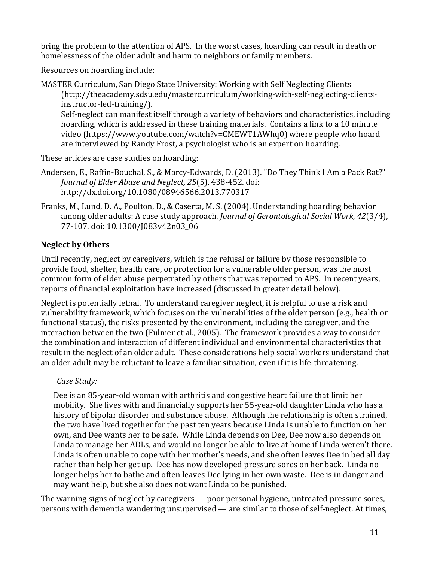bring the problem to the attention of APS. In the worst cases, hoarding can result in death or homelessness of the older adult and harm to neighbors or family members.

Resources on hoarding include:

MASTER Curriculum, San Diego State University: Working with Self Neglecting Clients [\(http://theacademy.sdsu.edu/mastercurriculum/working-with-self-neglecting-clients](http://theacademy.sdsu.edu/mastercurriculum/working-with-self-neglecting-clients-instructor-led-training/)[instructor-led-training/\)](http://theacademy.sdsu.edu/mastercurriculum/working-with-self-neglecting-clients-instructor-led-training/).

Self-neglect can manifest itself through a variety of behaviors and characteristics, including hoarding, which is addressed in these training materials. Contains a link to a 10 minute video [\(https://www.youtube.com/watch?v=CMEWT1AWhq0\)](https://www.youtube.com/watch?v=CMEWT1AWhq0) where people who hoard are interviewed by Randy Frost, a psychologist who is an expert on hoarding.

These articles are case studies on hoarding:

- Andersen, E., Raffin-Bouchal, S., & Marcy-Edwards, D. (2013). "Do They Think I Am a Pack Rat?" *Journal of Elder Abuse and Neglect, 25*(5), 438-452. doi: <http://dx.doi.org/10.1080/08946566.2013.770317>
- Franks, M., Lund, D. A., Poulton, D., & Caserta, M. S. (2004). Understanding hoarding behavior among older adults: A case study approach. *Journal of Gerontological Social Work, 42*(3/4), 77-107. doi: 10.1300/J083v42n03\_06

## **Neglect by Others**

Until recently, neglect by caregivers, which is the refusal or failure by those responsible to provide food, shelter, health care, or protection for a vulnerable older person, was the most common form of elder abuse perpetrated by others that was reported to APS. In recent years, reports of financial exploitation have increased (discussed in greater detail below).

Neglect is potentially lethal. To understand caregiver neglect, it is helpful to use a risk and vulnerability framework, which focuses on the vulnerabilities of the older person (e.g., health or functional status), the risks presented by the environment, including the caregiver, and the interaction between the two (Fulmer et al., 2005). The framework provides a way to consider the combination and interaction of different individual and environmental characteristics that result in the neglect of an older adult. These considerations help social workers understand that an older adult may be reluctant to leave a familiar situation, even if it is life-threatening.

## *Case Study:*

Dee is an 85-year-old woman with arthritis and congestive heart failure that limit her mobility. She lives with and financially supports her 55-year-old daughter Linda who has a history of bipolar disorder and substance abuse. Although the relationship is often strained, the two have lived together for the past ten years because Linda is unable to function on her own, and Dee wants her to be safe. While Linda depends on Dee, Dee now also depends on Linda to manage her ADLs, and would no longer be able to live at home if Linda weren't there. Linda is often unable to cope with her mother's needs, and she often leaves Dee in bed all day rather than help her get up. Dee has now developed pressure sores on her back. Linda no longer helps her to bathe and often leaves Dee lying in her own waste. Dee is in danger and may want help, but she also does not want Linda to be punished.

The warning signs of neglect by caregivers — poor personal hygiene, untreated pressure sores, persons with dementia wandering unsupervised — are similar to those of self-neglect. At times,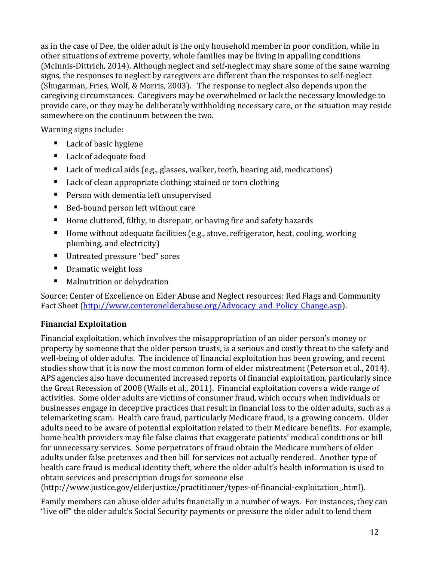as in the case of Dee, the older adult is the only household member in poor condition, while in other situations of extreme poverty, whole families may be living in appalling conditions (McInnis-Dittrich, 2014). Although neglect and self-neglect may share some of the same warning signs, the responses to neglect by caregivers are different than the responses to self-neglect (Shugarman, Fries, Wolf, & Morris, 2003). The response to neglect also depends upon the caregiving circumstances. Caregivers may be overwhelmed or lack the necessary knowledge to provide care, or they may be deliberately withholding necessary care, or the situation may reside somewhere on the continuum between the two.

Warning signs include:

- Lack of basic hygiene
- Lack of adequate food
- Lack of medical aids (e.g., glasses, walker, teeth, hearing aid, medications)
- Lack of clean appropriate clothing; stained or torn clothing
- **Person with dementia left unsupervised**
- Bed-bound person left without care
- Home cluttered, filthy, in disrepair, or having fire and safety hazards
- Home without adequate facilities (e.g., stove, refrigerator, heat, cooling, working plumbing, and electricity)
- Untreated pressure "bed" sores
- **Dramatic weight loss**
- Malnutrition or dehydration

Source: Center of Excellence on Elder Abuse and Neglect resources: Red Flags and Community Fact Sheet (http://www.centeronelderabuse.org/Advocacy and Policy Change.asp).

## **Financial Exploitation**

Financial exploitation, which involves the misappropriation of an older person's money or property by someone that the older person trusts, is a serious and costly threat to the safety and well-being of older adults. The incidence of financial exploitation has been growing, and recent studies show that it is now the most common form of elder mistreatment (Peterson et al., 2014). APS agencies also have documented increased reports of financial exploitation, particularly since the Great Recession of 2008 (Walls et al., 2011). Financial exploitation covers a wide range of activities. Some older adults are victims of consumer fraud, which occurs when individuals or businesses engage in deceptive practices that result in financial loss to the older adults, such as a telemarketing scam. Health care fraud, particularly Medicare fraud, is a growing concern. Older adults need to be aware of potential exploitation related to their Medicare benefits. For example, home health providers may file false claims that exaggerate patients' medical conditions or bill for unnecessary services. Some perpetrators of fraud obtain the Medicare numbers of older adults under false pretenses and then bill for services not actually rendered. Another type of health care fraud is medical identity theft, where the older adult's health information is used to obtain services and prescription drugs for someone else

(http://www.justice.gov/elderjustice/practitioner/types-of-financial-exploitation\_.html).

Family members can abuse older adults financially in a number of ways. For instances, they can "live off" the older adult's Social Security payments or pressure the older adult to lend them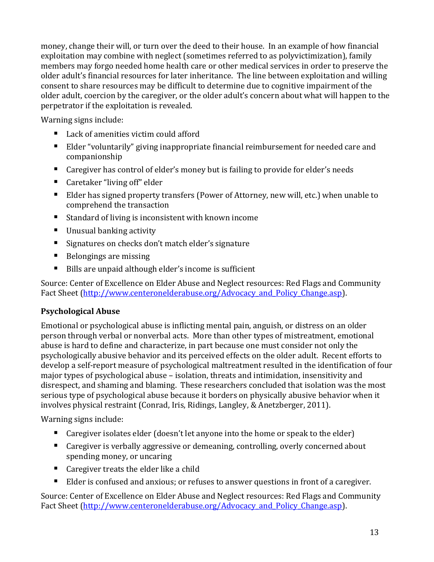money, change their will, or turn over the deed to their house. In an example of how financial exploitation may combine with neglect (sometimes referred to as polyvictimization), family members may forgo needed home health care or other medical services in order to preserve the older adult's financial resources for later inheritance. The line between exploitation and willing consent to share resources may be difficult to determine due to cognitive impairment of the older adult, coercion by the caregiver, or the older adult's concern about what will happen to the perpetrator if the exploitation is revealed.

Warning signs include:

- Lack of amenities victim could afford
- Elder "voluntarily" giving inappropriate financial reimbursement for needed care and companionship
- Caregiver has control of elder's money but is failing to provide for elder's needs
- Caretaker "living off" elder
- Elder has signed property transfers (Power of Attorney, new will, etc.) when unable to comprehend the transaction
- Standard of living is inconsistent with known income
- Unusual banking activity
- **Signatures on checks don't match elder's signature**
- Belongings are missing
- Bills are unpaid although elder's income is sufficient

Source: Center of Excellence on Elder Abuse and Neglect resources: Red Flags and Community Fact Sheet (http://www.centeronelderabuse.org/Advocacy and Policy Change.asp).

#### **Psychological Abuse**

Emotional or psychological abuse is inflicting mental pain, anguish, or distress on an older person through verbal or nonverbal acts. More than other types of mistreatment, emotional abuse is hard to define and characterize, in part because one must consider not only the psychologically abusive behavior and its perceived effects on the older adult. Recent efforts to develop a self-report measure of psychological maltreatment resulted in the identification of four major types of psychological abuse – isolation, threats and intimidation, insensitivity and disrespect, and shaming and blaming. These researchers concluded that isolation was the most serious type of psychological abuse because it borders on physically abusive behavior when it involves physical restraint (Conrad, Iris, Ridings, Langley, & Anetzberger, 2011).

Warning signs include:

- Caregiver isolates elder (doesn't let anyone into the home or speak to the elder)
- Caregiver is verbally aggressive or demeaning, controlling, overly concerned about spending money, or uncaring
- Caregiver treats the elder like a child
- Elder is confused and anxious; or refuses to answer questions in front of a caregiver.

Source: Center of Excellence on Elder Abuse and Neglect resources: Red Flags and Community Fact Sheet [\(http://www.centeronelderabuse.org/Advocacy\\_and\\_Policy\\_Change.asp\)](http://www.centeronelderabuse.org/Advocacy_and_Policy_Change.asp).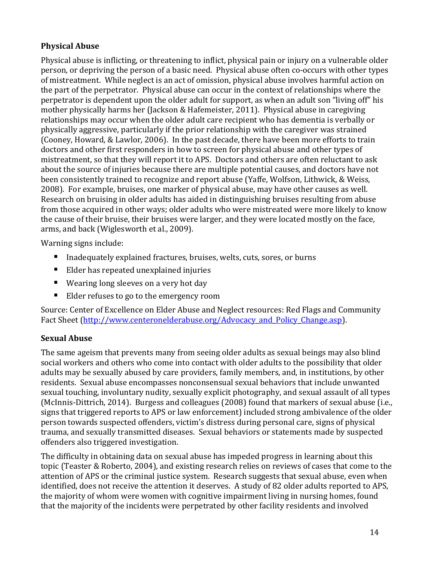## **Physical Abuse**

Physical abuse is inflicting, or threatening to inflict, physical pain or injury on a vulnerable older person, or depriving the person of a basic need. Physical abuse often co-occurs with other types of mistreatment. While neglect is an act of omission, physical abuse involves harmful action on the part of the perpetrator. Physical abuse can occur in the context of relationships where the perpetrator is dependent upon the older adult for support, as when an adult son "living off" his mother physically harms her (Jackson & Hafemeister, 2011). Physical abuse in caregiving relationships may occur when the older adult care recipient who has dementia is verbally or physically aggressive, particularly if the prior relationship with the caregiver was strained (Cooney, Howard, & Lawlor, 2006). In the past decade, there have been more efforts to train doctors and other first responders in how to screen for physical abuse and other types of mistreatment, so that they will report it to APS. Doctors and others are often reluctant to ask about the source of injuries because there are multiple potential causes, and doctors have not been consistently trained to recognize and report abuse (Yaffe, Wolfson, Lithwick, & Weiss, 2008). For example, bruises, one marker of physical abuse, may have other causes as well. Research on bruising in older adults has aided in distinguishing bruises resulting from abuse from those acquired in other ways; older adults who were mistreated were more likely to know the cause of their bruise, their bruises were larger, and they were located mostly on the face, arms, and back (Wiglesworth et al., 2009).

Warning signs include:

- Inadequately explained fractures, bruises, welts, cuts, sores, or burns
- Elder has repeated unexplained injuries
- Wearing long sleeves on a very hot day
- Elder refuses to go to the emergency room

Source: Center of Excellence on Elder Abuse and Neglect resources: Red Flags and Community Fact Sheet (http://www.centeronelderabuse.org/Advocacy and Policy Change.asp).

#### **Sexual Abuse**

The same ageism that prevents many from seeing older adults as sexual beings may also blind social workers and others who come into contact with older adults to the possibility that older adults may be sexually abused by care providers, family members, and, in institutions, by other residents. Sexual abuse encompasses nonconsensual sexual behaviors that include unwanted sexual touching, involuntary nudity, sexually explicit photography, and sexual assault of all types (McInnis-Dittrich, 2014). Burgess and colleagues (2008) found that markers of sexual abuse (i.e., signs that triggered reports to APS or law enforcement) included strong ambivalence of the older person towards suspected offenders, victim's distress during personal care, signs of physical trauma, and sexually transmitted diseases. Sexual behaviors or statements made by suspected offenders also triggered investigation.

The difficulty in obtaining data on sexual abuse has impeded progress in learning about this topic (Teaster & Roberto, 2004), and existing research relies on reviews of cases that come to the attention of APS or the criminal justice system. Research suggests that sexual abuse, even when identified, does not receive the attention it deserves. A study of 82 older adults reported to APS, the majority of whom were women with cognitive impairment living in nursing homes, found that the majority of the incidents were perpetrated by other facility residents and involved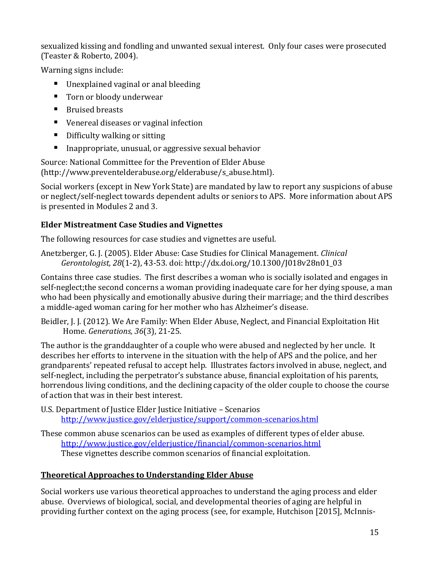sexualized kissing and fondling and unwanted sexual interest. Only four cases were prosecuted (Teaster & Roberto, 2004).

Warning signs include:

- Unexplained vaginal or anal bleeding
- Torn or bloody underwear
- Bruised breasts
- Venereal diseases or vaginal infection
- Difficulty walking or sitting
- **Inappropriate, unusual, or aggressive sexual behavior**

Source: National Committee for the Prevention of Elder Abuse [\(http://www.preventelderabuse.org/elderabuse/s\\_abuse.html\)](http://www.preventelderabuse.org/elderabuse/s_abuse.html).

Social workers (except in New York State) are mandated by law to report any suspicions of abuse or neglect/self-neglect towards dependent adults or seniors to APS. More information about APS is presented in Modules 2 and 3.

## **Elder Mistreatment Case Studies and Vignettes**

The following resources for case studies and vignettes are useful.

Anetzberger, G. J. (2005). Elder Abuse: Case Studies for Clinical Management. *Clinical Gerontologist, 28*(1-2), 43-53. doi: [http://dx.doi.org/10.1300/J018v28n01\\_03](http://dx.doi.org/10.1300/J018v28n01_03)

Contains three case studies. The first describes a woman who is socially isolated and engages in self-neglect;the second concerns a woman providing inadequate care for her dying spouse, a man who had been physically and emotionally abusive during their marriage; and the third describes a middle-aged woman caring for her mother who has Alzheimer's disease.

Beidler, J. J. (2012). We Are Family: When Elder Abuse, Neglect, and Financial Exploitation Hit Home. *Generations, 36*(3), 21-25.

The author is the granddaughter of a couple who were abused and neglected by her uncle. It describes her efforts to intervene in the situation with the help of APS and the police, and her grandparents' repeated refusal to accept help. Illustrates factors involved in abuse, neglect, and self-neglect, including the perpetrator's substance abuse, financial exploitation of his parents, horrendous living conditions, and the declining capacity of the older couple to choose the course of action that was in their best interest.

- U.S. Department of Justice Elder Justice Initiative Scenarios <http://www.justice.gov/elderjustice/support/common-scenarios.html>
- These common abuse scenarios can be used as examples of different types of elder abuse. <http://www.justice.gov/elderjustice/financial/common-scenarios.html> These vignettes describe common scenarios of financial exploitation.

## <span id="page-16-0"></span>**Theoretical Approaches to Understanding Elder Abuse**

Social workers use various theoretical approaches to understand the aging process and elder abuse. Overviews of biological, social, and developmental theories of aging are helpful in providing further context on the aging process (see, for example, Hutchison [2015], McInnis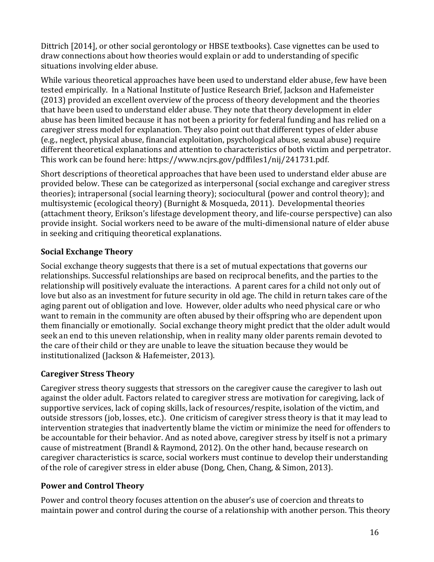Dittrich [2014⦎, or other social gerontology or HBSE textbooks). Case vignettes can be used to draw connections about how theories would explain or add to understanding of specific situations involving elder abuse.

While various theoretical approaches have been used to understand elder abuse, few have been tested empirically. In a National Institute of Justice Research Brief, Jackson and Hafemeister (2013) provided an excellent overview of the process of theory development and the theories that have been used to understand elder abuse. They note that theory development in elder abuse has been limited because it has not been a priority for federal funding and has relied on a caregiver stress model for explanation. They also point out that different types of elder abuse (e.g., neglect, physical abuse, financial exploitation, psychological abuse, sexual abuse) require different theoretical explanations and attention to characteristics of both victim and perpetrator. This work can be found here: [https://www.ncjrs.gov/pdffiles1/nij/241731.pdf.](https://www.ncjrs.gov/pdffiles1/nij/241731.pdf) 

Short descriptions of theoretical approaches that have been used to understand elder abuse are provided below. These can be categorized as interpersonal (social exchange and caregiver stress theories); intrapersonal (social learning theory); sociocultural (power and control theory); and multisystemic (ecological theory) (Burnight & Mosqueda, 2011). Developmental theories (attachment theory, Erikson's lifestage development theory, and life-course perspective) can also provide insight. Social workers need to be aware of the multi-dimensional nature of elder abuse in seeking and critiquing theoretical explanations.

## **Social Exchange Theory**

Social exchange theory suggests that there is a set of mutual expectations that governs our relationships. Successful relationships are based on reciprocal benefits, and the parties to the relationship will positively evaluate the interactions. A parent cares for a child not only out of love but also as an investment for future security in old age. The child in return takes care of the aging parent out of obligation and love. However, older adults who need physical care or who want to remain in the community are often abused by their offspring who are dependent upon them financially or emotionally. Social exchange theory might predict that the older adult would seek an end to this uneven relationship, when in reality many older parents remain devoted to the care of their child or they are unable to leave the situation because they would be institutionalized (Jackson & Hafemeister, 2013).

## **Caregiver Stress Theory**

Caregiver stress theory suggests that stressors on the caregiver cause the caregiver to lash out against the older adult. Factors related to caregiver stress are motivation for caregiving, lack of supportive services, lack of coping skills, lack of resources/respite, isolation of the victim, and outside stressors (job, losses, etc.). One criticism of caregiver stress theory is that it may lead to intervention strategies that inadvertently blame the victim or minimize the need for offenders to be accountable for their behavior. And as noted above, caregiver stress by itself is not a primary cause of mistreatment (Brandl & Raymond, 2012). On the other hand, because research on caregiver characteristics is scarce, social workers must continue to develop their understanding of the role of caregiver stress in elder abuse (Dong, Chen, Chang, & Simon, 2013).

## **Power and Control Theory**

Power and control theory focuses attention on the abuser's use of coercion and threats to maintain power and control during the course of a relationship with another person. This theory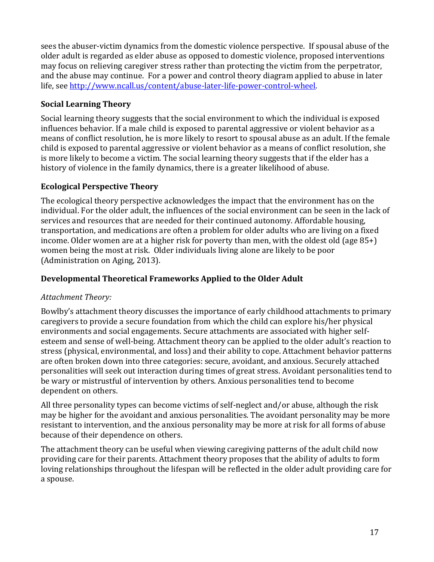sees the abuser-victim dynamics from the domestic violence perspective. If spousal abuse of the older adult is regarded as elder abuse as opposed to domestic violence, proposed interventions may focus on relieving caregiver stress rather than protecting the victim from the perpetrator, and the abuse may continue. For a power and control theory diagram applied to abuse in later life, see [http://www.ncall.us/content/abuse-later-life-power-control-wheel.](http://www.ncall.us/content/abuse-later-life-power-control-wheel)

## **Social Learning Theory**

Social learning theory suggests that the social environment to which the individual is exposed influences behavior. If a male child is exposed to parental aggressive or violent behavior as a means of conflict resolution, he is more likely to resort to spousal abuse as an adult. If the female child is exposed to parental aggressive or violent behavior as a means of conflict resolution, she is more likely to become a victim. The social learning theory suggests that if the elder has a history of violence in the family dynamics, there is a greater likelihood of abuse.

### **Ecological Perspective Theory**

The ecological theory perspective acknowledges the impact that the environment has on the individual. For the older adult, the influences of the social environment can be seen in the lack of services and resources that are needed for their continued autonomy. Affordable housing, transportation, and medications are often a problem for older adults who are living on a fixed income. Older women are at a higher risk for poverty than men, with the oldest old (age 85+) women being the most at risk. Older individuals living alone are likely to be poor (Administration on Aging, 2013).

#### **Developmental Theoretical Frameworks Applied to the Older Adult**

#### *Attachment Theory:*

Bowlby's attachment theory discusses the importance of early childhood attachments to primary caregivers to provide a secure foundation from which the child can explore his/her physical environments and social engagements. Secure attachments are associated with higher selfesteem and sense of well-being. Attachment theory can be applied to the older adult's reaction to stress (physical, environmental, and loss) and their ability to cope. Attachment behavior patterns are often broken down into three categories: secure, avoidant, and anxious. Securely attached personalities will seek out interaction during times of great stress. Avoidant personalities tend to be wary or mistrustful of intervention by others. Anxious personalities tend to become dependent on others.

All three personality types can become victims of self-neglect and/or abuse, although the risk may be higher for the avoidant and anxious personalities. The avoidant personality may be more resistant to intervention, and the anxious personality may be more at risk for all forms of abuse because of their dependence on others.

The attachment theory can be useful when viewing caregiving patterns of the adult child now providing care for their parents. Attachment theory proposes that the ability of adults to form loving relationships throughout the lifespan will be reflected in the older adult providing care for a spouse.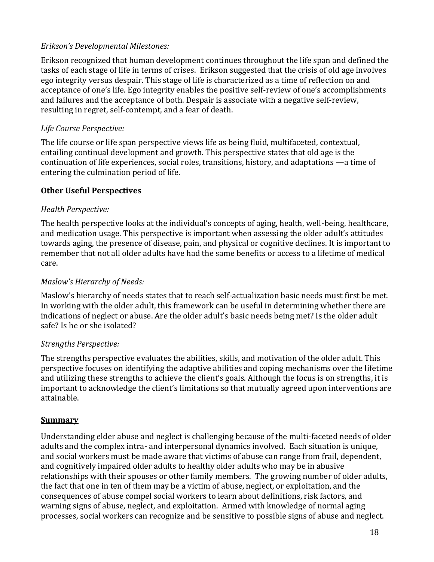#### *Erikson's Developmental Milestones:*

Erikson recognized that human development continues throughout the life span and defined the tasks of each stage of life in terms of crises. Erikson suggested that the crisis of old age involves ego integrity versus despair. This stage of life is characterized as a time of reflection on and acceptance of one's life. Ego integrity enables the positive self-review of one's accomplishments and failures and the acceptance of both. Despair is associate with a negative self-review, resulting in regret, self-contempt, and a fear of death.

## *Life Course Perspective:*

The life course or life span perspective views life as being fluid, multifaceted, contextual, entailing continual development and growth. This perspective states that old age is the continuation of life experiences, social roles, transitions, history, and adaptations —a time of entering the culmination period of life.

### **Other Useful Perspectives**

### *Health Perspective:*

The health perspective looks at the individual's concepts of aging, health, well-being, healthcare, and medication usage. This perspective is important when assessing the older adult's attitudes towards aging, the presence of disease, pain, and physical or cognitive declines. It is important to remember that not all older adults have had the same benefits or access to a lifetime of medical care.

### *Maslow's Hierarchy of Needs:*

Maslow's hierarchy of needs states that to reach self-actualization basic needs must first be met. In working with the older adult, this framework can be useful in determining whether there are indications of neglect or abuse. Are the older adult's basic needs being met? Is the older adult safe? Is he or she isolated?

#### *Strengths Perspective:*

The strengths perspective evaluates the abilities, skills, and motivation of the older adult. This perspective focuses on identifying the adaptive abilities and coping mechanisms over the lifetime and utilizing these strengths to achieve the client's goals. Although the focus is on strengths, it is important to acknowledge the client's limitations so that mutually agreed upon interventions are attainable.

#### <span id="page-19-0"></span>**Summary**

Understanding elder abuse and neglect is challenging because of the multi-faceted needs of older adults and the complex intra- and interpersonal dynamics involved. Each situation is unique, and social workers must be made aware that victims of abuse can range from frail, dependent, and cognitively impaired older adults to healthy older adults who may be in abusive relationships with their spouses or other family members. The growing number of older adults, the fact that one in ten of them may be a victim of abuse, neglect, or exploitation, and the consequences of abuse compel social workers to learn about definitions, risk factors, and warning signs of abuse, neglect, and exploitation. Armed with knowledge of normal aging processes, social workers can recognize and be sensitive to possible signs of abuse and neglect.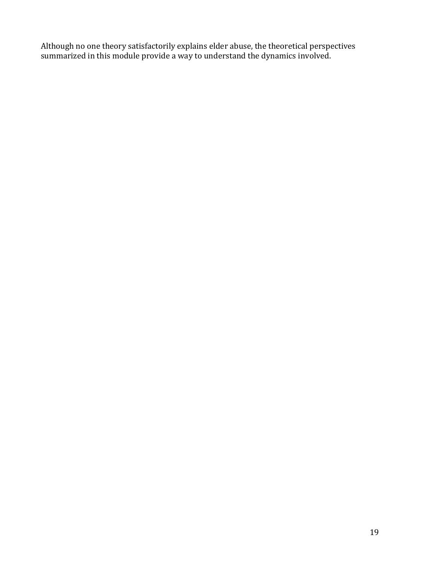Although no one theory satisfactorily explains elder abuse, the theoretical perspectives summarized in this module provide a way to understand the dynamics involved.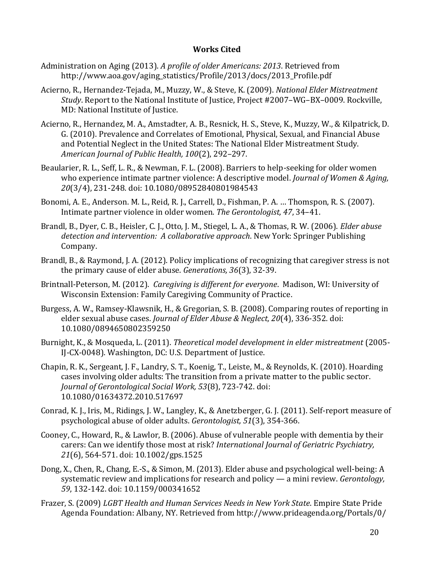#### **Works Cited**

- <span id="page-21-0"></span>Administration on Aging (2013). *A profile of older Americans: 2013*. Retrieved from http://www.aoa.gov/aging\_statistics/Profile/2013/docs/2013\_Profile.pdf
- Acierno, R., Hernandez-Tejada, M., Muzzy, W., & Steve, K. (2009). *National Elder Mistreatment Study*. Report to the National Institute of Justice, Project #2007–WG–BX–0009. Rockville, MD: National Institute of Justice.
- Acierno, R., Hernandez, M. A., Amstadter, A. B., Resnick, H. S., Steve, K., Muzzy, W., & Kilpatrick, D. G. (2010). Prevalence and Correlates of Emotional, Physical, Sexual, and Financial Abuse and Potential Neglect in the United States: The National Elder Mistreatment Study. *American Journal of Public Health, 100*(2), 292–297.
- Beaularier, R. L., Seff, L. R., & Newman, F. L. (2008). Barriers to help-seeking for older women who experience intimate partner violence: A descriptive model. *Journal of Women & Aging, 20*(3/4), 231-248. doi: 10.1080/08952840801984543
- Bonomi, A. E., Anderson. M. L., Reid, R. J., Carrell, D., Fishman, P. A. … Thomspon, R. S. (2007). Intimate partner violence in older women. *The Gerontologist, 47*, 34–41.
- Brandl, B., Dyer, C. B., Heisler, C. J., Otto, J. M., Stiegel, L. A., & Thomas, R. W. (2006). *Elder abuse detection and intervention: A collaborative approach*. New York: Springer Publishing Company.
- Brandl, B., & Raymond, J. A. (2012). Policy implications of recognizing that caregiver stress is not the primary cause of elder abuse. *Generations, 36*(3), 32-39.
- Brintnall-Peterson, M. (2012). *Caregiving is different for everyone*. Madison, WI: University of Wisconsin Extension: Family Caregiving Community of Practice.
- Burgess, A. W., Ramsey-Klawsnik, H., & Gregorian, S. B. (2008). Comparing routes of reporting in elder sexual abuse cases. *Journal of Elder Abuse & Neglect, 20*(4), 336-352. doi: 10.1080/0894650802359250
- Burnight, K., & Mosqueda, L. (2011). *Theoretical model development in elder mistreatment* (2005- IJ-CX-0048). Washington, DC: U.S. Department of Justice.
- Chapin, R. K., Sergeant, J. F., Landry, S. T., Koenig, T., Leiste, M., & Reynolds, K. (2010). Hoarding cases involving older adults: The transition from a private matter to the public sector. *Journal of Gerontological Social Work, 53*(8), 723-742. doi: 10.1080/01634372.2010.517697
- Conrad, K. J., Iris, M., Ridings, J. W., Langley, K., & Anetzberger, G. J. (2011). Self-report measure of psychological abuse of older adults. *Gerontologist, 51*(3), 354-366.
- Cooney, C., Howard, R., & Lawlor, B. (2006). Abuse of vulnerable people with dementia by their carers: Can we identify those most at risk? *International Journal of Geriatric Psychiatry, 21*(6), 564-571. doi: 10.1002/gps.1525
- Dong, X., Chen, R., Chang, E.-S., & Simon, M. (2013). Elder abuse and psychological well-being: A systematic review and implications for research and policy — a mini review. *Gerontology, 59*, 132-142. doi: 10.1159/000341652
- Frazer, S. (2009) *LGBT Health and Human Services Needs in New York State*. Empire State Pride Agenda Foundation: Albany, NY. Retrieved from http://www.prideagenda.org/Portals/0/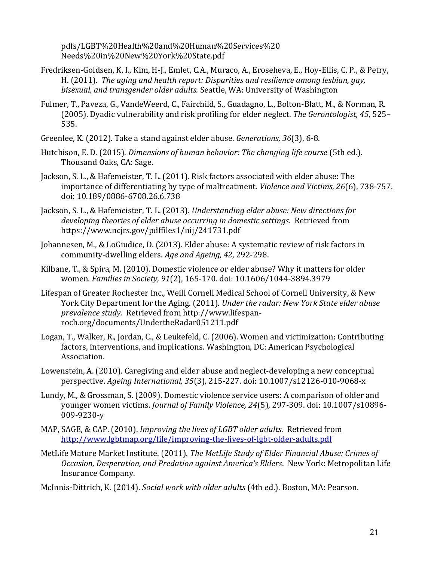pdfs/LGBT%20Health%20and%20Human%20Services%20 Needs%20in%20New%20York%20State.pdf

- Fredriksen-Goldsen, K. I., Kim, H-J., Emlet, C.A., Muraco, A., Eroseheva, E., Hoy-Ellis, C. P., & Petry, H. (2011). *The aging and health report: Disparities and resilience among lesbian, gay, bisexual, and transgender older adults.* Seattle, WA: University of Washington
- Fulmer, T., Paveza, G., VandeWeerd, C., Fairchild, S., Guadagno, L., Bolton-Blatt, M., & Norman, R. (2005). Dyadic vulnerability and risk profiling for elder neglect. *The Gerontologist, 45*, 525– 535.
- Greenlee, K. (2012). Take a stand against elder abuse. *Generations, 36*(3), 6-8.
- Hutchison, E. D. (2015). *Dimensions of human behavior: The changing life course* (5th ed.). Thousand Oaks, CA: Sage.
- Jackson, S. L., & Hafemeister, T. L. (2011). Risk factors associated with elder abuse: The importance of differentiating by type of maltreatment. *Violence and Victims, 26*(6), 738-757. doi: 10.189/0886-6708.26.6.738
- Jackson, S. L., & Hafemeister, T. L. (2013). *Understanding elder abuse: New directions for developing theories of elder abuse occurring in domestic settings*. Retrieved from https://www.ncjrs.gov/pdffiles1/nij/241731.pdf
- Johannesen, M., & LoGiudice, D. (2013). Elder abuse: A systematic review of risk factors in community-dwelling elders. *Age and Ageing, 42*, 292-298.
- Kilbane, T., & Spira, M. (2010). Domestic violence or elder abuse? Why it matters for older women. *Families in Society, 91*(2), 165-170. doi: 10.1606/1044-3894.3979
- Lifespan of Greater Rochester Inc., Weill Cornell Medical School of Cornell University, & New York City Department for the Aging. (2011). *Under the radar: New York State elder abuse prevalence study.* Retrieved from [http://www.lifespan](http://www.lifespan-roch.org/documents/UndertheRadar051211.pdf)[roch.org/documents/UndertheRadar051211.pdf](http://www.lifespan-roch.org/documents/UndertheRadar051211.pdf)
- Logan, T., Walker, R., Jordan, C., & Leukefeld, C. (2006). Women and victimization: Contributing factors, interventions, and implications. Washington, DC: American Psychological Association.
- Lowenstein, A. (2010). Caregiving and elder abuse and neglect-developing a new conceptual perspective. *Ageing International, 35*(3), 215-227. doi: 10.1007/s12126-010-9068-x
- Lundy, M., & Grossman, S. (2009). Domestic violence service users: A comparison of older and younger women victims. *Journal of Family Violence, 24*(5), 297-309. doi: 10.1007/s10896- 009-9230-y
- MAP, SAGE, & CAP. (2010). *Improving the lives of LGBT older adults*. Retrieved from <http://www.lgbtmap.org/file/improving-the-lives-of-lgbt-older-adults.pdf>
- MetLife Mature Market Institute. (2011). *The MetLife Study of Elder Financial Abuse: Crimes of Occasion, Desperation, and Predation against America's Elders*. New York: Metropolitan Life Insurance Company.

McInnis-Dittrich, K. (2014). *Social work with older adults* (4th ed.). Boston, MA: Pearson.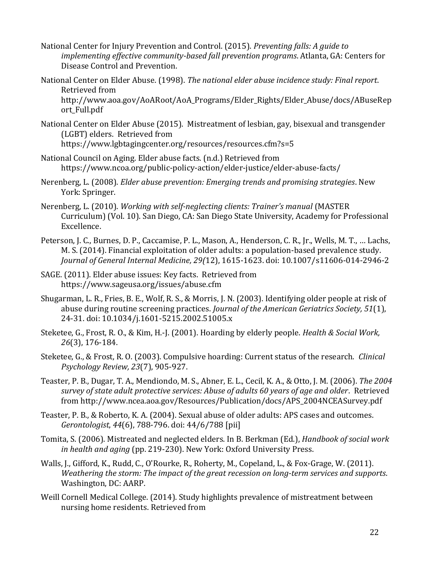- National Center for Injury Prevention and Control. (2015). *Preventing falls: A guide to implementing effective community-based fall prevention programs*. Atlanta, GA: Centers for Disease Control and Prevention.
- National Center on Elder Abuse. (1998). *The national elder abuse incidence study: Final report*. Retrieved from

[http://www.aoa.gov/AoARoot/AoA\\_Programs/Elder\\_Rights/Elder\\_Abuse/docs/ABuseRep](http://www.aoa.gov/AoARoot/AoA_Programs/Elder_Rights/Elder_Abuse/docs/ABuseReport_Full.pdf) [ort\\_Full.pdf](http://www.aoa.gov/AoARoot/AoA_Programs/Elder_Rights/Elder_Abuse/docs/ABuseReport_Full.pdf)

- National Center on Elder Abuse (2015). Mistreatment of lesbian, gay, bisexual and transgender (LGBT) elders. Retrieved from https://www.lgbtagingcenter.org/resources/resources.cfm?s=5
- National Council on Aging. Elder abuse facts. (n.d.) Retrieved from <https://www.ncoa.org/public-policy-action/elder-justice/elder-abuse-facts/>
- Nerenberg, L. (2008). *Elder abuse prevention: Emerging trends and promising strategies*. New York: Springer.
- Nerenberg, L. (2010). *Working with self-neglecting clients: Trainer's manual* (MASTER Curriculum) (Vol. 10). San Diego, CA: San Diego State University, Academy for Professional Excellence.
- Peterson, J. C., Burnes, D. P., Caccamise, P. L., Mason, A., Henderson, C. R., Jr., Wells, M. T., … Lachs, M. S. (2014). Financial exploitation of older adults: a population-based prevalence study. *Journal of General Internal Medicine, 29(*12), 1615-1623. doi: 10.1007/s11606-014-2946-2
- SAGE. (2011). Elder abuse issues: Key facts. Retrieved from https://www.sageusa.org/issues/abuse.cfm
- Shugarman, L. R., Fries, B. E., Wolf, R. S., & Morris, J. N. (2003). Identifying older people at risk of abuse during routine screening practices. *Journal of the American Geriatrics Society, 51*(1), 24-31. doi: 10.1034/j.1601-5215.2002.51005.x
- Steketee, G., Frost, R. O., & Kim, H.-J. (2001). Hoarding by elderly people. *Health & Social Work, 26*(3), 176-184.
- Steketee, G., & Frost, R. O. (2003). Compulsive hoarding: Current status of the research. *Clinical Psychology Review, 23*(7), 905-927.
- Teaster, P. B., Dugar, T. A., Mendiondo, M. S., Abner, E. L., Cecil, K. A., & Otto, J. M. (2006). *The 2004 survey of state adult protective services: Abuse of adults 60 years of age and older*. Retrieved from [http://www.ncea.aoa.gov/Resources/Publication/docs/APS\\_2004NCEASurvey.pdf](http://www.ncea.aoa.gov/Resources/Publication/docs/APS_2004NCEASurvey.pdf)
- Teaster, P. B., & Roberto, K. A. (2004). Sexual abuse of older adults: APS cases and outcomes. *Gerontologist*, *44*(6), 788-796. doi: 44/6/788 [pii]
- Tomita, S. (2006). Mistreated and neglected elders. In B. Berkman (Ed.), *Handbook of social work in health and aging* (pp. 219-230). New York: Oxford University Press.
- Walls, J., Gifford, K., Rudd, C., O'Rourke, R., Roherty, M., Copeland, L., & Fox-Grage, W. (2011). *Weathering the storm: The impact of the great recession on long-term services and supports*. Washington, DC: AARP.
- Weill Cornell Medical College. (2014). Study highlights prevalence of mistreatment between nursing home residents. Retrieved from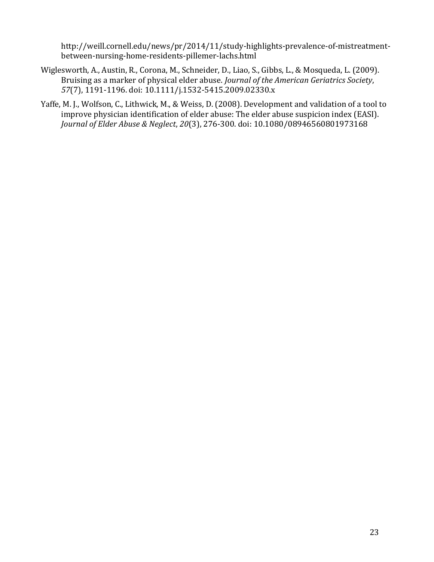[http://weill.cornell.edu/news/pr/2014/11/study-highlights-prevalence-of-mistreatment](http://weill.cornell.edu/news/pr/2014/11/study-highlights-prevalence-of-mistreatment-between-nursing-home-residents-pillemer-lachs.html)[between-nursing-home-residents-pillemer-lachs.html](http://weill.cornell.edu/news/pr/2014/11/study-highlights-prevalence-of-mistreatment-between-nursing-home-residents-pillemer-lachs.html)

- Wiglesworth, A., Austin, R., Corona, M., Schneider, D., Liao, S., Gibbs, L., & Mosqueda, L. (2009). Bruising as a marker of physical elder abuse. *Journal of the American Geriatrics Society*, *57*(7), 1191-1196. doi: 10.1111/j.1532-5415.2009.02330.x
- Yaffe, M. J., Wolfson, C., Lithwick, M., & Weiss, D. (2008). Development and validation of a tool to improve physician identification of elder abuse: The elder abuse suspicion index (EASI). *Journal of Elder Abuse & Neglect*, *20*(3), 276-300. doi: 10.1080/08946560801973168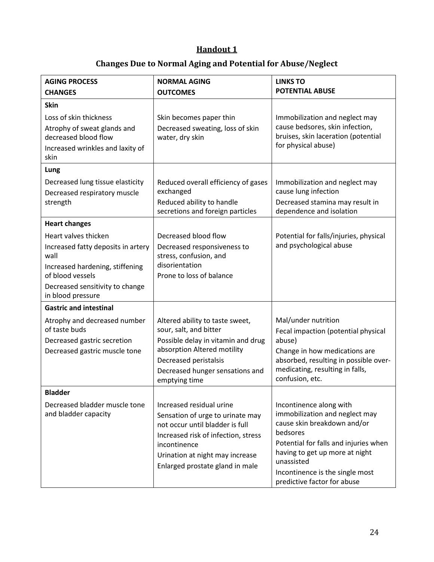# **Handout 1**

# **Changes Due to Normal Aging and Potential for Abuse/Neglect**

<span id="page-25-0"></span>

| <b>AGING PROCESS</b>                                | <b>NORMAL AGING</b>                              | <b>LINKS TO</b>                                                          |
|-----------------------------------------------------|--------------------------------------------------|--------------------------------------------------------------------------|
| <b>CHANGES</b>                                      | <b>OUTCOMES</b>                                  | <b>POTENTIAL ABUSE</b>                                                   |
| <b>Skin</b>                                         |                                                  |                                                                          |
| Loss of skin thickness                              | Skin becomes paper thin                          | Immobilization and neglect may                                           |
| Atrophy of sweat glands and                         | Decreased sweating, loss of skin                 | cause bedsores, skin infection,                                          |
| decreased blood flow                                | water, dry skin                                  | bruises, skin laceration (potential                                      |
| Increased wrinkles and laxity of                    |                                                  | for physical abuse)                                                      |
| skin                                                |                                                  |                                                                          |
| Lung                                                |                                                  |                                                                          |
| Decreased lung tissue elasticity                    | Reduced overall efficiency of gases              | Immobilization and neglect may                                           |
| Decreased respiratory muscle                        | exchanged                                        | cause lung infection                                                     |
| strength                                            | Reduced ability to handle                        | Decreased stamina may result in                                          |
|                                                     | secretions and foreign particles                 | dependence and isolation                                                 |
| <b>Heart changes</b>                                |                                                  |                                                                          |
| Heart valves thicken                                | Decreased blood flow                             | Potential for falls/injuries, physical                                   |
| Increased fatty deposits in artery                  | Decreased responsiveness to                      | and psychological abuse                                                  |
| wall                                                | stress, confusion, and<br>disorientation         |                                                                          |
| Increased hardening, stiffening<br>of blood vessels | Prone to loss of balance                         |                                                                          |
| Decreased sensitivity to change                     |                                                  |                                                                          |
| in blood pressure                                   |                                                  |                                                                          |
| <b>Gastric and intestinal</b>                       |                                                  |                                                                          |
| Atrophy and decreased number                        | Altered ability to taste sweet,                  | Mal/under nutrition                                                      |
| of taste buds                                       | sour, salt, and bitter                           | Fecal impaction (potential physical                                      |
| Decreased gastric secretion                         | Possible delay in vitamin and drug               | abuse)                                                                   |
| Decreased gastric muscle tone                       | absorption Altered motility                      | Change in how medications are                                            |
|                                                     | Decreased peristalsis                            | absorbed, resulting in possible over-<br>medicating, resulting in falls, |
|                                                     | Decreased hunger sensations and<br>emptying time | confusion, etc.                                                          |
| <b>Bladder</b>                                      |                                                  |                                                                          |
| Decreased bladder muscle tone                       | Increased residual urine                         | Incontinence along with                                                  |
| and bladder capacity                                | Sensation of urge to urinate may                 | immobilization and neglect may                                           |
|                                                     | not occur until bladder is full                  | cause skin breakdown and/or                                              |
|                                                     | Increased risk of infection, stress              | bedsores                                                                 |
|                                                     | incontinence                                     | Potential for falls and injuries when                                    |
|                                                     | Urination at night may increase                  | having to get up more at night                                           |
|                                                     | Enlarged prostate gland in male                  | unassisted<br>Incontinence is the single most                            |
|                                                     |                                                  | predictive factor for abuse                                              |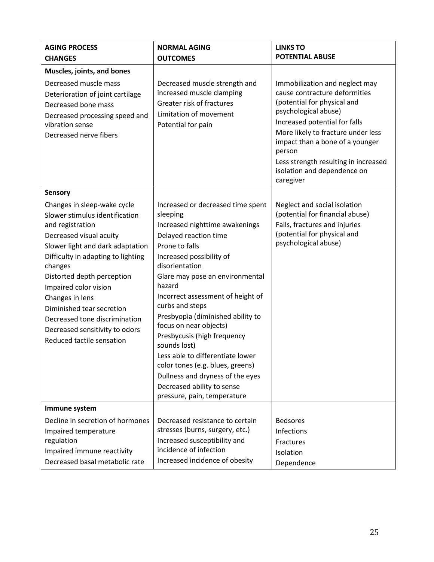| <b>AGING PROCESS</b><br><b>CHANGES</b>                                                                                                                                                                                                                                                                                                                                    | <b>NORMAL AGING</b><br><b>OUTCOMES</b>                                                                                                                                                                                                                                                                                                                                                                                                                                                           | <b>LINKS TO</b><br><b>POTENTIAL ABUSE</b>                                                                                                                                                                                                                                                                                      |
|---------------------------------------------------------------------------------------------------------------------------------------------------------------------------------------------------------------------------------------------------------------------------------------------------------------------------------------------------------------------------|--------------------------------------------------------------------------------------------------------------------------------------------------------------------------------------------------------------------------------------------------------------------------------------------------------------------------------------------------------------------------------------------------------------------------------------------------------------------------------------------------|--------------------------------------------------------------------------------------------------------------------------------------------------------------------------------------------------------------------------------------------------------------------------------------------------------------------------------|
| Muscles, joints, and bones                                                                                                                                                                                                                                                                                                                                                |                                                                                                                                                                                                                                                                                                                                                                                                                                                                                                  |                                                                                                                                                                                                                                                                                                                                |
| Decreased muscle mass<br>Deterioration of joint cartilage<br>Decreased bone mass<br>Decreased processing speed and<br>vibration sense<br>Decreased nerve fibers                                                                                                                                                                                                           | Decreased muscle strength and<br>increased muscle clamping<br>Greater risk of fractures<br>Limitation of movement<br>Potential for pain                                                                                                                                                                                                                                                                                                                                                          | Immobilization and neglect may<br>cause contracture deformities<br>(potential for physical and<br>psychological abuse)<br>Increased potential for falls<br>More likely to fracture under less<br>impact than a bone of a younger<br>person<br>Less strength resulting in increased<br>isolation and dependence on<br>caregiver |
| <b>Sensory</b><br>Changes in sleep-wake cycle                                                                                                                                                                                                                                                                                                                             | Increased or decreased time spent                                                                                                                                                                                                                                                                                                                                                                                                                                                                | Neglect and social isolation                                                                                                                                                                                                                                                                                                   |
| Slower stimulus identification<br>and registration<br>Decreased visual acuity<br>Slower light and dark adaptation<br>Difficulty in adapting to lighting<br>changes<br>Distorted depth perception<br>Impaired color vision<br>Changes in lens<br>Diminished tear secretion<br>Decreased tone discrimination<br>Decreased sensitivity to odors<br>Reduced tactile sensation | sleeping<br>Increased nighttime awakenings<br>Delayed reaction time<br>Prone to falls<br>Increased possibility of<br>disorientation<br>Glare may pose an environmental<br>hazard<br>Incorrect assessment of height of<br>curbs and steps<br>Presbyopia (diminished ability to<br>focus on near objects)<br>Presbycusis (high frequency<br>sounds lost)<br>Less able to differentiate lower<br>color tones (e.g. blues, greens)<br>Dullness and dryness of the eyes<br>Decreased ability to sense | (potential for financial abuse)<br>Falls, fractures and injuries<br>(potential for physical and<br>psychological abuse)                                                                                                                                                                                                        |
|                                                                                                                                                                                                                                                                                                                                                                           | pressure, pain, temperature                                                                                                                                                                                                                                                                                                                                                                                                                                                                      |                                                                                                                                                                                                                                                                                                                                |
| Immune system<br>Decline in secretion of hormones<br>Impaired temperature<br>regulation<br>Impaired immune reactivity<br>Decreased basal metabolic rate                                                                                                                                                                                                                   | Decreased resistance to certain<br>stresses (burns, surgery, etc.)<br>Increased susceptibility and<br>incidence of infection<br>Increased incidence of obesity                                                                                                                                                                                                                                                                                                                                   | <b>Bedsores</b><br>Infections<br>Fractures<br>Isolation<br>Dependence                                                                                                                                                                                                                                                          |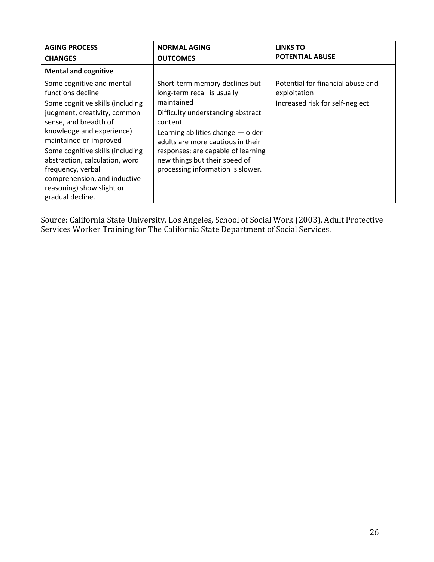| <b>AGING PROCESS</b>                                                                                                                                                                                                                                                                                                                                                           | <b>NORMAL AGING</b>                                                                                                                                                                                                                                                                                               | <b>LINKS TO</b>                                                                      |
|--------------------------------------------------------------------------------------------------------------------------------------------------------------------------------------------------------------------------------------------------------------------------------------------------------------------------------------------------------------------------------|-------------------------------------------------------------------------------------------------------------------------------------------------------------------------------------------------------------------------------------------------------------------------------------------------------------------|--------------------------------------------------------------------------------------|
| <b>CHANGES</b>                                                                                                                                                                                                                                                                                                                                                                 | <b>OUTCOMES</b>                                                                                                                                                                                                                                                                                                   | <b>POTENTIAL ABUSE</b>                                                               |
| <b>Mental and cognitive</b>                                                                                                                                                                                                                                                                                                                                                    |                                                                                                                                                                                                                                                                                                                   |                                                                                      |
| Some cognitive and mental<br>functions decline<br>Some cognitive skills (including<br>judgment, creativity, common<br>sense, and breadth of<br>knowledge and experience)<br>maintained or improved<br>Some cognitive skills (including<br>abstraction, calculation, word<br>frequency, verbal<br>comprehension, and inductive<br>reasoning) show slight or<br>gradual decline. | Short-term memory declines but<br>long-term recall is usually<br>maintained<br>Difficulty understanding abstract<br>content<br>Learning abilities change - older<br>adults are more cautious in their<br>responses; are capable of learning<br>new things but their speed of<br>processing information is slower. | Potential for financial abuse and<br>exploitation<br>Increased risk for self-neglect |

Source: California State University, Los Angeles, School of Social Work (2003). Adult Protective Services Worker Training for The California State Department of Social Services.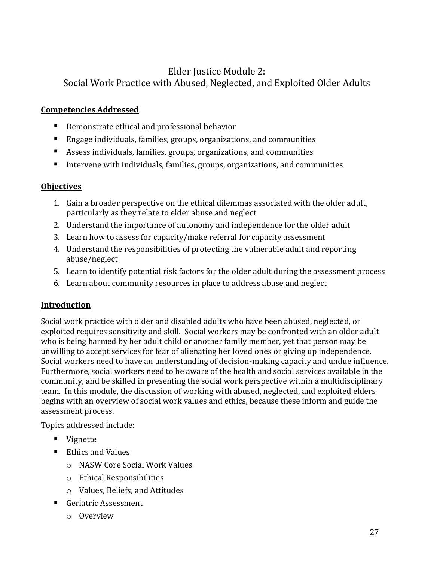## <span id="page-28-0"></span>Elder Justice Module 2: Social Work Practice with Abused, Neglected, and Exploited Older Adults

#### <span id="page-28-1"></span>**Competencies Addressed**

- **P** Demonstrate ethical and professional behavior
- Engage individuals, families, groups, organizations, and communities
- Assess individuals, families, groups, organizations, and communities
- Intervene with individuals, families, groups, organizations, and communities

### <span id="page-28-2"></span>**Objectives**

- 1. Gain a broader perspective on the ethical dilemmas associated with the older adult, particularly as they relate to elder abuse and neglect
- 2. Understand the importance of autonomy and independence for the older adult
- 3. Learn how to assess for capacity/make referral for capacity assessment
- 4. Understand the responsibilities of protecting the vulnerable adult and reporting abuse/neglect
- 5. Learn to identify potential risk factors for the older adult during the assessment process
- 6. Learn about community resources in place to address abuse and neglect

#### <span id="page-28-3"></span>**Introduction**

Social work practice with older and disabled adults who have been abused, neglected, or exploited requires sensitivity and skill. Social workers may be confronted with an older adult who is being harmed by her adult child or another family member, yet that person may be unwilling to accept services for fear of alienating her loved ones or giving up independence. Social workers need to have an understanding of decision-making capacity and undue influence. Furthermore, social workers need to be aware of the health and social services available in the community, and be skilled in presenting the social work perspective within a multidisciplinary team. In this module, the discussion of working with abused, neglected, and exploited elders begins with an overview of social work values and ethics, because these inform and guide the assessment process.

Topics addressed include:

- Vignette
- Ethics and Values
	- o NASW Core Social Work Values
	- o Ethical Responsibilities
	- o Values, Beliefs, and Attitudes
- Geriatric Assessment
	- o Overview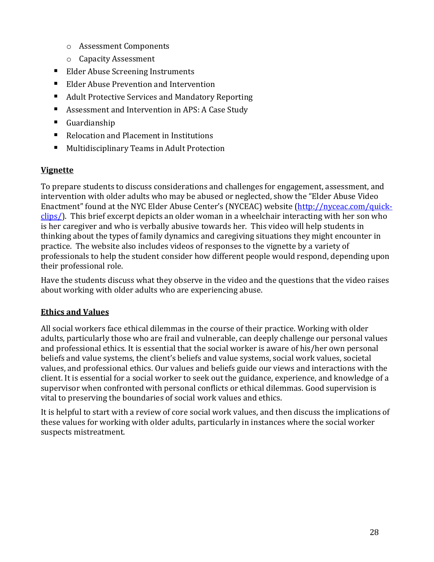- o Assessment Components
- o Capacity Assessment
- Elder Abuse Screening Instruments
- **Elder Abuse Prevention and Intervention**
- Adult Protective Services and Mandatory Reporting
- Assessment and Intervention in APS: A Case Study
- Guardianship
- Relocation and Placement in Institutions
- **Multidisciplinary Teams in Adult Protection**

### <span id="page-29-0"></span>**Vignette**

To prepare students to discuss considerations and challenges for engagement, assessment, and intervention with older adults who may be abused or neglected, show the "Elder Abuse Video Enactment" found at the NYC Elder Abuse Center's (NYCEAC) website [\(http://nyceac.com/quick](http://nyceac.com/quick-clips/)[clips/\)](http://nyceac.com/quick-clips/). This brief excerpt depicts an older woman in a wheelchair interacting with her son who is her caregiver and who is verbally abusive towards her. This video will help students in thinking about the types of family dynamics and caregiving situations they might encounter in practice. The website also includes videos of responses to the vignette by a variety of professionals to help the student consider how different people would respond, depending upon their professional role.

Have the students discuss what they observe in the video and the questions that the video raises about working with older adults who are experiencing abuse.

## <span id="page-29-1"></span>**Ethics and Values**

All social workers face ethical dilemmas in the course of their practice. Working with older adults, particularly those who are frail and vulnerable, can deeply challenge our personal values and professional ethics. It is essential that the social worker is aware of his/her own personal beliefs and value systems, the client's beliefs and value systems, social work values, societal values, and professional ethics. Our values and beliefs guide our views and interactions with the client. It is essential for a social worker to seek out the guidance, experience, and knowledge of a supervisor when confronted with personal conflicts or ethical dilemmas. Good supervision is vital to preserving the boundaries of social work values and ethics.

It is helpful to start with a review of core social work values, and then discuss the implications of these values for working with older adults, particularly in instances where the social worker suspects mistreatment.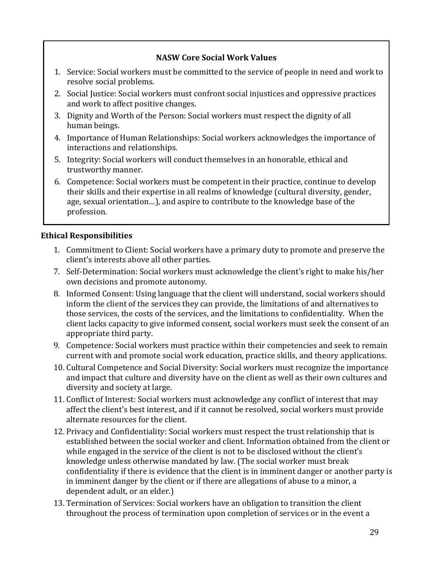#### **NASW Core Social Work Values**

- 1. Service: Social workers must be committed to the service of people in need and work to resolve social problems.
- 2. Social Justice: Social workers must confront social injustices and oppressive practices and work to affect positive changes.
- 3. Dignity and Worth of the Person: Social workers must respect the dignity of all human beings.
- 4. Importance of Human Relationships: Social workers acknowledges the importance of interactions and relationships.
- 5. Integrity: Social workers will conduct themselves in an honorable, ethical and trustworthy manner.
- 6. Competence: Social workers must be competent in their practice, continue to develop their skills and their expertise in all realms of knowledge (cultural diversity, gender, age, sexual orientation…), and aspire to contribute to the knowledge base of the profession.

## **Ethical Responsibilities**

- 1. Commitment to Client: Social workers have a primary duty to promote and preserve the client's interests above all other parties.
- 7. Self-Determination: Social workers must acknowledge the client's right to make his/her own decisions and promote autonomy.
- 8. Informed Consent: Using language that the client will understand, social workers should inform the client of the services they can provide, the limitations of and alternatives to those services, the costs of the services, and the limitations to confidentiality. When the client lacks capacity to give informed consent, social workers must seek the consent of an appropriate third party.
- 9. Competence: Social workers must practice within their competencies and seek to remain current with and promote social work education, practice skills, and theory applications.
- 10. Cultural Competence and Social Diversity: Social workers must recognize the importance and impact that culture and diversity have on the client as well as their own cultures and diversity and society at large.
- 11. Conflict of Interest: Social workers must acknowledge any conflict of interest that may affect the client's best interest, and if it cannot be resolved, social workers must provide alternate resources for the client.
- 12. Privacy and Confidentiality: Social workers must respect the trust relationship that is established between the social worker and client. Information obtained from the client or while engaged in the service of the client is not to be disclosed without the client's knowledge unless otherwise mandated by law. (The social worker must break confidentiality if there is evidence that the client is in imminent danger or another party is in imminent danger by the client or if there are allegations of abuse to a minor, a dependent adult, or an elder.)
- 13. Termination of Services: Social workers have an obligation to transition the client throughout the process of termination upon completion of services or in the event a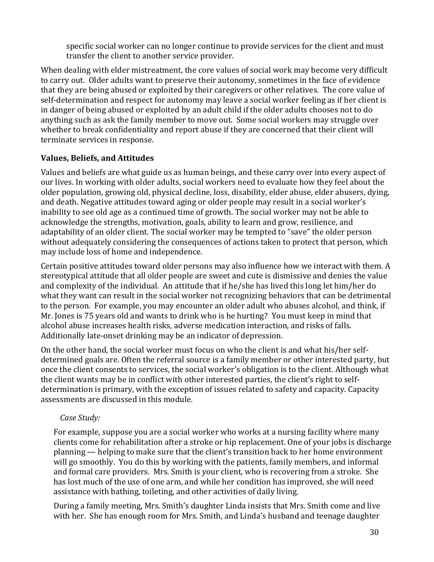specific social worker can no longer continue to provide services for the client and must transfer the client to another service provider.

When dealing with elder mistreatment, the core values of social work may become very difficult to carry out. Older adults want to preserve their autonomy, sometimes in the face of evidence that they are being abused or exploited by their caregivers or other relatives. The core value of self-determination and respect for autonomy may leave a social worker feeling as if her client is in danger of being abused or exploited by an adult child if the older adults chooses not to do anything such as ask the family member to move out. Some social workers may struggle over whether to break confidentiality and report abuse if they are concerned that their client will terminate services in response.

### **Values, Beliefs, and Attitudes**

Values and beliefs are what guide us as human beings, and these carry over into every aspect of our lives. In working with older adults, social workers need to evaluate how they feel about the older population, growing old, physical decline, loss, disability, elder abuse, elder abusers, dying, and death. Negative attitudes toward aging or older people may result in a social worker's inability to see old age as a continued time of growth. The social worker may not be able to acknowledge the strengths, motivation, goals, ability to learn and grow, resilience, and adaptability of an older client. The social worker may be tempted to "save" the older person without adequately considering the consequences of actions taken to protect that person, which may include loss of home and independence.

Certain positive attitudes toward older persons may also influence how we interact with them. A stereotypical attitude that all older people are sweet and cute is dismissive and denies the value and complexity of the individual. An attitude that if he/she has lived this long let him/her do what they want can result in the social worker not recognizing behaviors that can be detrimental to the person. For example, you may encounter an older adult who abuses alcohol, and think, if Mr. Jones is 75 years old and wants to drink who is he hurting? You must keep in mind that alcohol abuse increases health risks, adverse medication interaction, and risks of falls. Additionally late-onset drinking may be an indicator of depression.

On the other hand, the social worker must focus on who the client is and what his/her selfdetermined goals are. Often the referral source is a family member or other interested party, but once the client consents to services, the social worker's obligation is to the client. Although what the client wants may be in conflict with other interested parties, the client's right to selfdetermination is primary, with the exception of issues related to safety and capacity. Capacity assessments are discussed in this module.

## *Case Study:*

For example, suppose you are a social worker who works at a nursing facility where many clients come for rehabilitation after a stroke or hip replacement. One of your jobs is discharge planning — helping to make sure that the client's transition back to her home environment will go smoothly. You do this by working with the patients, family members, and informal and formal care providers. Mrs. Smith is your client, who is recovering from a stroke. She has lost much of the use of one arm, and while her condition has improved, she will need assistance with bathing, toileting, and other activities of daily living.

During a family meeting, Mrs. Smith's daughter Linda insists that Mrs. Smith come and live with her. She has enough room for Mrs. Smith, and Linda's husband and teenage daughter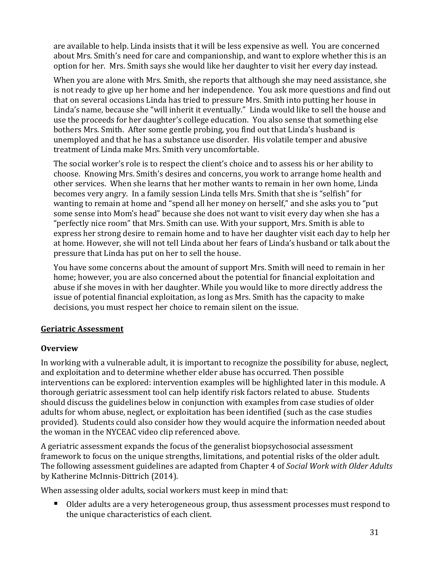are available to help. Linda insists that it will be less expensive as well. You are concerned about Mrs. Smith's need for care and companionship, and want to explore whether this is an option for her. Mrs. Smith says she would like her daughter to visit her every day instead.

When you are alone with Mrs. Smith, she reports that although she may need assistance, she is not ready to give up her home and her independence. You ask more questions and find out that on several occasions Linda has tried to pressure Mrs. Smith into putting her house in Linda's name, because she "will inherit it eventually." Linda would like to sell the house and use the proceeds for her daughter's college education. You also sense that something else bothers Mrs. Smith. After some gentle probing, you find out that Linda's husband is unemployed and that he has a substance use disorder. His volatile temper and abusive treatment of Linda make Mrs. Smith very uncomfortable.

The social worker's role is to respect the client's choice and to assess his or her ability to choose. Knowing Mrs. Smith's desires and concerns, you work to arrange home health and other services. When she learns that her mother wants to remain in her own home, Linda becomes very angry. In a family session Linda tells Mrs. Smith that she is "selfish" for wanting to remain at home and "spend all her money on herself," and she asks you to "put some sense into Mom's head" because she does not want to visit every day when she has a "perfectly nice room" that Mrs. Smith can use. With your support, Mrs. Smith is able to express her strong desire to remain home and to have her daughter visit each day to help her at home. However, she will not tell Linda about her fears of Linda's husband or talk about the pressure that Linda has put on her to sell the house.

You have some concerns about the amount of support Mrs. Smith will need to remain in her home; however, you are also concerned about the potential for financial exploitation and abuse if she moves in with her daughter. While you would like to more directly address the issue of potential financial exploitation, as long as Mrs. Smith has the capacity to make decisions, you must respect her choice to remain silent on the issue.

#### <span id="page-32-0"></span>**Geriatric Assessment**

#### **Overview**

In working with a vulnerable adult, it is important to recognize the possibility for abuse, neglect, and exploitation and to determine whether elder abuse has occurred. Then possible interventions can be explored: intervention examples will be highlighted later in this module. A thorough geriatric assessment tool can help identify risk factors related to abuse. Students should discuss the guidelines below in conjunction with examples from case studies of older adults for whom abuse, neglect, or exploitation has been identified (such as the case studies provided). Students could also consider how they would acquire the information needed about the woman in the NYCEAC video clip referenced above.

A geriatric assessment expands the focus of the generalist biopsychosocial assessment framework to focus on the unique strengths, limitations, and potential risks of the older adult. The following assessment guidelines are adapted from Chapter 4 of *Social Work with Older Adults* by Katherine McInnis-Dittrich (2014).

When assessing older adults, social workers must keep in mind that:

Older adults are a very heterogeneous group, thus assessment processes must respond to the unique characteristics of each client.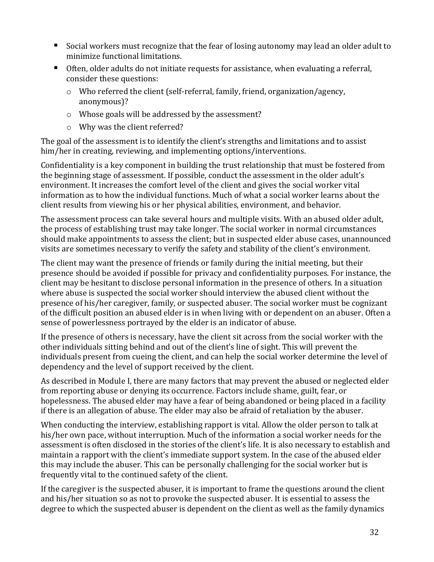- Social workers must recognize that the fear of losing autonomy may lead an older adult to minimize functional limitations.
- Often, older adults do not initiate requests for assistance, when evaluating a referral, consider these questions:
	- o Who referred the client (self-referral, family, friend, organization/agency, anonymous)?
	- o Whose goals will be addressed by the assessment?
	- o Why was the client referred?

The goal of the assessment is to identify the client's strengths and limitations and to assist him/her in creating, reviewing, and implementing options/interventions.

Confidentiality is a key component in building the trust relationship that must be fostered from the beginning stage of assessment. If possible, conduct the assessment in the older adult's environment. It increases the comfort level of the client and gives the social worker vital information as to how the individual functions. Much of what a social worker learns about the client results from viewing his or her physical abilities, environment, and behavior.

The assessment process can take several hours and multiple visits. With an abused older adult, the process of establishing trust may take longer. The social worker in normal circumstances should make appointments to assess the client; but in suspected elder abuse cases, unannounced visits are sometimes necessary to verify the safety and stability of the client's environment.

The client may want the presence of friends or family during the initial meeting, but their presence should be avoided if possible for privacy and confidentiality purposes. For instance, the client may be hesitant to disclose personal information in the presence of others. In a situation where abuse is suspected the social worker should interview the abused client without the presence of his/her caregiver, family, or suspected abuser. The social worker must be cognizant of the difficult position an abused elder is in when living with or dependent on an abuser. Often a sense of powerlessness portrayed by the elder is an indicator of abuse.

If the presence of others is necessary, have the client sit across from the social worker with the other individuals sitting behind and out of the client's line of sight. This will prevent the individuals present from cueing the client, and can help the social worker determine the level of dependency and the level of support received by the client.

As described in Module I, there are many factors that may prevent the abused or neglected elder from reporting abuse or denying its occurrence. Factors include shame, guilt, fear, or hopelessness. The abused elder may have a fear of being abandoned or being placed in a facility if there is an allegation of abuse. The elder may also be afraid of retaliation by the abuser.

When conducting the interview, establishing rapport is vital. Allow the older person to talk at his/her own pace, without interruption. Much of the information a social worker needs for the assessment is often disclosed in the stories of the client's life. It is also necessary to establish and maintain a rapport with the client's immediate support system. In the case of the abused elder this may include the abuser. This can be personally challenging for the social worker but is frequently vital to the continued safety of the client.

If the caregiver is the suspected abuser, it is important to frame the questions around the client and his/her situation so as not to provoke the suspected abuser. It is essential to assess the degree to which the suspected abuser is dependent on the client as well as the family dynamics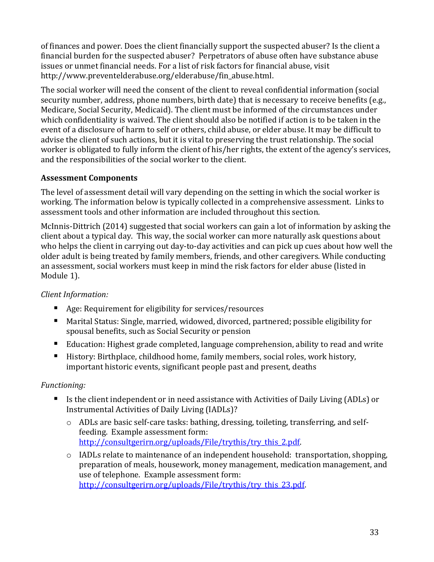of finances and power. Does the client financially support the suspected abuser? Is the client a financial burden for the suspected abuser? Perpetrators of abuse often have substance abuse issues or unmet financial needs. For a list of risk factors for financial abuse, visit http://www.preventelderabuse.org/elderabuse/fin\_abuse.html.

The social worker will need the consent of the client to reveal confidential information (social security number, address, phone numbers, birth date) that is necessary to receive benefits (e.g., Medicare, Social Security, Medicaid). The client must be informed of the circumstances under which confidentiality is waived. The client should also be notified if action is to be taken in the event of a disclosure of harm to self or others, child abuse, or elder abuse. It may be difficult to advise the client of such actions, but it is vital to preserving the trust relationship. The social worker is obligated to fully inform the client of his/her rights, the extent of the agency's services, and the responsibilities of the social worker to the client.

### **Assessment Components**

The level of assessment detail will vary depending on the setting in which the social worker is working. The information below is typically collected in a comprehensive assessment. Links to assessment tools and other information are included throughout this section.

McInnis-Dittrich (2014) suggested that social workers can gain a lot of information by asking the client about a typical day. This way, the social worker can more naturally ask questions about who helps the client in carrying out day-to-day activities and can pick up cues about how well the older adult is being treated by family members, friends, and other caregivers. While conducting an assessment, social workers must keep in mind the risk factors for elder abuse (listed in Module 1).

#### *Client Information:*

- Age: Requirement for eligibility for services/resources
- Marital Status: Single, married, widowed, divorced, partnered; possible eligibility for spousal benefits, such as Social Security or pension
- Education: Highest grade completed, language comprehension, ability to read and write
- History: Birthplace, childhood home, family members, social roles, work history, important historic events, significant people past and present, deaths

#### *Functioning:*

- Is the client independent or in need assistance with Activities of Daily Living (ADLs) or Instrumental Activities of Daily Living (IADLs)?
	- o ADLs are basic self-care tasks: bathing, dressing, toileting, transferring, and selffeeding. Example assessment form: http://consultgerirn.org/uploads/File/trythis/try\_this\_2.pdf.
	- o IADLs relate to maintenance of an independent household: transportation, shopping, preparation of meals, housework, money management, medication management, and use of telephone. Example assessment form: [http://consultgerirn.org/uploads/File/trythis/try\\_this\\_23.pdf.](http://consultgerirn.org/uploads/File/trythis/try_this_23.pdf)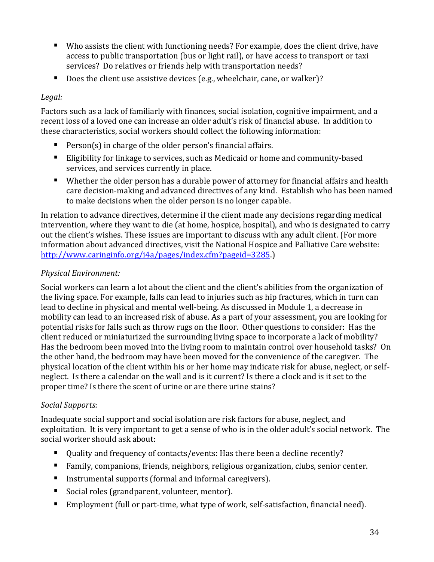- Who assists the client with functioning needs? For example, does the client drive, have access to public transportation (bus or light rail), or have access to transport or taxi services? Do relatives or friends help with transportation needs?
- Does the client use assistive devices (e.g., wheelchair, cane, or walker)?

### *Legal:*

Factors such as a lack of familiarly with finances, social isolation, cognitive impairment, and a recent loss of a loved one can increase an older adult's risk of financial abuse. In addition to these characteristics, social workers should collect the following information:

- Person(s) in charge of the older person's financial affairs.
- Eligibility for linkage to services, such as Medicaid or home and community-based services, and services currently in place.
- Whether the older person has a durable power of attorney for financial affairs and health care decision-making and advanced directives of any kind. Establish who has been named to make decisions when the older person is no longer capable.

In relation to advance directives, determine if the client made any decisions regarding medical intervention, where they want to die (at home, hospice, hospital), and who is designated to carry out the client's wishes. These issues are important to discuss with any adult client. (For more information about advanced directives, visit the National Hospice and Palliative Care website: [http://www.caringinfo.org/i4a/pages/index.cfm?pageid=3285.\)](http://www.caringinfo.org/i4a/pages/index.cfm?pageid=3285)

## *Physical Environment:*

Social workers can learn a lot about the client and the client's abilities from the organization of the living space. For example, falls can lead to injuries such as hip fractures, which in turn can lead to decline in physical and mental well-being. As discussed in Module 1, a decrease in mobility can lead to an increased risk of abuse. As a part of your assessment, you are looking for potential risks for falls such as throw rugs on the floor. Other questions to consider: Has the client reduced or miniaturized the surrounding living space to incorporate a lack of mobility? Has the bedroom been moved into the living room to maintain control over household tasks? On the other hand, the bedroom may have been moved for the convenience of the caregiver. The physical location of the client within his or her home may indicate risk for abuse, neglect, or selfneglect. Is there a calendar on the wall and is it current? Is there a clock and is it set to the proper time? Is there the scent of urine or are there urine stains?

## *Social Supports:*

Inadequate social support and social isolation are risk factors for abuse, neglect, and exploitation. It is very important to get a sense of who is in the older adult's social network. The social worker should ask about:

- Ouality and frequency of contacts/events: Has there been a decline recently?
- Family, companions, friends, neighbors, religious organization, clubs, senior center.
- Instrumental supports (formal and informal caregivers).
- Social roles (grandparent, volunteer, mentor).
- Employment (full or part-time, what type of work, self-satisfaction, financial need).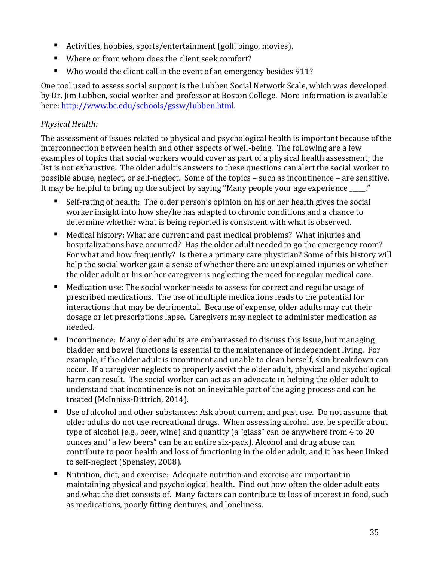- Activities, hobbies, sports/entertainment (golf, bingo, movies).
- Where or from whom does the client seek comfort?
- Who would the client call in the event of an emergency besides 911?

One tool used to assess social support is the Lubben Social Network Scale, which was developed by Dr. Jim Lubben, social worker and professor at Boston College. More information is available here[: http://www.bc.edu/schools/gssw/lubben.html.](http://www.bc.edu/schools/gssw/lubben.html)

## *Physical Health:*

The assessment of issues related to physical and psychological health is important because of the interconnection between health and other aspects of well-being. The following are a few examples of topics that social workers would cover as part of a physical health assessment; the list is not exhaustive. The older adult's answers to these questions can alert the social worker to possible abuse, neglect, or self-neglect. Some of the topics – such as incontinence – are sensitive. It may be helpful to bring up the subject by saying "Many people your age experience"

- Self-rating of health: The older person's opinion on his or her health gives the social worker insight into how she/he has adapted to chronic conditions and a chance to determine whether what is being reported is consistent with what is observed.
- Medical history: What are current and past medical problems? What injuries and hospitalizations have occurred? Has the older adult needed to go the emergency room? For what and how frequently? Is there a primary care physician? Some of this history will help the social worker gain a sense of whether there are unexplained injuries or whether the older adult or his or her caregiver is neglecting the need for regular medical care.
- Medication use: The social worker needs to assess for correct and regular usage of prescribed medications. The use of multiple medications leads to the potential for interactions that may be detrimental. Because of expense, older adults may cut their dosage or let prescriptions lapse. Caregivers may neglect to administer medication as needed.
- Incontinence: Many older adults are embarrassed to discuss this issue, but managing bladder and bowel functions is essential to the maintenance of independent living. For example, if the older adult is incontinent and unable to clean herself, skin breakdown can occur. If a caregiver neglects to properly assist the older adult, physical and psychological harm can result. The social worker can act as an advocate in helping the older adult to understand that incontinence is not an inevitable part of the aging process and can be treated (McInniss-Dittrich, 2014).
- Use of alcohol and other substances: Ask about current and past use. Do not assume that older adults do not use recreational drugs. When assessing alcohol use, be specific about type of alcohol (e.g., beer, wine) and quantity (a "glass" can be anywhere from 4 to 20 ounces and "a few beers" can be an entire six-pack). Alcohol and drug abuse can contribute to poor health and loss of functioning in the older adult, and it has been linked to self-neglect (Spensley, 2008).
- Nutrition, diet, and exercise: Adequate nutrition and exercise are important in maintaining physical and psychological health. Find out how often the older adult eats and what the diet consists of. Many factors can contribute to loss of interest in food, such as medications, poorly fitting dentures, and loneliness.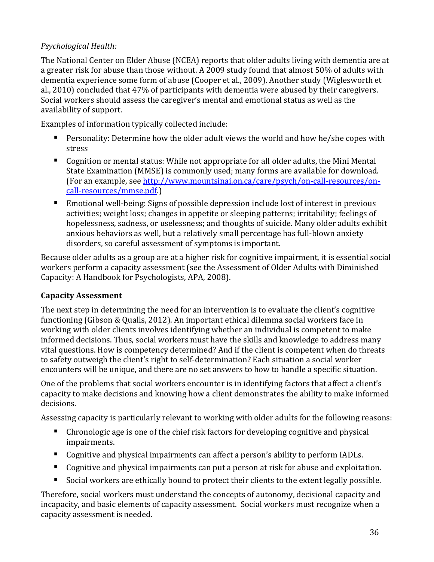## *Psychological Health:*

The National Center on Elder Abuse (NCEA) reports that older adults living with dementia are at a greater risk for abuse than those without. A 2009 study found that almost 50% of adults with dementia experience some form of abuse (Cooper et al., 2009). Another study (Wiglesworth et al., 2010) concluded that 47% of participants with dementia were abused by their caregivers. Social workers should assess the caregiver's mental and emotional status as well as the availability of support.

Examples of information typically collected include:

- **Personality: Determine how the older adult views the world and how he/she copes with** stress
- Cognition or mental status: While not appropriate for all older adults, the Mini Mental State Examination (MMSE) is commonly used; many forms are available for download. (For an example, se[e http://www.mountsinai.on.ca/care/psych/on-call-resources/on](http://www.mountsinai.on.ca/care/psych/on-call-resources/on-call-resources/mmse.pdf)[call-resources/mmse.pdf.](http://www.mountsinai.on.ca/care/psych/on-call-resources/on-call-resources/mmse.pdf))
- Emotional well-being: Signs of possible depression include lost of interest in previous activities; weight loss; changes in appetite or sleeping patterns; irritability; feelings of hopelessness, sadness, or uselessness; and thoughts of suicide. Many older adults exhibit anxious behaviors as well, but a relatively small percentage has full-blown anxiety disorders, so careful assessment of symptoms is important.

Because older adults as a group are at a higher risk for cognitive impairment, it is essential social workers perform a capacity assessment (see the Assessment of Older Adults with Diminished Capacity: A Handbook for Psychologists, APA, 2008).

## **Capacity Assessment**

The next step in determining the need for an intervention is to evaluate the client's cognitive functioning (Gibson & Qualls, 2012). An important ethical dilemma social workers face in working with older clients involves identifying whether an individual is competent to make informed decisions. Thus, social workers must have the skills and knowledge to address many vital questions. How is competency determined? And if the client is competent when do threats to safety outweigh the client's right to self-determination? Each situation a social worker encounters will be unique, and there are no set answers to how to handle a specific situation.

One of the problems that social workers encounter is in identifying factors that affect a client's capacity to make decisions and knowing how a client demonstrates the ability to make informed decisions.

Assessing capacity is particularly relevant to working with older adults for the following reasons:

- Chronologic age is one of the chief risk factors for developing cognitive and physical impairments.
- Cognitive and physical impairments can affect a person's ability to perform IADLs.
- Cognitive and physical impairments can put a person at risk for abuse and exploitation.
- Social workers are ethically bound to protect their clients to the extent legally possible.

Therefore, social workers must understand the concepts of autonomy, decisional capacity and incapacity, and basic elements of capacity assessment. Social workers must recognize when a capacity assessment is needed.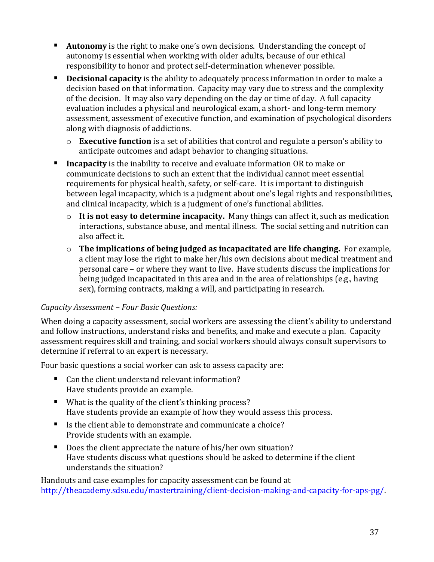- **Autonomy** is the right to make one's own decisions. Understanding the concept of autonomy is essential when working with older adults, because of our ethical responsibility to honor and protect self-determination whenever possible.
- **Decisional capacity** is the ability to adequately process information in order to make a decision based on that information. Capacity may vary due to stress and the complexity of the decision. It may also vary depending on the day or time of day. A full capacity evaluation includes a physical and neurological exam, a short- and long-term memory assessment, assessment of executive function, and examination of psychological disorders along with diagnosis of addictions.
	- o **Executive function** is a set of abilities that control and regulate a person's ability to anticipate outcomes and adapt behavior to changing situations.
- **Incapacity** is the inability to receive and evaluate information OR to make or communicate decisions to such an extent that the individual cannot meet essential requirements for physical health, safety, or self-care. It is important to distinguish between legal incapacity, which is a judgment about one's legal rights and responsibilities, and clinical incapacity, which is a judgment of one's functional abilities.
	- o **It is not easy to determine incapacity.** Many things can affect it, such as medication interactions, substance abuse, and mental illness. The social setting and nutrition can also affect it.
	- o **The implications of being judged as incapacitated are life changing.** For example, a client may lose the right to make her/his own decisions about medical treatment and personal care – or where they want to live. Have students discuss the implications for being judged incapacitated in this area and in the area of relationships (e.g., having sex), forming contracts, making a will, and participating in research.

#### *Capacity Assessment – Four Basic Questions:*

When doing a capacity assessment, social workers are assessing the client's ability to understand and follow instructions, understand risks and benefits, and make and execute a plan. Capacity assessment requires skill and training, and social workers should always consult supervisors to determine if referral to an expert is necessary.

Four basic questions a social worker can ask to assess capacity are:

- Can the client understand relevant information? Have students provide an example.
- What is the quality of the client's thinking process? Have students provide an example of how they would assess this process.
- Is the client able to demonstrate and communicate a choice? Provide students with an example.
- Does the client appreciate the nature of his/her own situation? Have students discuss what questions should be asked to determine if the client understands the situation?

Handouts and case examples for capacity assessment can be found at [http://theacademy.sdsu.edu/mastertraining/client-decision-making-and-capacity-for-aps-pg/.](http://theacademy.sdsu.edu/mastertraining/client-decision-making-and-capacity-for-aps-pg/)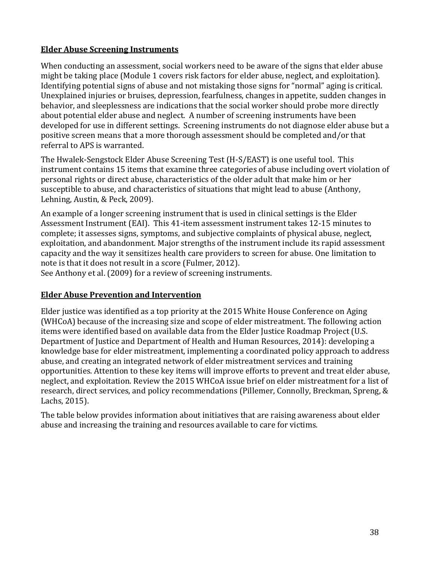#### <span id="page-39-0"></span>**Elder Abuse Screening Instruments**

When conducting an assessment, social workers need to be aware of the signs that elder abuse might be taking place (Module 1 covers risk factors for elder abuse, neglect, and exploitation). Identifying potential signs of abuse and not mistaking those signs for "normal" aging is critical. Unexplained injuries or bruises, depression, fearfulness, changes in appetite, sudden changes in behavior, and sleeplessness are indications that the social worker should probe more directly about potential elder abuse and neglect. A number of screening instruments have been developed for use in different settings. Screening instruments do not diagnose elder abuse but a positive screen means that a more thorough assessment should be completed and/or that referral to APS is warranted.

The Hwalek-Sengstock Elder Abuse Screening Test (H-S/EAST) is one useful tool. This instrument contains 15 items that examine three categories of abuse including overt violation of personal rights or direct abuse, characteristics of the older adult that make him or her susceptible to abuse, and characteristics of situations that might lead to abuse (Anthony, Lehning, Austin, & Peck, 2009).

An example of a longer screening instrument that is used in clinical settings is the Elder Assessment Instrument (EAI). This 41-item assessment instrument takes 12-15 minutes to complete; it assesses signs, symptoms, and subjective complaints of physical abuse, neglect, exploitation, and abandonment. Major strengths of the instrument include its rapid assessment capacity and the way it sensitizes health care providers to screen for abuse. One limitation to note is that it does not result in a score (Fulmer, 2012).

See Anthony et al. (2009) for a review of screening instruments.

#### <span id="page-39-1"></span>**Elder Abuse Prevention and Intervention**

Elder justice was identified as a top priority at the 2015 White House Conference on Aging (WHCoA) because of the increasing size and scope of elder mistreatment. The following action items were identified based on available data from the Elder Justice Roadmap Project (U.S. Department of Justice and Department of Health and Human Resources, 2014): developing a knowledge base for elder mistreatment, implementing a coordinated policy approach to address abuse, and creating an integrated network of elder mistreatment services and training opportunities. Attention to these key items will improve efforts to prevent and treat elder abuse, neglect, and exploitation. Review the 2015 WHCoA issue brief on elder mistreatment for a list of research, direct services, and policy recommendations (Pillemer, Connolly, Breckman, Spreng, & Lachs, 2015).

The table below provides information about initiatives that are raising awareness about elder abuse and increasing the training and resources available to care for victims.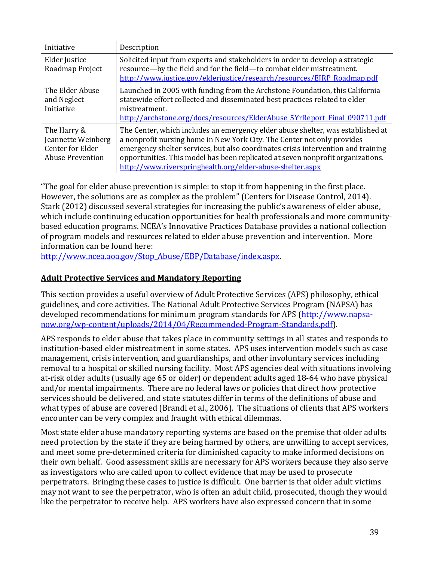| Initiative                                                                       | Description                                                                                                                                                                                                                                                                                                                                                                                     |
|----------------------------------------------------------------------------------|-------------------------------------------------------------------------------------------------------------------------------------------------------------------------------------------------------------------------------------------------------------------------------------------------------------------------------------------------------------------------------------------------|
| Elder Justice<br>Roadmap Project                                                 | Solicited input from experts and stakeholders in order to develop a strategic<br>resource—by the field and for the field—to combat elder mistreatment.<br>http://www.justice.gov/elderjustice/research/resources/EJRP_Roadmap.pdf                                                                                                                                                               |
| The Elder Abuse<br>and Neglect<br>Initiative                                     | Launched in 2005 with funding from the Archstone Foundation, this California<br>statewide effort collected and disseminated best practices related to elder<br>mistreatment.<br>http://archstone.org/docs/resources/ElderAbuse 5YrReport Final 090711.pdf                                                                                                                                       |
| The Harry &<br>Jeannette Weinberg<br>Center for Elder<br><b>Abuse Prevention</b> | The Center, which includes an emergency elder abuse shelter, was established at<br>a nonprofit nursing home in New York City. The Center not only provides<br>emergency shelter services, but also coordinates crisis intervention and training<br>opportunities. This model has been replicated at seven nonprofit organizations.<br>http://www.riverspringhealth.org/elder-abuse-shelter.aspx |

"The goal for elder abuse prevention is simple: to stop it from happening in the first place. However, the solutions are as complex as the problem" (Centers for Disease Control, 2014). Stark (2012) discussed several strategies for increasing the public's awareness of elder abuse, which include continuing education opportunities for health professionals and more communitybased education programs. NCEA's Innovative Practices Database provides a national collection of program models and resources related to elder abuse prevention and intervention. More information can be found here:

[http://www.ncea.aoa.gov/Stop\\_Abuse/EBP/Database/index.aspx.](http://www.ncea.aoa.gov/Stop_Abuse/EBP/Database/index.aspx)

#### <span id="page-40-0"></span>**Adult Protective Services and Mandatory Reporting**

This section provides a useful overview of Adult Protective Services (APS) philosophy, ethical guidelines, and core activities. The National Adult Protective Services Program (NAPSA) has developed recommendations for minimum program standards for APS [\(http://www.napsa](http://www.napsa-now.org/wp-content/uploads/2014/04/Recommended-Program-Standards.pdf)[now.org/wp-content/uploads/2014/04/Recommended-Program-Standards.pdf\)](http://www.napsa-now.org/wp-content/uploads/2014/04/Recommended-Program-Standards.pdf).

APS responds to elder abuse that takes place in community settings in all states and responds to institution-based elder mistreatment in some states. APS uses intervention models such as case management, crisis intervention, and guardianships, and other involuntary services including removal to a hospital or skilled nursing facility. Most APS agencies deal with situations involving at-risk older adults (usually age 65 or older) or dependent adults aged 18-64 who have physical and/or mental impairments. There are no federal laws or policies that direct how protective services should be delivered, and state statutes differ in terms of the definitions of abuse and what types of abuse are covered (Brandl et al., 2006). The situations of clients that APS workers encounter can be very complex and fraught with ethical dilemmas.

Most state elder abuse mandatory reporting systems are based on the premise that older adults need protection by the state if they are being harmed by others, are unwilling to accept services, and meet some pre-determined criteria for diminished capacity to make informed decisions on their own behalf. Good assessment skills are necessary for APS workers because they also serve as investigators who are called upon to collect evidence that may be used to prosecute perpetrators. Bringing these cases to justice is difficult. One barrier is that older adult victims may not want to see the perpetrator, who is often an adult child, prosecuted, though they would like the perpetrator to receive help. APS workers have also expressed concern that in some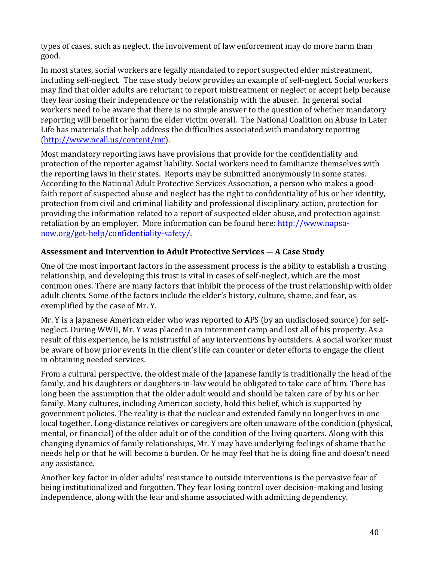types of cases, such as neglect, the involvement of law enforcement may do more harm than good.

In most states, social workers are legally mandated to report suspected elder mistreatment, including self-neglect. The case study below provides an example of self-neglect. Social workers may find that older adults are reluctant to report mistreatment or neglect or accept help because they fear losing their independence or the relationship with the abuser. In general social workers need to be aware that there is no simple answer to the question of whether mandatory reporting will benefit or harm the elder victim overall. The National Coalition on Abuse in Later Life has materials that help address the difficulties associated with mandatory reporting [\(http://www.ncall.us/content/mr\)](http://www.ncall.us/content/mr).

Most mandatory reporting laws have provisions that provide for the confidentiality and protection of the reporter against liability. Social workers need to familiarize themselves with the reporting laws in their states. Reports may be submitted anonymously in some states. According to the National Adult Protective Services Association, a person who makes a goodfaith report of suspected abuse and neglect has the right to confidentiality of his or her identity, protection from civil and criminal liability and professional disciplinary action, protection for providing the information related to a report of suspected elder abuse, and protection against retaliation by an employer. More information can be found here: [http://www.napsa](http://www.napsa-now.org/get-help/confidentiality-safety/)[now.org/get-help/confidentiality-safety/.](http://www.napsa-now.org/get-help/confidentiality-safety/)

### **Assessment and Intervention in Adult Protective Services — A Case Study**

One of the most important factors in the assessment process is the ability to establish a trusting relationship, and developing this trust is vital in cases of self-neglect, which are the most common ones. There are many factors that inhibit the process of the trust relationship with older adult clients. Some of the factors include the elder's history, culture, shame, and fear, as exemplified by the case of Mr. Y.

Mr. Y is a Japanese American elder who was reported to APS (by an undisclosed source) for selfneglect. During WWII, Mr. Y was placed in an internment camp and lost all of his property. As a result of this experience, he is mistrustful of any interventions by outsiders. A social worker must be aware of how prior events in the client's life can counter or deter efforts to engage the client in obtaining needed services.

From a cultural perspective, the oldest male of the Japanese family is traditionally the head of the family, and his daughters or daughters-in-law would be obligated to take care of him. There has long been the assumption that the older adult would and should be taken care of by his or her family. Many cultures, including American society, hold this belief, which is supported by government policies. The reality is that the nuclear and extended family no longer lives in one local together. Long-distance relatives or caregivers are often unaware of the condition (physical, mental, or financial) of the older adult or of the condition of the living quarters. Along with this changing dynamics of family relationships, Mr. Y may have underlying feelings of shame that he needs help or that he will become a burden. Or he may feel that he is doing fine and doesn't need any assistance.

Another key factor in older adults' resistance to outside interventions is the pervasive fear of being institutionalized and forgotten. They fear losing control over decision-making and losing independence, along with the fear and shame associated with admitting dependency.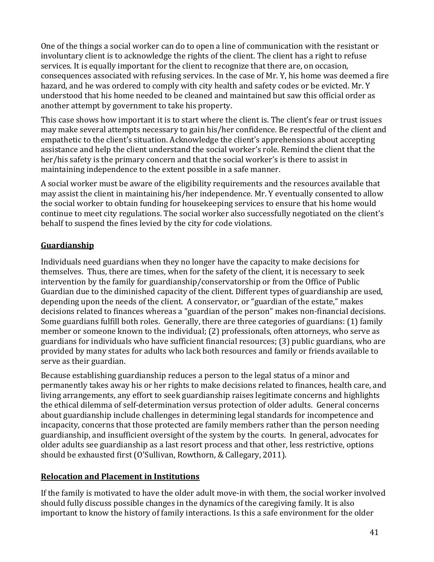One of the things a social worker can do to open a line of communication with the resistant or involuntary client is to acknowledge the rights of the client. The client has a right to refuse services. It is equally important for the client to recognize that there are, on occasion, consequences associated with refusing services. In the case of Mr. Y, his home was deemed a fire hazard, and he was ordered to comply with city health and safety codes or be evicted. Mr. Y understood that his home needed to be cleaned and maintained but saw this official order as another attempt by government to take his property.

This case shows how important it is to start where the client is. The client's fear or trust issues may make several attempts necessary to gain his/her confidence. Be respectful of the client and empathetic to the client's situation. Acknowledge the client's apprehensions about accepting assistance and help the client understand the social worker's role. Remind the client that the her/his safety is the primary concern and that the social worker's is there to assist in maintaining independence to the extent possible in a safe manner.

A social worker must be aware of the eligibility requirements and the resources available that may assist the client in maintaining his/her independence. Mr. Y eventually consented to allow the social worker to obtain funding for housekeeping services to ensure that his home would continue to meet city regulations. The social worker also successfully negotiated on the client's behalf to suspend the fines levied by the city for code violations.

## <span id="page-42-0"></span>**Guardianship**

Individuals need guardians when they no longer have the capacity to make decisions for themselves. Thus, there are times, when for the safety of the client, it is necessary to seek intervention by the family for guardianship/conservatorship or from the Office of Public Guardian due to the diminished capacity of the client. Different types of guardianship are used, depending upon the needs of the client. A conservator, or "guardian of the estate," makes decisions related to finances whereas a "guardian of the person" makes non-financial decisions. Some guardians fulfill both roles. Generally, there are three categories of guardians: (1) family member or someone known to the individual; (2) professionals, often attorneys, who serve as guardians for individuals who have sufficient financial resources; (3) public guardians, who are provided by many states for adults who lack both resources and family or friends available to serve as their guardian.

Because establishing guardianship reduces a person to the legal status of a minor and permanently takes away his or her rights to make decisions related to finances, health care, and living arrangements, any effort to seek guardianship raises legitimate concerns and highlights the ethical dilemma of self-determination versus protection of older adults. General concerns about guardianship include challenges in determining legal standards for incompetence and incapacity, concerns that those protected are family members rather than the person needing guardianship, and insufficient oversight of the system by the courts. In general, advocates for older adults see guardianship as a last resort process and that other, less restrictive, options should be exhausted first (O'Sullivan, Rowthorn, & Callegary, 2011).

## <span id="page-42-1"></span>**Relocation and Placement in Institutions**

If the family is motivated to have the older adult move-in with them, the social worker involved should fully discuss possible changes in the dynamics of the caregiving family. It is also important to know the history of family interactions. Is this a safe environment for the older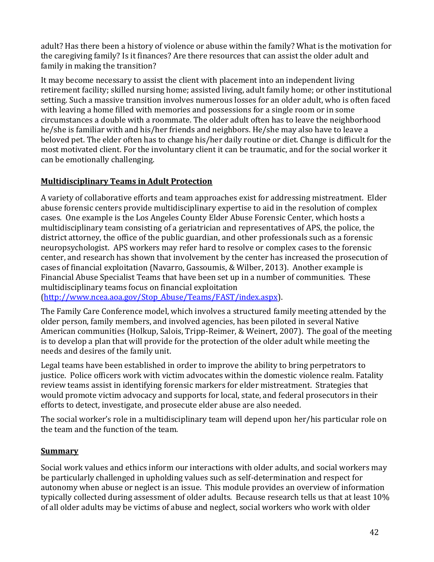adult? Has there been a history of violence or abuse within the family? What is the motivation for the caregiving family? Is it finances? Are there resources that can assist the older adult and family in making the transition?

It may become necessary to assist the client with placement into an independent living retirement facility; skilled nursing home; assisted living, adult family home; or other institutional setting. Such a massive transition involves numerous losses for an older adult, who is often faced with leaving a home filled with memories and possessions for a single room or in some circumstances a double with a roommate. The older adult often has to leave the neighborhood he/she is familiar with and his/her friends and neighbors. He/she may also have to leave a beloved pet. The elder often has to change his/her daily routine or diet. Change is difficult for the most motivated client. For the involuntary client it can be traumatic, and for the social worker it can be emotionally challenging.

## <span id="page-43-0"></span>**Multidisciplinary Teams in Adult Protection**

A variety of collaborative efforts and team approaches exist for addressing mistreatment. Elder abuse forensic centers provide multidisciplinary expertise to aid in the resolution of complex cases. One example is the Los Angeles County Elder Abuse Forensic Center, which hosts a multidisciplinary team consisting of a geriatrician and representatives of APS, the police, the district attorney, the office of the public guardian, and other professionals such as a forensic neuropsychologist. APS workers may refer hard to resolve or complex cases to the forensic center, and research has shown that involvement by the center has increased the prosecution of cases of financial exploitation (Navarro, Gassoumis, & Wilber, 2013). Another example is Financial Abuse Specialist Teams that have been set up in a number of communities. These multidisciplinary teams focus on financial exploitation

[\(http://www.ncea.aoa.gov/Stop\\_Abuse/Teams/FAST/index.aspx\)](http://www.ncea.aoa.gov/Stop_Abuse/Teams/FAST/index.aspx).

The Family Care Conference model, which involves a structured family meeting attended by the older person, family members, and involved agencies, has been piloted in several Native American communities (Holkup, Salois, Tripp-Reimer, & Weinert, 2007). The goal of the meeting is to develop a plan that will provide for the protection of the older adult while meeting the needs and desires of the family unit.

Legal teams have been established in order to improve the ability to bring perpetrators to justice. Police officers work with victim advocates within the domestic violence realm. Fatality review teams assist in identifying forensic markers for elder mistreatment. Strategies that would promote victim advocacy and supports for local, state, and federal prosecutors in their efforts to detect, investigate, and prosecute elder abuse are also needed.

The social worker's role in a multidisciplinary team will depend upon her/his particular role on the team and the function of the team.

#### <span id="page-43-1"></span>**Summary**

Social work values and ethics inform our interactions with older adults, and social workers may be particularly challenged in upholding values such as self-determination and respect for autonomy when abuse or neglect is an issue. This module provides an overview of information typically collected during assessment of older adults. Because research tells us that at least 10% of all older adults may be victims of abuse and neglect, social workers who work with older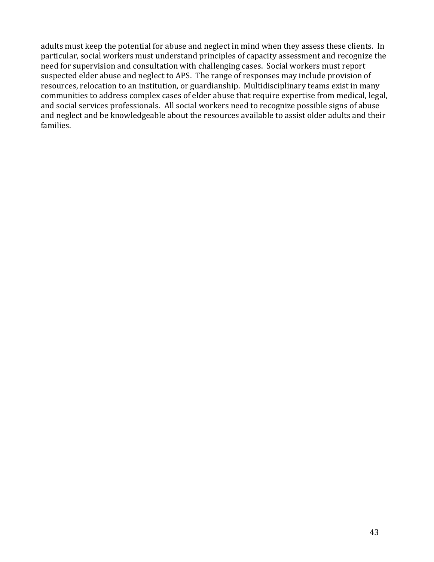adults must keep the potential for abuse and neglect in mind when they assess these clients. In particular, social workers must understand principles of capacity assessment and recognize the need for supervision and consultation with challenging cases. Social workers must report suspected elder abuse and neglect to APS. The range of responses may include provision of resources, relocation to an institution, or guardianship. Multidisciplinary teams exist in many communities to address complex cases of elder abuse that require expertise from medical, legal, and social services professionals. All social workers need to recognize possible signs of abuse and neglect and be knowledgeable about the resources available to assist older adults and their families.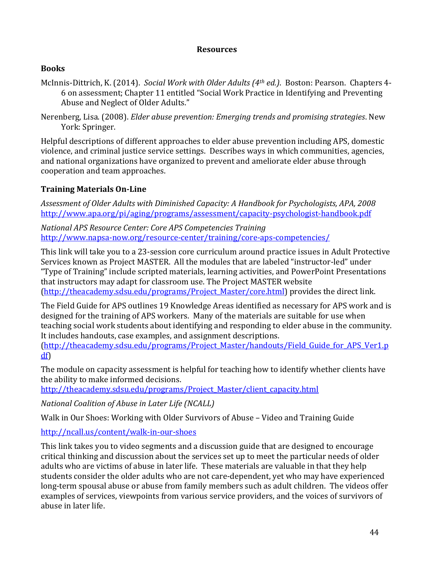#### **Resources**

#### <span id="page-45-0"></span>**Books**

McInnis-Dittrich, K. (2014). *Social Work with Older Adults (4th ed.)*. Boston: Pearson. Chapters 4- 6 on assessment; Chapter 11 entitled "Social Work Practice in Identifying and Preventing Abuse and Neglect of Older Adults."

Nerenberg, Lisa. (2008). *Elder abuse prevention: Emerging trends and promising strategies*. New York: Springer.

Helpful descriptions of different approaches to elder abuse prevention including APS, domestic violence, and criminal justice service settings. Describes ways in which communities, agencies, and national organizations have organized to prevent and ameliorate elder abuse through cooperation and team approaches.

## **Training Materials On-Line**

*Assessment of Older Adults with Diminished Capacity: A Handbook for Psychologists, APA, 2008* <http://www.apa.org/pi/aging/programs/assessment/capacity-psychologist-handbook.pdf>

*National APS Resource Center: Core APS Competencies Training* <http://www.napsa-now.org/resource-center/training/core-aps-competencies/>

This link will take you to a 23-session core curriculum around practice issues in Adult Protective Services known as Project MASTER. All the modules that are labeled "instructor-led" under "Type of Training" include scripted materials, learning activities, and PowerPoint Presentations that instructors may adapt for classroom use. The Project MASTER website [\(http://theacademy.sdsu.edu/programs/Project\\_Master/core.html\)](http://theacademy.sdsu.edu/programs/Project_Master/core.html) provides the direct link.

The Field Guide for APS outlines 19 Knowledge Areas identified as necessary for APS work and is designed for the training of APS workers. Many of the materials are suitable for use when teaching social work students about identifying and responding to elder abuse in the community. It includes handouts, case examples, and assignment descriptions.

[\(http://theacademy.sdsu.edu/programs/Project\\_Master/handouts/Field\\_Guide\\_for\\_APS\\_Ver1.p](http://theacademy.sdsu.edu/programs/Project_Master/handouts/Field_Guide_for_APS_Ver1.pdf) [df\)](http://theacademy.sdsu.edu/programs/Project_Master/handouts/Field_Guide_for_APS_Ver1.pdf)

The module on capacity assessment is helpful for teaching how to identify whether clients have the ability to make informed decisions.

[http://theacademy.sdsu.edu/programs/Project\\_Master/client\\_capacity.html](http://theacademy.sdsu.edu/programs/Project_Master/client_capacity.html)

*National Coalition of Abuse in Later Life (NCALL)*

Walk in Our Shoes: Working with Older Survivors of Abuse – Video and Training Guide

<http://ncall.us/content/walk-in-our-shoes>

This link takes you to video segments and a discussion guide that are designed to encourage critical thinking and discussion about the services set up to meet the particular needs of older adults who are victims of abuse in later life. These materials are valuable in that they help students consider the older adults who are not care-dependent, yet who may have experienced long-term spousal abuse or abuse from family members such as adult children. The videos offer examples of services, viewpoints from various service providers, and the voices of survivors of abuse in later life.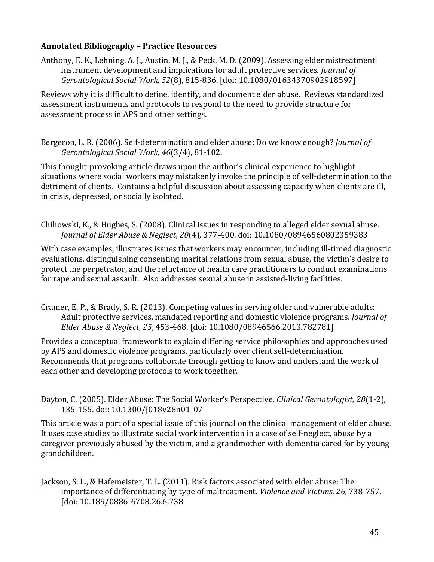#### **Annotated Bibliography – Practice Resources**

Anthony, E. K., Lehning, A. J., Austin, M. J., & Peck, M. D. (2009). Assessing elder mistreatment: instrument development and implications for adult protective services. *Journal of Gerontological Social Work, 52*(8), 815-836. [doi: 10.1080/01634370902918597]

Reviews why it is difficult to define, identify, and document elder abuse. Reviews standardized assessment instruments and protocols to respond to the need to provide structure for assessment process in APS and other settings.

Bergeron, L. R. (2006). Self-determination and elder abuse: Do we know enough? *Journal of Gerontological Social Work, 46*(3/4), 81-102.

This thought-provoking article draws upon the author's clinical experience to highlight situations where social workers may mistakenly invoke the principle of self-determination to the detriment of clients. Contains a helpful discussion about assessing capacity when clients are ill, in crisis, depressed, or socially isolated.

Chihowski, K., & Hughes, S. (2008). Clinical issues in responding to alleged elder sexual abuse. *Journal of Elder Abuse & Neglect*, *20*(4), 377-400. doi: 10.1080/08946560802359383

With case examples, illustrates issues that workers may encounter, including ill-timed diagnostic evaluations, distinguishing consenting marital relations from sexual abuse, the victim's desire to protect the perpetrator, and the reluctance of health care practitioners to conduct examinations for rape and sexual assault. Also addresses sexual abuse in assisted-living facilities.

Cramer, E. P., & Brady, S. R. (2013). Competing values in serving older and vulnerable adults: Adult protective services, mandated reporting and domestic violence programs. *Journal of Elder Abuse & Neglect, 25*, 453-468. [doi: 10.1080/08946566.2013.782781]

Provides a conceptual framework to explain differing service philosophies and approaches used by APS and domestic violence programs, particularly over client self-determination. Recommends that programs collaborate through getting to know and understand the work of each other and developing protocols to work together.

Dayton, C. (2005). Elder Abuse: The Social Worker's Perspective. *Clinical Gerontologist, 28*(1-2), 135-155. doi: 10.1300/J018v28n01\_07

This article was a part of a special issue of this journal on the clinical management of elder abuse. It uses case studies to illustrate social work intervention in a case of self-neglect, abuse by a caregiver previously abused by the victim, and a grandmother with dementia cared for by young grandchildren.

Jackson, S. L., & Hafemeister, T. L. (2011). Risk factors associated with elder abuse: The importance of differentiating by type of maltreatment. *Violence and Victims, 26*, 738-757. [doi: 10.189/0886-6708.26.6.738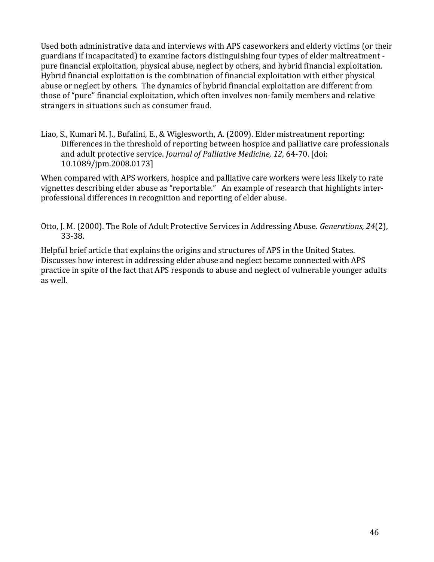Used both administrative data and interviews with APS caseworkers and elderly victims (or their guardians if incapacitated) to examine factors distinguishing four types of elder maltreatment pure financial exploitation, physical abuse, neglect by others, and hybrid financial exploitation. Hybrid financial exploitation is the combination of financial exploitation with either physical abuse or neglect by others. The dynamics of hybrid financial exploitation are different from those of "pure" financial exploitation, which often involves non-family members and relative strangers in situations such as consumer fraud.

Liao, S., Kumari M. J., Bufalini, E., & Wiglesworth, A. (2009). Elder mistreatment reporting: Differences in the threshold of reporting between hospice and palliative care professionals and adult protective service. *Journal of Palliative Medicine, 12*, 64-70. [doi: 10.1089/jpm.2008.0173]

When compared with APS workers, hospice and palliative care workers were less likely to rate vignettes describing elder abuse as "reportable." An example of research that highlights interprofessional differences in recognition and reporting of elder abuse.

Otto, J. M. (2000). The Role of Adult Protective Services in Addressing Abuse. *Generations, 24*(2), 33-38.

Helpful brief article that explains the origins and structures of APS in the United States. Discusses how interest in addressing elder abuse and neglect became connected with APS practice in spite of the fact that APS responds to abuse and neglect of vulnerable younger adults as well.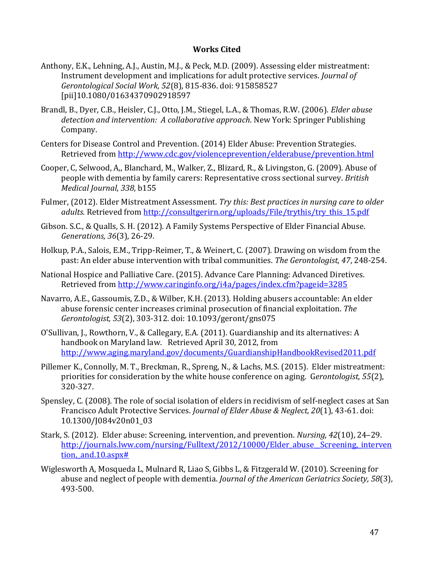#### **Works Cited**

- <span id="page-48-0"></span>Anthony, E.K., Lehning, A.J., Austin, M.J., & Peck, M.D. (2009). Assessing elder mistreatment: Instrument development and implications for adult protective services. *Journal of Gerontological Social Work, 52*(8), 815-836. doi: 915858527 [pii]10.1080/01634370902918597
- Brandl, B., Dyer, C.B., Heisler, C.J., Otto, J.M., Stiegel, L.A., & Thomas, R.W. (2006). *Elder abuse detection and intervention: A collaborative approach*. New York: Springer Publishing Company.
- Centers for Disease Control and Prevention. (2014) Elder Abuse: Prevention Strategies. Retrieved from<http://www.cdc.gov/violenceprevention/elderabuse/prevention.html>
- Cooper, C, Selwood, A,, Blanchard, M., Walker, Z., Blizard, R., & Livingston, G. (2009). Abuse of people with dementia by family carers: Representative cross sectional survey. *British Medical Journal*, *338*, b155
- Fulmer, (2012). Elder Mistreatment Assessment. *Try this: Best practices in nursing care to older adults.* Retrieved from [http://consultgerirn.org/uploads/File/trythis/try\\_this\\_15.pdf](http://consultgerirn.org/uploads/File/trythis/try_this_15.pdf)
- Gibson. S.C., & Qualls, S. H. (2012). A Family Systems Perspective of Elder Financial Abuse. *Generations, 36*(3), 26-29.
- Holkup, P.A., Salois, E.M., Tripp-Reimer, T., & Weinert, C. (2007). Drawing on wisdom from the past: An elder abuse intervention with tribal communities. *The Gerontologist, 47*, 248-254.
- National Hospice and Palliative Care. (2015). Advance Care Planning: Advanced Diretives. Retrieved from<http://www.caringinfo.org/i4a/pages/index.cfm?pageid=3285>
- Navarro, A.E., Gassoumis, Z.D., & Wilber, K.H. (2013). Holding abusers accountable: An elder abuse forensic center increases criminal prosecution of financial exploitation. *The Gerontologist, 53*(2), 303-312. doi: 10.1093/geront/gns075
- O'Sullivan, J., Rowthorn, V., & Callegary, E.A. (2011). Guardianship and its alternatives: A handbook on Maryland law. Retrieved April 30, 2012, from <http://www.aging.maryland.gov/documents/GuardianshipHandbookRevised2011.pdf>
- Pillemer K., Connolly, M. T., Breckman, R., Spreng, N., & Lachs, M.S. (2015). Elder mistreatment: priorities for consideration by the white house conference on aging. G*erontologist, 55*(2), 320-327.
- Spensley, C. (2008). The role of social isolation of elders in recidivism of self-neglect cases at San Francisco Adult Protective Services. *Journal of Elder Abuse & Neglect, 20*(1), 43-61. doi: 10.1300/J084v20n01\_03
- Stark, S. (2012). Elder abuse: Screening, intervention, and prevention. *Nursing, 42*(10), 24–29. http://journals.lww.com/nursing/Fulltext/2012/10000/Elder abuse\_Screening, interven tion, and.10.aspx#
- Wiglesworth A, Mosqueda L, Mulnard R, Liao S, Gibbs L, & Fitzgerald W. (2010). Screening for abuse and neglect of people with dementia. *Journal of the American Geriatrics Society, 58*(3), 493-500.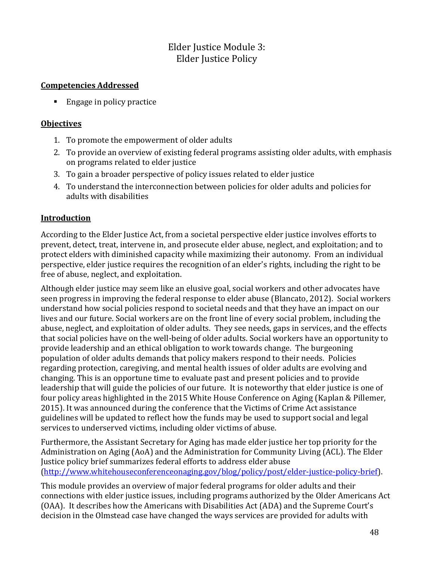# Elder Justice Module 3: Elder Justice Policy

#### <span id="page-49-1"></span><span id="page-49-0"></span>**Competencies Addressed**

■ Engage in policy practice

#### <span id="page-49-2"></span>**Objectives**

- 1. To promote the empowerment of older adults
- 2. To provide an overview of existing federal programs assisting older adults, with emphasis on programs related to elder justice
- 3. To gain a broader perspective of policy issues related to elder justice
- 4. To understand the interconnection between policies for older adults and policies for adults with disabilities

#### <span id="page-49-3"></span>**Introduction**

According to the Elder Justice Act, from a societal perspective elder justice involves efforts to prevent, detect, treat, intervene in, and prosecute elder abuse, neglect, and exploitation; and to protect elders with diminished capacity while maximizing their autonomy. From an individual perspective, elder justice requires the recognition of an elder's rights, including the right to be free of abuse, neglect, and exploitation.

Although elder justice may seem like an elusive goal, social workers and other advocates have seen progress in improving the federal response to elder abuse (Blancato, 2012). Social workers understand how social policies respond to societal needs and that they have an impact on our lives and our future. Social workers are on the front line of every social problem, including the abuse, neglect, and exploitation of older adults. They see needs, gaps in services, and the effects that social policies have on the well-being of older adults. Social workers have an opportunity to provide leadership and an ethical obligation to work towards change. The burgeoning population of older adults demands that policy makers respond to their needs. Policies regarding protection, caregiving, and mental health issues of older adults are evolving and changing. This is an opportune time to evaluate past and present policies and to provide leadership that will guide the policies of our future. It is noteworthy that elder justice is one of four policy areas highlighted in the 2015 White House Conference on Aging (Kaplan & Pillemer, 2015). It was announced during the conference that the Victims of Crime Act assistance guidelines will be updated to reflect how the funds may be used to support social and legal services to underserved victims, including older victims of abuse.

Furthermore, the Assistant Secretary for Aging has made elder justice her top priority for the Administration on Aging (AoA) and the Administration for Community Living (ACL). The Elder Justice policy brief summarizes federal efforts to address elder abuse [\(http://www.whitehouseconferenceonaging.gov/blog/policy/post/elder-justice-policy-brief\)](http://www.whitehouseconferenceonaging.gov/blog/policy/post/elder-justice-policy-brief).

This module provides an overview of major federal programs for older adults and their connections with elder justice issues, including programs authorized by the Older Americans Act (OAA). It describes how the Americans with Disabilities Act (ADA) and the Supreme Court's decision in the Olmstead case have changed the ways services are provided for adults with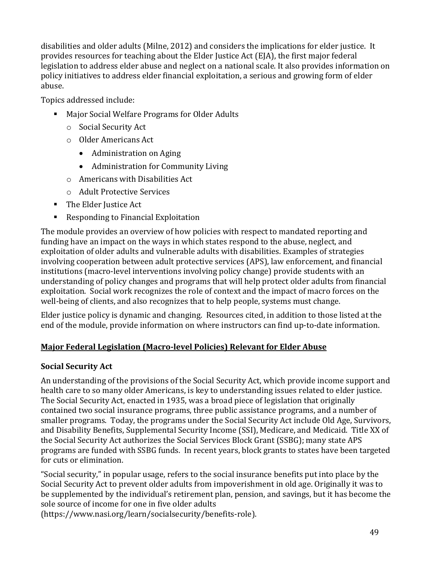disabilities and older adults (Milne, 2012) and considers the implications for elder justice. It provides resources for teaching about the Elder Justice Act (EJA), the first major federal legislation to address elder abuse and neglect on a national scale. It also provides information on policy initiatives to address elder financial exploitation, a serious and growing form of elder abuse.

Topics addressed include:

- Major Social Welfare Programs for Older Adults
	- o Social Security Act
	- o Older Americans Act
		- Administration on Aging
		- Administration for Community Living
	- o Americans with Disabilities Act
	- o Adult Protective Services
- The Elder Justice Act
- Responding to Financial Exploitation

The module provides an overview of how policies with respect to mandated reporting and funding have an impact on the ways in which states respond to the abuse, neglect, and exploitation of older adults and vulnerable adults with disabilities. Examples of strategies involving cooperation between adult protective services (APS), law enforcement, and financial institutions (macro-level interventions involving policy change) provide students with an understanding of policy changes and programs that will help protect older adults from financial exploitation. Social work recognizes the role of context and the impact of macro forces on the well-being of clients, and also recognizes that to help people, systems must change.

Elder justice policy is dynamic and changing. Resources cited, in addition to those listed at the end of the module, provide information on where instructors can find up-to-date information.

## <span id="page-50-0"></span>**Major Federal Legislation (Macro-level Policies) Relevant for Elder Abuse**

## **Social Security Act**

An understanding of the provisions of the Social Security Act, which provide income support and health care to so many older Americans, is key to understanding issues related to elder justice. The Social Security Act, enacted in 1935, was a broad piece of legislation that originally contained two social insurance programs, three public assistance programs, and a number of smaller programs. Today, the programs under the Social Security Act include Old Age, Survivors, and Disability Benefits, Supplemental Security Income (SSI), Medicare, and Medicaid. Title XX of the Social Security Act authorizes the Social Services Block Grant (SSBG); many state APS programs are funded with SSBG funds. In recent years, block grants to states have been targeted for cuts or elimination.

"Social security," in popular usage, refers to the social insurance benefits put into place by the Social Security Act to prevent older adults from impoverishment in old age. Originally it was to be supplemented by the individual's retirement plan, pension, and savings, but it has become the sole source of income for one in five older adults

(https://www.nasi.org/learn/socialsecurity/benefits-role).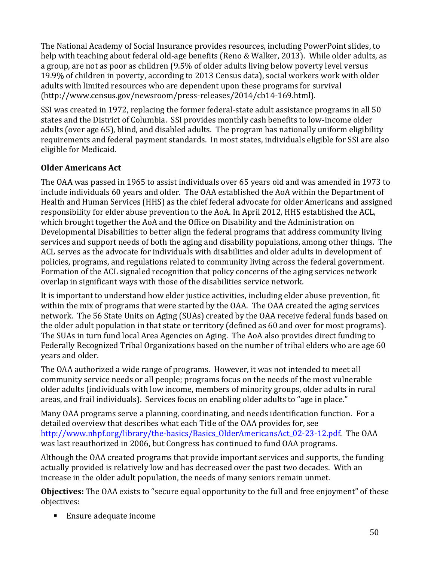The National Academy of Social Insurance provides resources, including PowerPoint slides, to help with teaching about federal old-age benefits (Reno & Walker, 2013). While older adults, as a group, are not as poor as children (9.5% of older adults living below poverty level versus 19.9% of children in poverty, according to 2013 Census data), social workers work with older adults with limited resources who are dependent upon these programs for survival (http://www.census.gov/newsroom/press-releases/2014/cb14-169.html).

SSI was created in 1972, replacing the former federal-state adult assistance programs in all 50 states and the District of Columbia. SSI provides monthly cash benefits to low-income older adults (over age 65), blind, and disabled adults. The program has nationally uniform eligibility requirements and federal payment standards. In most states, individuals eligible for SSI are also eligible for Medicaid.

## **Older Americans Act**

The OAA was passed in 1965 to assist individuals over 65 years old and was amended in 1973 to include individuals 60 years and older. The OAA established the AoA within the Department of Health and Human Services (HHS) as the chief federal advocate for older Americans and assigned responsibility for elder abuse prevention to the AoA. In April 2012, HHS established the ACL, which brought together the AoA and the Office on Disability and the Administration on Developmental Disabilities to better align the federal programs that address community living services and support needs of both the aging and disability populations, among other things. The ACL serves as the advocate for individuals with disabilities and older adults in development of policies, programs, and regulations related to community living across the federal government. Formation of the ACL signaled recognition that policy concerns of the aging services network overlap in significant ways with those of the disabilities service network.

It is important to understand how elder justice activities, including elder abuse prevention, fit within the mix of programs that were started by the OAA. The OAA created the aging services network. The 56 State Units on Aging (SUAs) created by the OAA receive federal funds based on the older adult population in that state or territory (defined as 60 and over for most programs). The SUAs in turn fund local Area Agencies on Aging. The AoA also provides direct funding to Federally Recognized Tribal Organizations based on the number of tribal elders who are age 60 years and older.

The OAA authorized a wide range of programs. However, it was not intended to meet all community service needs or all people; programs focus on the needs of the most vulnerable older adults (individuals with low income, members of minority groups, older adults in rural areas, and frail individuals). Services focus on enabling older adults to "age in place."

Many OAA programs serve a planning, coordinating, and needs identification function. For a detailed overview that describes what each Title of the OAA provides for, see [http://www.nhpf.org/library/the-basics/Basics\\_OlderAmericansAct\\_02-23-12.pdf.](http://www.nhpf.org/library/the-basics/Basics_OlderAmericansAct_02-23-12.pdf) The OAA was last reauthorized in 2006, but Congress has continued to fund OAA programs.

Although the OAA created programs that provide important services and supports, the funding actually provided is relatively low and has decreased over the past two decades. With an increase in the older adult population, the needs of many seniors remain unmet.

**Objectives:** The OAA exists to "secure equal opportunity to the full and free enjoyment" of these objectives:

■ Ensure adequate income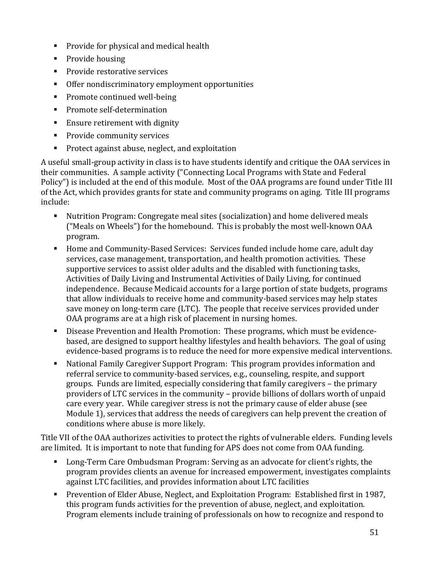- **Provide for physical and medical health**
- Provide housing
- Provide restorative services
- Offer nondiscriminatory employment opportunities
- Promote continued well-being
- **Promote self-determination**
- **Ensure retirement with dignity**
- **Provide community services**
- **Protect against abuse, neglect, and exploitation**

A useful small-group activity in class is to have students identify and critique the OAA services in their communities. A sample activity ("Connecting Local Programs with State and Federal Policy") is included at the end of this module. Most of the OAA programs are found under Title III of the Act, which provides grants for state and community programs on aging. Title III programs include:

- Nutrition Program: Congregate meal sites (socialization) and home delivered meals ("Meals on Wheels") for the homebound. This is probably the most well-known OAA program.
- Home and Community-Based Services: Services funded include home care, adult day services, case management, transportation, and health promotion activities. These supportive services to assist older adults and the disabled with functioning tasks, Activities of Daily Living and Instrumental Activities of Daily Living, for continued independence. Because Medicaid accounts for a large portion of state budgets, programs that allow individuals to receive home and community-based services may help states save money on long-term care (LTC). The people that receive services provided under OAA programs are at a high risk of placement in nursing homes.
- Disease Prevention and Health Promotion: These programs, which must be evidencebased, are designed to support healthy lifestyles and health behaviors. The goal of using evidence-based programs is to reduce the need for more expensive medical interventions.
- National Family Caregiver Support Program: This program provides information and referral service to community-based services, e.g., counseling, respite, and support groups. Funds are limited, especially considering that family caregivers – the primary providers of LTC services in the community – provide billions of dollars worth of unpaid care every year. While caregiver stress is not the primary cause of elder abuse (see Module 1), services that address the needs of caregivers can help prevent the creation of conditions where abuse is more likely.

Title VII of the OAA authorizes activities to protect the rights of vulnerable elders. Funding levels are limited. It is important to note that funding for APS does not come from OAA funding.

- **Long-Term Care Ombudsman Program: Serving as an advocate for client's rights, the** program provides clients an avenue for increased empowerment, investigates complaints against LTC facilities, and provides information about LTC facilities
- **Prevention of Elder Abuse, Neglect, and Exploitation Program: Established first in 1987,** this program funds activities for the prevention of abuse, neglect, and exploitation. Program elements include training of professionals on how to recognize and respond to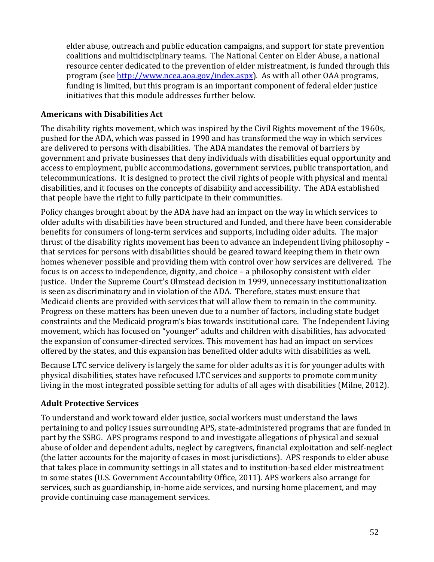elder abuse, outreach and public education campaigns, and support for state prevention coalitions and multidisciplinary teams. The National Center on Elder Abuse, a national resource center dedicated to the prevention of elder mistreatment, is funded through this program (see [http://www.ncea.aoa.gov/index.aspx\)](http://www.ncea.aoa.gov/index.aspx). As with all other OAA programs, funding is limited, but this program is an important component of federal elder justice initiatives that this module addresses further below.

#### **Americans with Disabilities Act**

The disability rights movement, which was inspired by the Civil Rights movement of the 1960s, pushed for the ADA, which was passed in 1990 and has transformed the way in which services are delivered to persons with disabilities. The ADA mandates the removal of barriers by government and private businesses that deny individuals with disabilities equal opportunity and access to employment, public accommodations, government services, public transportation, and telecommunications. It is designed to protect the civil rights of people with physical and mental disabilities, and it focuses on the concepts of disability and accessibility. The ADA established that people have the right to fully participate in their communities.

Policy changes brought about by the ADA have had an impact on the way in which services to older adults with disabilities have been structured and funded, and there have been considerable benefits for consumers of long-term services and supports, including older adults. The major thrust of the disability rights movement has been to advance an independent living philosophy – that services for persons with disabilities should be geared toward keeping them in their own homes whenever possible and providing them with control over how services are delivered. The focus is on access to independence, dignity, and choice – a philosophy consistent with elder justice. Under the Supreme Court's Olmstead decision in 1999, unnecessary institutionalization is seen as discriminatory and in violation of the ADA. Therefore, states must ensure that Medicaid clients are provided with services that will allow them to remain in the community. Progress on these matters has been uneven due to a number of factors, including state budget constraints and the Medicaid program's bias towards institutional care. The Independent Living movement, which has focused on "younger" adults and children with disabilities, has advocated the expansion of consumer-directed services. This movement has had an impact on services offered by the states, and this expansion has benefited older adults with disabilities as well.

Because LTC service delivery is largely the same for older adults as it is for younger adults with physical disabilities, states have refocused LTC services and supports to promote community living in the most integrated possible setting for adults of all ages with disabilities (Milne, 2012).

#### **Adult Protective Services**

To understand and work toward elder justice, social workers must understand the laws pertaining to and policy issues surrounding APS, state-administered programs that are funded in part by the SSBG. APS programs respond to and investigate allegations of physical and sexual abuse of older and dependent adults, neglect by caregivers, financial exploitation and self-neglect (the latter accounts for the majority of cases in most jurisdictions). APS responds to elder abuse that takes place in community settings in all states and to institution-based elder mistreatment in some states (U.S. Government Accountability Office, 2011). APS workers also arrange for services, such as guardianship, in-home aide services, and nursing home placement, and may provide continuing case management services.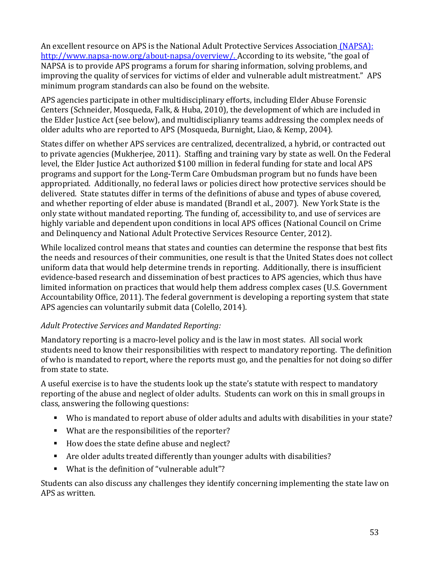An excellent resource on APS is the National Adult Protective Services Association (NAPSA): [http://www.napsa-now.org/about-napsa/overview/.](http://www.napsa-now.org/about-napsa/overview/) According to its website, "the goal of NAPSA is to provide APS programs a forum for sharing information, solving problems, and improving the quality of services for victims of elder and vulnerable adult mistreatment." APS minimum program standards can also be found on the website.

APS agencies participate in other multidisciplinary efforts, including Elder Abuse Forensic Centers (Schneider, Mosqueda, Falk, & Huba, 2010), the development of which are included in the Elder Justice Act (see below), and multidisciplianry teams addressing the complex needs of older adults who are reported to APS (Mosqueda, Burnight, Liao, & Kemp, 2004).

States differ on whether APS services are centralized, decentralized, a hybrid, or contracted out to private agencies (Mukherjee, 2011). Staffing and training vary by state as well. On the Federal level, the Elder Justice Act authorized \$100 million in federal funding for state and local APS programs and support for the Long-Term Care Ombudsman program but no funds have been appropriated. Additionally, no federal laws or policies direct how protective services should be delivered. State statutes differ in terms of the definitions of abuse and types of abuse covered, and whether reporting of elder abuse is mandated (Brandl et al., 2007). New York State is the only state without mandated reporting. The funding of, accessibility to, and use of services are highly variable and dependent upon conditions in local APS offices (National Council on Crime and Delinquency and National Adult Protective Services Resource Center, 2012).

While localized control means that states and counties can determine the response that best fits the needs and resources of their communities, one result is that the United States does not collect uniform data that would help determine trends in reporting. Additionally, there is insufficient evidence-based research and dissemination of best practices to APS agencies, which thus have limited information on practices that would help them address complex cases (U.S. Government Accountability Office, 2011). The federal government is developing a reporting system that state APS agencies can voluntarily submit data (Colello, 2014).

## *Adult Protective Services and Mandated Reporting:*

Mandatory reporting is a macro-level policy and is the law in most states. All social work students need to know their responsibilities with respect to mandatory reporting. The definition of who is mandated to report, where the reports must go, and the penalties for not doing so differ from state to state.

A useful exercise is to have the students look up the state's statute with respect to mandatory reporting of the abuse and neglect of older adults. Students can work on this in small groups in class, answering the following questions:

- Who is mandated to report abuse of older adults and adults with disabilities in your state?
- What are the responsibilities of the reporter?
- How does the state define abuse and neglect?
- Are older adults treated differently than younger adults with disabilities?
- What is the definition of "vulnerable adult"?

Students can also discuss any challenges they identify concerning implementing the state law on APS as written.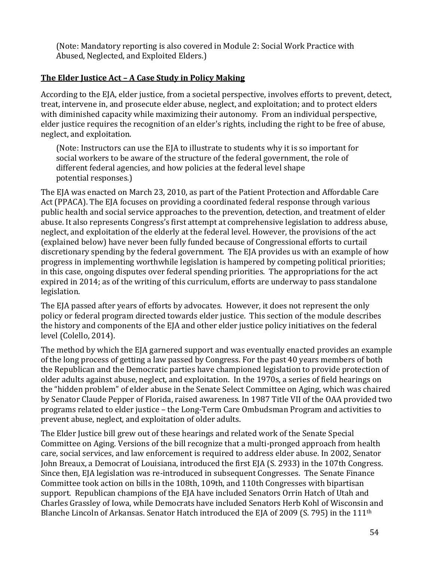(Note: Mandatory reporting is also covered in Module 2: Social Work Practice with Abused, Neglected, and Exploited Elders.)

#### <span id="page-55-0"></span>**The Elder Justice Act – A Case Study in Policy Making**

According to the EJA, elder justice, from a societal perspective, involves efforts to prevent, detect, treat, intervene in, and prosecute elder abuse, neglect, and exploitation; and to protect elders with diminished capacity while maximizing their autonomy. From an individual perspective, elder justice requires the recognition of an elder's rights, including the right to be free of abuse, neglect, and exploitation.

(Note: Instructors can use the EJA to illustrate to students why it is so important for social workers to be aware of the structure of the federal government, the role of different federal agencies, and how policies at the federal level shape potential responses.)

The EJA was enacted on March 23, 2010, as part of the Patient Protection and Affordable Care Act (PPACA). The EJA focuses on providing a coordinated federal response through various public health and social service approaches to the prevention, detection, and treatment of elder abuse. It also represents Congress's first attempt at comprehensive legislation to address abuse, neglect, and exploitation of the elderly at the federal level. However, the provisions of the act (explained below) have never been fully funded because of Congressional efforts to curtail discretionary spending by the federal government. The EJA provides us with an example of how progress in implementing worthwhile legislation is hampered by competing political priorities; in this case, ongoing disputes over federal spending priorities. The appropriations for the act expired in 2014; as of the writing of this curriculum, efforts are underway to pass standalone legislation.

The EJA passed after years of efforts by advocates. However, it does not represent the only policy or federal program directed towards elder justice. This section of the module describes the history and components of the EJA and other elder justice policy initiatives on the federal level (Colello, 2014).

The method by which the EJA garnered support and was eventually enacted provides an example of the long process of getting a law passed by Congress. For the past 40 years members of both the Republican and the Democratic parties have championed legislation to provide protection of older adults against abuse, neglect, and exploitation. In the 1970s, a series of field hearings on the "hidden problem" of elder abuse in the Senate Select Committee on Aging, which was chaired by Senator Claude Pepper of Florida, raised awareness. In 1987 Title VII of the OAA provided two programs related to elder justice – the Long-Term Care Ombudsman Program and activities to prevent abuse, neglect, and exploitation of older adults.

The Elder Justice bill grew out of these hearings and related work of the Senate Special Committee on Aging. Versions of the bill recognize that a multi-pronged approach from health care, social services, and law enforcement is required to address elder abuse. In 2002, Senator John Breaux, a Democrat of Louisiana, introduced the first EJA (S. 2933) in the 107th Congress. Since then, EJA legislation was re-introduced in subsequent Congresses. The Senate Finance Committee took action on bills in the 108th, 109th, and 110th Congresses with bipartisan support. Republican champions of the EJA have included Senators Orrin Hatch of Utah and Charles Grassley of Iowa, while Democrats have included Senators Herb Kohl of Wisconsin and Blanche Lincoln of Arkansas. Senator Hatch introduced the EJA of 2009 (S. 795) in the 111th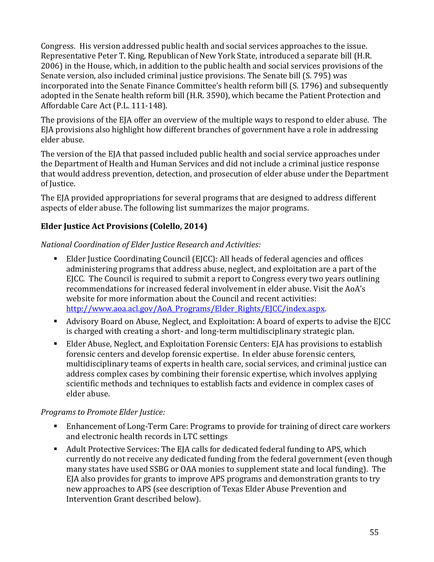Congress. His version addressed public health and social services approaches to the issue. Representative Peter T. King, Republican of New York State, introduced a separate bill (H.R. 2006) in the House, which, in addition to the public health and social services provisions of the Senate version, also included criminal justice provisions. The Senate bill (S. 795) was incorporated into the Senate Finance Committee's health reform bill (S. 1796) and subsequently adopted in the Senate health reform bill (H.R. 3590), which became the Patient Protection and Affordable Care Act (P.L. 111-148).

The provisions of the EJA offer an overview of the multiple ways to respond to elder abuse. The EJA provisions also highlight how different branches of government have a role in addressing elder abuse.

The version of the EJA that passed included public health and social service approaches under the Department of Health and Human Services and did not include a criminal justice response that would address prevention, detection, and prosecution of elder abuse under the Department of Justice.

The EJA provided appropriations for several programs that are designed to address different aspects of elder abuse. The following list summarizes the major programs.

## **Elder Justice Act Provisions (Colello, 2014)**

*National Coordination of Elder Justice Research and Activities:*

- Elder Justice Coordinating Council (EJCC): All heads of federal agencies and offices administering programs that address abuse, neglect, and exploitation are a part of the EJCC. The Council is required to submit a report to Congress every two years outlining recommendations for increased federal involvement in elder abuse. Visit the AoA's website for more information about the Council and recent activities: [http://www.aoa.acl.gov/AoA\\_Programs/Elder\\_Rights/EJCC/index.aspx.](http://www.aoa.acl.gov/AoA_Programs/Elder_Rights/EJCC/index.aspx)
- Advisory Board on Abuse, Neglect, and Exploitation: A board of experts to advise the EJCC is charged with creating a short- and long-term multidisciplinary strategic plan.
- Elder Abuse, Neglect, and Exploitation Forensic Centers: EJA has provisions to establish forensic centers and develop forensic expertise. In elder abuse forensic centers, multidisciplinary teams of experts in health care, social services, and criminal justice can address complex cases by combining their forensic expertise, which involves applying scientific methods and techniques to establish facts and evidence in complex cases of elder abuse.

#### *Programs to Promote Elder Justice:*

- Enhancement of Long-Term Care: Programs to provide for training of direct care workers and electronic health records in LTC settings
- Adult Protective Services: The EJA calls for dedicated federal funding to APS, which currently do not receive any dedicated funding from the federal government (even though many states have used SSBG or OAA monies to supplement state and local funding). The EJA also provides for grants to improve APS programs and demonstration grants to try new approaches to APS (see description of Texas Elder Abuse Prevention and Intervention Grant described below).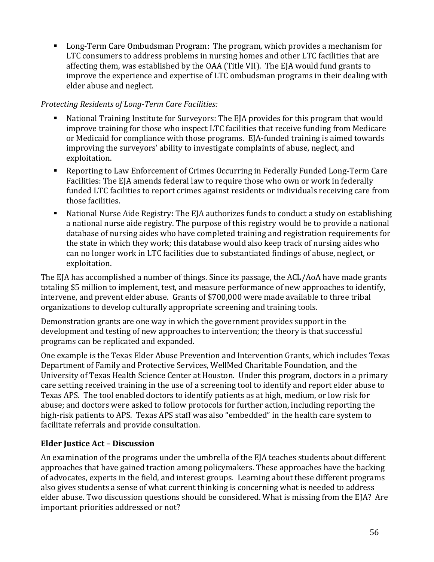Long-Term Care Ombudsman Program: The program, which provides a mechanism for LTC consumers to address problems in nursing homes and other LTC facilities that are affecting them, was established by the OAA (Title VII). The EJA would fund grants to improve the experience and expertise of LTC ombudsman programs in their dealing with elder abuse and neglect.

#### *Protecting Residents of Long-Term Care Facilities:*

- National Training Institute for Surveyors: The EJA provides for this program that would improve training for those who inspect LTC facilities that receive funding from Medicare or Medicaid for compliance with those programs. EJA-funded training is aimed towards improving the surveyors' ability to investigate complaints of abuse, neglect, and exploitation.
- Reporting to Law Enforcement of Crimes Occurring in Federally Funded Long-Term Care Facilities: The EJA amends federal law to require those who own or work in federally funded LTC facilities to report crimes against residents or individuals receiving care from those facilities.
- National Nurse Aide Registry: The EJA authorizes funds to conduct a study on establishing a national nurse aide registry. The purpose of this registry would be to provide a national database of nursing aides who have completed training and registration requirements for the state in which they work; this database would also keep track of nursing aides who can no longer work in LTC facilities due to substantiated findings of abuse, neglect, or exploitation.

The EJA has accomplished a number of things. Since its passage, the ACL/AoA have made grants totaling \$5 million to implement, test, and measure performance of new approaches to identify, intervene, and prevent elder abuse. Grants of \$700,000 were made available to three tribal organizations to develop culturally appropriate screening and training tools.

Demonstration grants are one way in which the government provides support in the development and testing of new approaches to intervention; the theory is that successful programs can be replicated and expanded.

One example is the Texas Elder Abuse Prevention and Intervention Grants, which includes Texas Department of Family and Protective Services, WellMed Charitable Foundation, and the University of Texas Health Science Center at Houston. Under this program, doctors in a primary care setting received training in the use of a screening tool to identify and report elder abuse to Texas APS. The tool enabled doctors to identify patients as at high, medium, or low risk for abuse; and doctors were asked to follow protocols for further action, including reporting the high-risk patients to APS. Texas APS staff was also "embedded" in the health care system to facilitate referrals and provide consultation.

#### **Elder Justice Act – Discussion**

An examination of the programs under the umbrella of the EJA teaches students about different approaches that have gained traction among policymakers. These approaches have the backing of advocates, experts in the field, and interest groups. Learning about these different programs also gives students a sense of what current thinking is concerning what is needed to address elder abuse. Two discussion questions should be considered. What is missing from the EJA? Are important priorities addressed or not?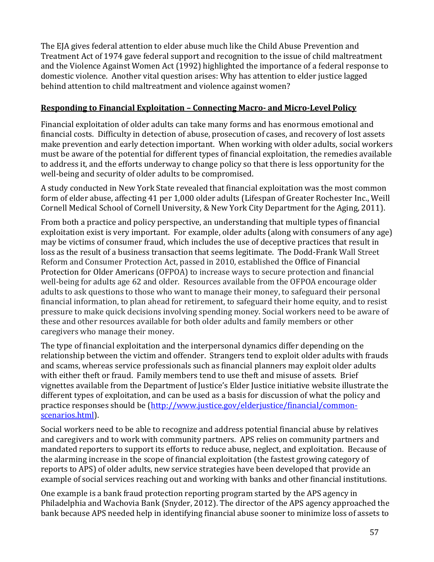The EJA gives federal attention to elder abuse much like the Child Abuse Prevention and Treatment Act of 1974 gave federal support and recognition to the issue of child maltreatment and the Violence Against Women Act (1992) highlighted the importance of a federal response to domestic violence. Another vital question arises: Why has attention to elder justice lagged behind attention to child maltreatment and violence against women?

### <span id="page-58-0"></span>**Responding to Financial Exploitation – Connecting Macro- and Micro-Level Policy**

Financial exploitation of older adults can take many forms and has enormous emotional and financial costs. Difficulty in detection of abuse, prosecution of cases, and recovery of lost assets make prevention and early detection important. When working with older adults, social workers must be aware of the potential for different types of financial exploitation, the remedies available to address it, and the efforts underway to change policy so that there is less opportunity for the well-being and security of older adults to be compromised.

A study conducted in New York State revealed that financial exploitation was the most common form of elder abuse, affecting 41 per 1,000 older adults (Lifespan of Greater Rochester Inc., Weill Cornell Medical School of Cornell University, & New York City Department for the Aging, 2011).

From both a practice and policy perspective, an understanding that multiple types of financial exploitation exist is very important. For example, older adults (along with consumers of any age) may be victims of consumer fraud, which includes the use of deceptive practices that result in loss as the result of a business transaction that seems legitimate. The Dodd-Frank Wall Street Reform and Consumer Protection Act, passed in 2010, established the Office of Financial Protection for Older Americans (OFPOA) to increase ways to secure protection and financial well-being for adults age 62 and older. Resources available from the OFPOA encourage older adults to ask questions to those who want to manage their money, to safeguard their personal financial information, to plan ahead for retirement, to safeguard their home equity, and to resist pressure to make quick decisions involving spending money. Social workers need to be aware of these and other resources available for both older adults and family members or other caregivers who manage their money.

The type of financial exploitation and the interpersonal dynamics differ depending on the relationship between the victim and offender. Strangers tend to exploit older adults with frauds and scams, whereas service professionals such as financial planners may exploit older adults with either theft or fraud. Family members tend to use theft and misuse of assets. Brief vignettes available from the Department of Justice's Elder Justice initiative website illustrate the different types of exploitation, and can be used as a basis for discussion of what the policy and practice responses should be [\(http://www.justice.gov/elderjustice/financial/common](http://www.justice.gov/elderjustice/financial/common-scenarios.html)[scenarios.html\)](http://www.justice.gov/elderjustice/financial/common-scenarios.html).

Social workers need to be able to recognize and address potential financial abuse by relatives and caregivers and to work with community partners. APS relies on community partners and mandated reporters to support its efforts to reduce abuse, neglect, and exploitation. Because of the alarming increase in the scope of financial exploitation (the fastest growing category of reports to APS) of older adults, new service strategies have been developed that provide an example of social services reaching out and working with banks and other financial institutions.

One example is a bank fraud protection reporting program started by the APS agency in Philadelphia and Wachovia Bank (Snyder, 2012). The director of the APS agency approached the bank because APS needed help in identifying financial abuse sooner to minimize loss of assets to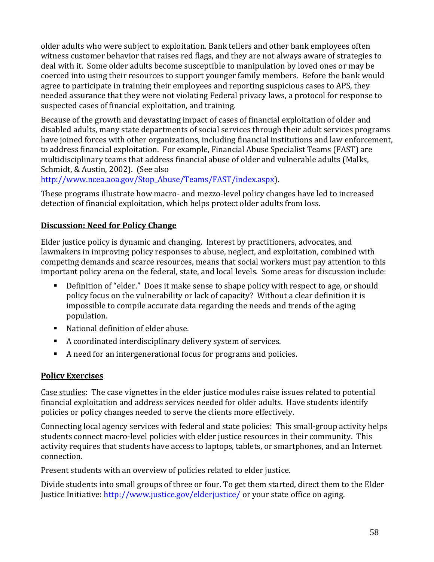older adults who were subject to exploitation. Bank tellers and other bank employees often witness customer behavior that raises red flags, and they are not always aware of strategies to deal with it. Some older adults become susceptible to manipulation by loved ones or may be coerced into using their resources to support younger family members. Before the bank would agree to participate in training their employees and reporting suspicious cases to APS, they needed assurance that they were not violating Federal privacy laws, a protocol for response to suspected cases of financial exploitation, and training.

Because of the growth and devastating impact of cases of financial exploitation of older and disabled adults, many state departments of social services through their adult services programs have joined forces with other organizations, including financial institutions and law enforcement, to address financial exploitation. For example, Financial Abuse Specialist Teams (FAST) are multidisciplinary teams that address financial abuse of older and vulnerable adults (Malks, Schmidt, & Austin, 2002). (See also

[http://www.ncea.aoa.gov/Stop\\_Abuse/Teams/FAST/index.aspx\)](http://www.ncea.aoa.gov/Stop_Abuse/Teams/FAST/index.aspx).

These programs illustrate how macro- and mezzo-level policy changes have led to increased detection of financial exploitation, which helps protect older adults from loss.

## <span id="page-59-0"></span>**Discussion: Need for Policy Change**

Elder justice policy is dynamic and changing. Interest by practitioners, advocates, and lawmakers in improving policy responses to abuse, neglect, and exploitation, combined with competing demands and scarce resources, means that social workers must pay attention to this important policy arena on the federal, state, and local levels. Some areas for discussion include:

- Definition of "elder." Does it make sense to shape policy with respect to age, or should policy focus on the vulnerability or lack of capacity? Without a clear definition it is impossible to compile accurate data regarding the needs and trends of the aging population.
- National definition of elder abuse.
- A coordinated interdisciplinary delivery system of services.
- A need for an intergenerational focus for programs and policies.

#### <span id="page-59-1"></span>**Policy Exercises**

Case studies: The case vignettes in the elder justice modules raise issues related to potential financial exploitation and address services needed for older adults. Have students identify policies or policy changes needed to serve the clients more effectively.

Connecting local agency services with federal and state policies: This small-group activity helps students connect macro-level policies with elder justice resources in their community. This activity requires that students have access to laptops, tablets, or smartphones, and an Internet connection.

Present students with an overview of policies related to elder justice.

Divide students into small groups of three or four. To get them started, direct them to the Elder Justice Initiative:<http://www.justice.gov/elderjustice/> or your state office on aging.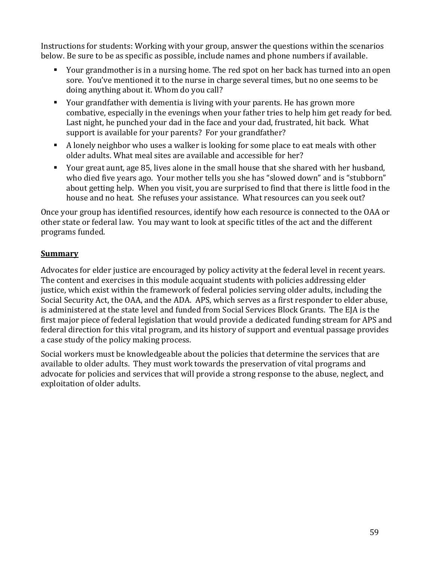Instructions for students: Working with your group, answer the questions within the scenarios below. Be sure to be as specific as possible, include names and phone numbers if available.

- Your grandmother is in a nursing home. The red spot on her back has turned into an open sore. You've mentioned it to the nurse in charge several times, but no one seems to be doing anything about it. Whom do you call?
- Your grandfather with dementia is living with your parents. He has grown more combative, especially in the evenings when your father tries to help him get ready for bed. Last night, he punched your dad in the face and your dad, frustrated, hit back. What support is available for your parents? For your grandfather?
- A lonely neighbor who uses a walker is looking for some place to eat meals with other older adults. What meal sites are available and accessible for her?
- Your great aunt, age 85, lives alone in the small house that she shared with her husband, who died five years ago. Your mother tells you she has "slowed down" and is "stubborn" about getting help. When you visit, you are surprised to find that there is little food in the house and no heat. She refuses your assistance. What resources can you seek out?

Once your group has identified resources, identify how each resource is connected to the OAA or other state or federal law. You may want to look at specific titles of the act and the different programs funded.

### <span id="page-60-0"></span>**Summary**

Advocates for elder justice are encouraged by policy activity at the federal level in recent years. The content and exercises in this module acquaint students with policies addressing elder justice, which exist within the framework of federal policies serving older adults, including the Social Security Act, the OAA, and the ADA. APS, which serves as a first responder to elder abuse, is administered at the state level and funded from Social Services Block Grants. The EJA is the first major piece of federal legislation that would provide a dedicated funding stream for APS and federal direction for this vital program, and its history of support and eventual passage provides a case study of the policy making process.

Social workers must be knowledgeable about the policies that determine the services that are available to older adults. They must work towards the preservation of vital programs and advocate for policies and services that will provide a strong response to the abuse, neglect, and exploitation of older adults.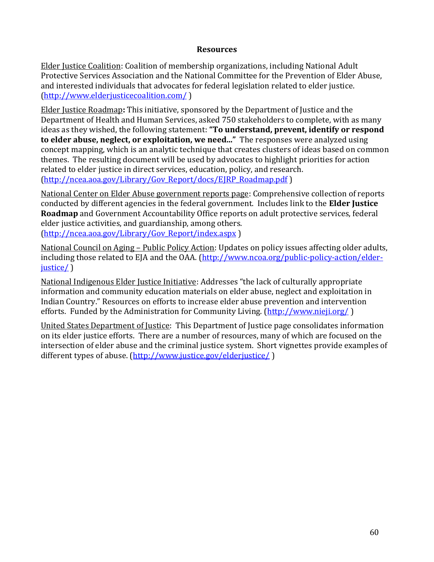#### **Resources**

<span id="page-61-0"></span>Elder Justice Coalition: Coalition of membership organizations, including National Adult Protective Services Association and the National Committee for the Prevention of Elder Abuse, and interested individuals that advocates for federal legislation related to elder justice. [\(http://www.elderjusticecoalition.com/](http://www.elderjusticecoalition.com/) )

Elder Justice Roadmap**:** This initiative, sponsored by the Department of Justice and the Department of Health and Human Services, asked 750 stakeholders to complete, with as many ideas as they wished, the following statement: **"To understand, prevent, identify or respond to elder abuse, neglect, or exploitation, we need..."** The responses were analyzed using concept mapping, which is an analytic technique that creates clusters of ideas based on common themes. The resulting document will be used by advocates to highlight priorities for action related to elder justice in direct services, education, policy, and research. [\(http://ncea.aoa.gov/Library/Gov\\_Report/docs/EJRP\\_Roadmap.pdf](http://ncea.aoa.gov/Library/Gov_Report/docs/EJRP_Roadmap.pdf) )

National Center on Elder Abuse government reports page: Comprehensive collection of reports conducted by different agencies in the federal government. Includes link to the **Elder Justice Roadmap** and Government Accountability Office reports on adult protective services, federal elder justice activities, and guardianship, among others. [\(http://ncea.aoa.gov/Library/Gov\\_Report/index.aspx](http://ncea.aoa.gov/Library/Gov_Report/index.aspx) )

National Council on Aging – Public Policy Action: Updates on policy issues affecting older adults, including those related to EJA and the OAA. [\(http://www.ncoa.org/public-policy-action/elder](http://www.ncoa.org/public-policy-action/elder-justice/)[justice/](http://www.ncoa.org/public-policy-action/elder-justice/) )

National Indigenous Elder Justice Initiative: Addresses "the lack of culturally appropriate information and community education materials on elder abuse, neglect and exploitation in Indian Country." Resources on efforts to increase elder abuse prevention and intervention efforts. Funded by the Administration for Community Living. [\(http://www.nieji.org/](http://www.nieji.org/))

United States Department of Justice: This Department of Justice page consolidates information on its elder justice efforts. There are a number of resources, many of which are focused on the intersection of elder abuse and the criminal justice system. Short vignettes provide examples of different types of abuse. [\(http://www.justice.gov/elderjustice/](http://www.justice.gov/elderjustice/) )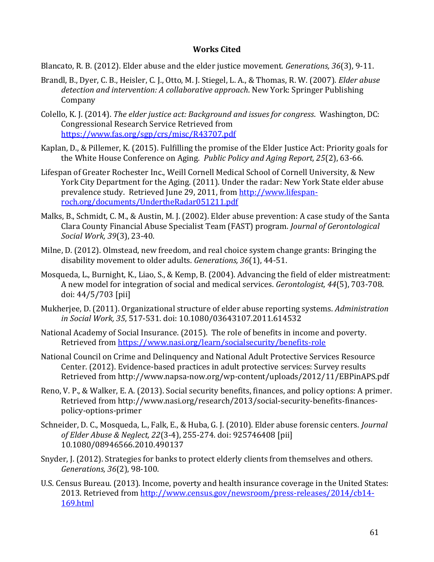#### **Works Cited**

<span id="page-62-0"></span>Blancato, R. B. (2012). Elder abuse and the elder justice movement. *Generations, 36*(3), 9-11.

- Brandl, B., Dyer, C. B., Heisler, C. J., Otto, M. J. Stiegel, L. A., & Thomas, R. W. (2007). *Elder abuse detection and intervention: A collaborative approach*. New York: Springer Publishing Company
- Colello, K. J. (2014). *The elder justice act: Background and issues for congress*. Washington, DC: Congressional Research Service Retrieved from <https://www.fas.org/sgp/crs/misc/R43707.pdf>
- Kaplan, D., & Pillemer, K. (2015). Fulfilling the promise of the Elder Justice Act: Priority goals for the White House Conference on Aging. *Public Policy and Aging Report, 25*(2), 63-66.
- Lifespan of Greater Rochester Inc., Weill Cornell Medical School of Cornell University, & New York City Department for the Aging. (2011). Under the radar: New York State elder abuse prevalence study. Retrieved June 29, 2011, from [http://www.lifespan](http://www.lifespan-roch.org/documents/UndertheRadar051211.pdf)[roch.org/documents/UndertheRadar051211.pdf](http://www.lifespan-roch.org/documents/UndertheRadar051211.pdf)
- Malks, B., Schmidt, C. M., & Austin, M. J. (2002). Elder abuse prevention: A case study of the Santa Clara County Financial Abuse Specialist Team (FAST) program. *Journal of Gerontological Social Work, 39*(3), 23-40.
- Milne, D. (2012). Olmstead, new freedom, and real choice system change grants: Bringing the disability movement to older adults. *Generations, 36*(1), 44-51.
- Mosqueda, L., Burnight, K., Liao, S., & Kemp, B. (2004). Advancing the field of elder mistreatment: A new model for integration of social and medical services. *Gerontologist, 44*(5), 703-708. doi: 44/5/703 [pii]
- Mukherjee, D. (2011). Organizational structure of elder abuse reporting systems. *Administration in Social Work, 35*, 517-531. doi: 10.1080/03643107.2011.614532
- National Academy of Social Insurance. (2015). The role of benefits in income and poverty. Retrieved from<https://www.nasi.org/learn/socialsecurity/benefits-role>
- National Council on Crime and Delinquency and National Adult Protective Services Resource Center. (2012). Evidence-based practices in adult protective services: Survey results Retrieved from http://www.napsa-now.org/wp-content/uploads/2012/11/EBPinAPS.pdf
- Reno, V. P., & Walker, E. A. (2013). Social security benefits, finances, and policy options: A primer. Retrieved from http://www.nasi.org/research/2013/social-security-benefits-financespolicy-options-primer
- Schneider, D. C., Mosqueda, L., Falk, E., & Huba, G. J. (2010). Elder abuse forensic centers. *Journal of Elder Abuse & Neglect, 22*(3-4), 255-274. doi: 925746408 [pii] 10.1080/08946566.2010.490137
- Snyder, J. (2012). Strategies for banks to protect elderly clients from themselves and others. *Generations, 36*(2), 98-100.
- U.S. Census Bureau. (2013). Income, poverty and health insurance coverage in the United States: 2013. Retrieved from [http://www.census.gov/newsroom/press-releases/2014/cb14-](http://www.census.gov/newsroom/press-releases/2014/cb14-169.html) [169.html](http://www.census.gov/newsroom/press-releases/2014/cb14-169.html)